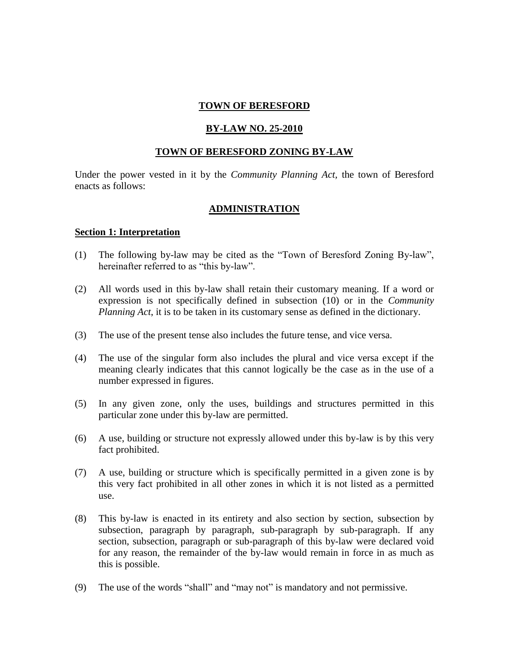### **TOWN OF BERESFORD**

#### **BY-LAW NO. 25-2010**

#### **TOWN OF BERESFORD ZONING BY-LAW**

Under the power vested in it by the *Community Planning Act,* the town of Beresford enacts as follows:

#### **ADMINISTRATION**

#### **Section 1: Interpretation**

- (1) The following by-law may be cited as the "Town of Beresford Zoning By-law", hereinafter referred to as "this by-law".
- (2) All words used in this by-law shall retain their customary meaning. If a word or expression is not specifically defined in subsection (10) or in the *Community Planning Act*, it is to be taken in its customary sense as defined in the dictionary.
- (3) The use of the present tense also includes the future tense, and vice versa.
- (4) The use of the singular form also includes the plural and vice versa except if the meaning clearly indicates that this cannot logically be the case as in the use of a number expressed in figures.
- (5) In any given zone, only the uses, buildings and structures permitted in this particular zone under this by-law are permitted.
- (6) A use, building or structure not expressly allowed under this by-law is by this very fact prohibited.
- (7) A use, building or structure which is specifically permitted in a given zone is by this very fact prohibited in all other zones in which it is not listed as a permitted use.
- (8) This by-law is enacted in its entirety and also section by section, subsection by subsection, paragraph by paragraph, sub-paragraph by sub-paragraph. If any section, subsection, paragraph or sub-paragraph of this by-law were declared void for any reason, the remainder of the by-law would remain in force in as much as this is possible.
- (9) The use of the words "shall" and "may not" is mandatory and not permissive.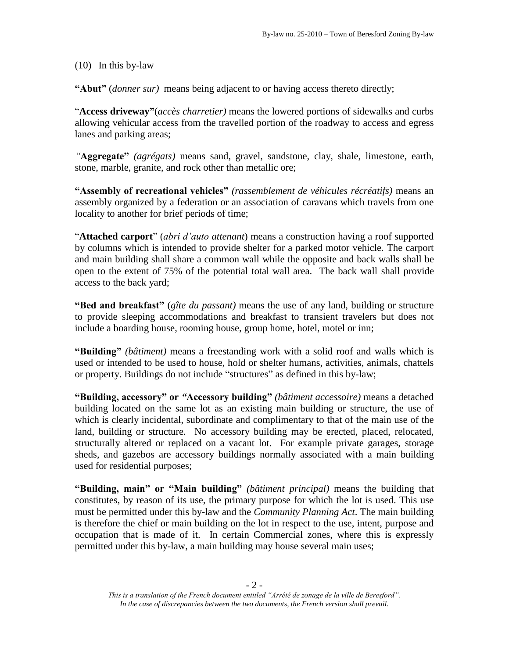(10) In this by-law

**"Abut"** (*donner sur)* means being adjacent to or having access thereto directly;

"**Access driveway"**(*accès charretier)* means the lowered portions of sidewalks and curbs allowing vehicular access from the travelled portion of the roadway to access and egress lanes and parking areas;

*"***Aggregate"** *(agrégats)* means sand, gravel, sandstone, clay, shale, limestone, earth, stone, marble, granite, and rock other than metallic ore;

**"Assembly of recreational vehicles"** *(rassemblement de véhicules récréatifs)* means an assembly organized by a federation or an association of caravans which travels from one locality to another for brief periods of time;

"**Attached carport**" (*abri d'auto attenant*) means a construction having a roof supported by columns which is intended to provide shelter for a parked motor vehicle. The carport and main building shall share a common wall while the opposite and back walls shall be open to the extent of 75% of the potential total wall area. The back wall shall provide access to the back yard;

**"Bed and breakfast"** (*gîte du passant)* means the use of any land, building or structure to provide sleeping accommodations and breakfast to transient travelers but does not include a boarding house, rooming house, group home, hotel, motel or inn;

**"Building"** *(bâtiment)* means a freestanding work with a solid roof and walls which is used or intended to be used to house, hold or shelter humans, activities, animals, chattels or property. Buildings do not include "structures" as defined in this by-law;

**"Building, accessory" or** *"***Accessory building"** *(bâtiment accessoire)* means a detached building located on the same lot as an existing main building or structure, the use of which is clearly incidental, subordinate and complimentary to that of the main use of the land, building or structure. No accessory building may be erected, placed, relocated, structurally altered or replaced on a vacant lot. For example private garages, storage sheds, and gazebos are accessory buildings normally associated with a main building used for residential purposes;

**"Building, main" or "Main building"** *(bâtiment principal)* means the building that constitutes, by reason of its use, the primary purpose for which the lot is used. This use must be permitted under this by-law and the *Community Planning Act*. The main building is therefore the chief or main building on the lot in respect to the use, intent, purpose and occupation that is made of it. In certain Commercial zones, where this is expressly permitted under this by-law, a main building may house several main uses;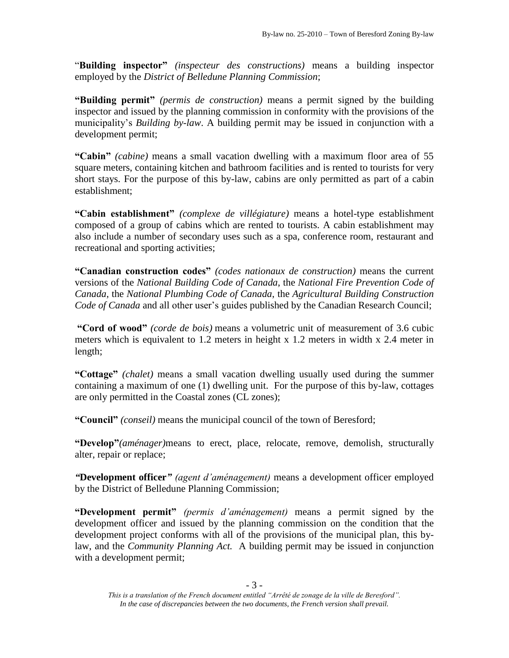"**Building inspector"** *(inspecteur des constructions)* means a building inspector employed by the *District of Belledune Planning Commission*;

**"Building permit"** *(permis de construction)* means a permit signed by the building inspector and issued by the planning commission in conformity with the provisions of the municipality's *Building by-law*. A building permit may be issued in conjunction with a development permit;

**"Cabin"** *(cabine)* means a small vacation dwelling with a maximum floor area of 55 square meters, containing kitchen and bathroom facilities and is rented to tourists for very short stays. For the purpose of this by-law, cabins are only permitted as part of a cabin establishment;

**"Cabin establishment"** *(complexe de villégiature)* means a hotel-type establishment composed of a group of cabins which are rented to tourists. A cabin establishment may also include a number of secondary uses such as a spa, conference room, restaurant and recreational and sporting activities;

**"Canadian construction codes"** *(codes nationaux de construction)* means the current versions of the *National Building Code of Canada*, the *National Fire Prevention Code of Canada*, the *National Plumbing Code of Canada*, the *Agricultural Building Construction Code of Canada* and all other user's guides published by the Canadian Research Council;

**"Cord of wood"** *(corde de bois)* means a volumetric unit of measurement of 3.6 cubic meters which is equivalent to 1.2 meters in height x 1.2 meters in width x 2.4 meter in length;

**"Cottage"** *(chalet)* means a small vacation dwelling usually used during the summer containing a maximum of one (1) dwelling unit. For the purpose of this by-law, cottages are only permitted in the Coastal zones (CL zones);

**"Council"** *(conseil)* means the municipal council of the town of Beresford;

**"Develop"***(aménager)*means to erect, place, relocate, remove, demolish, structurally alter, repair or replace;

*"***Development officer***" (agent d'aménagement)* means a development officer employed by the District of Belledune Planning Commission;

**"Development permit"** *(permis d'aménagement)* means a permit signed by the development officer and issued by the planning commission on the condition that the development project conforms with all of the provisions of the municipal plan, this bylaw, and the *Community Planning Act.* A building permit may be issued in conjunction with a development permit;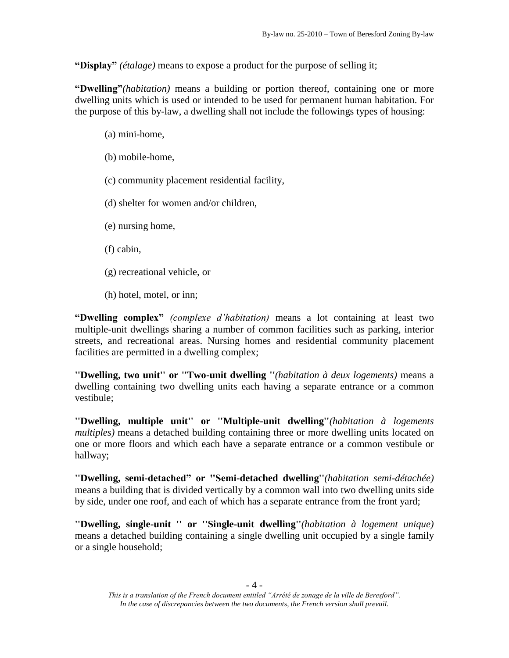**"Display"** *(étalage)* means to expose a product for the purpose of selling it;

**"Dwelling"***(habitation)* means a building or portion thereof, containing one or more dwelling units which is used or intended to be used for permanent human habitation. For the purpose of this by-law, a dwelling shall not include the followings types of housing:

(a) mini-home,

(b) mobile-home,

(c) community placement residential facility,

(d) shelter for women and/or children,

(e) nursing home,

(f) cabin,

(g) recreational vehicle, or

(h) hotel, motel, or inn;

**"Dwelling complex"** *(complexe d'habitation)* means a lot containing at least two multiple-unit dwellings sharing a number of common facilities such as parking, interior streets, and recreational areas. Nursing homes and residential community placement facilities are permitted in a dwelling complex;

**''Dwelling, two unit'' or ''Two-unit dwelling ''***(habitation à deux logements)* means a dwelling containing two dwelling units each having a separate entrance or a common vestibule;

**''Dwelling, multiple unit'' or ''Multiple-unit dwelling''***(habitation à logements multiples)* means a detached building containing three or more dwelling units located on one or more floors and which each have a separate entrance or a common vestibule or hallway;

**''Dwelling, semi-detached" or ''Semi-detached dwelling''***(habitation semi-détachée)* means a building that is divided vertically by a common wall into two dwelling units side by side, under one roof, and each of which has a separate entrance from the front yard;

**''Dwelling, single-unit '' or ''Single-unit dwelling''***(habitation à logement unique)* means a detached building containing a single dwelling unit occupied by a single family or a single household;

*This is a translation of the French document entitled "Arrêté de zonage de la ville de Beresford". In the case of discrepancies between the two documents, the French version shall prevail.*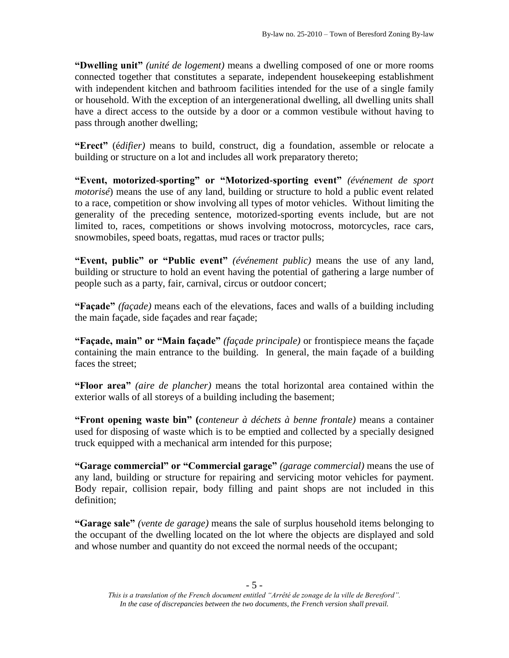**"Dwelling unit"** *(unité de logement)* means a dwelling composed of one or more rooms connected together that constitutes a separate, independent housekeeping establishment with independent kitchen and bathroom facilities intended for the use of a single family or household. With the exception of an intergenerational dwelling, all dwelling units shall have a direct access to the outside by a door or a common vestibule without having to pass through another dwelling;

**"Erect"** (é*difier)* means to build, construct, dig a foundation, assemble or relocate a building or structure on a lot and includes all work preparatory thereto;

**"Event, motorized-sporting" or "Motorized-sporting event"** *(événement de sport motorisé*) means the use of any land, building or structure to hold a public event related to a race, competition or show involving all types of motor vehicles. Without limiting the generality of the preceding sentence, motorized-sporting events include, but are not limited to, races, competitions or shows involving motocross, motorcycles, race cars, snowmobiles, speed boats, regattas, mud races or tractor pulls;

**"Event, public" or "Public event"** *(événement public)* means the use of any land, building or structure to hold an event having the potential of gathering a large number of people such as a party, fair, carnival, circus or outdoor concert;

**"Façade"** *(façade)* means each of the elevations, faces and walls of a building including the main façade, side façades and rear façade;

**"Façade, main" or "Main façade"** *(façade principale)* or frontispiece means the façade containing the main entrance to the building. In general, the main façade of a building faces the street;

**"Floor area"** *(aire de plancher)* means the total horizontal area contained within the exterior walls of all storeys of a building including the basement;

**"Front opening waste bin" (***conteneur à déchets à benne frontale)* means a container used for disposing of waste which is to be emptied and collected by a specially designed truck equipped with a mechanical arm intended for this purpose;

**"Garage commercial" or "Commercial garage"** *(garage commercial)* means the use of any land, building or structure for repairing and servicing motor vehicles for payment. Body repair, collision repair, body filling and paint shops are not included in this definition;

**"Garage sale"** *(vente de garage)* means the sale of surplus household items belonging to the occupant of the dwelling located on the lot where the objects are displayed and sold and whose number and quantity do not exceed the normal needs of the occupant;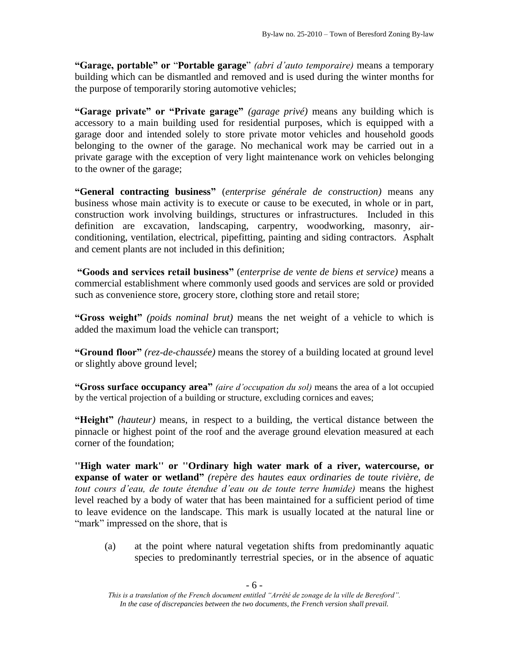**"Garage, portable" or** "**Portable garage**" *(abri d'auto temporaire)* means a temporary building which can be dismantled and removed and is used during the winter months for the purpose of temporarily storing automotive vehicles;

**"Garage private" or "Private garage"** *(garage privé)* means any building which is accessory to a main building used for residential purposes, which is equipped with a garage door and intended solely to store private motor vehicles and household goods belonging to the owner of the garage. No mechanical work may be carried out in a private garage with the exception of very light maintenance work on vehicles belonging to the owner of the garage;

**"General contracting business"** (*enterprise générale de construction)* means any business whose main activity is to execute or cause to be executed, in whole or in part, construction work involving buildings, structures or infrastructures. Included in this definition are excavation, landscaping, carpentry, woodworking, masonry, airconditioning, ventilation, electrical, pipefitting, painting and siding contractors. Asphalt and cement plants are not included in this definition;

**"Goods and services retail business"** (*enterprise de vente de biens et service)* means a commercial establishment where commonly used goods and services are sold or provided such as convenience store, grocery store, clothing store and retail store;

**"Gross weight"** *(poids nominal brut)* means the net weight of a vehicle to which is added the maximum load the vehicle can transport;

**"Ground floor"** *(rez-de-chaussée)* means the storey of a building located at ground level or slightly above ground level;

**"Gross surface occupancy area"** *(aire d'occupation du sol)* means the area of a lot occupied by the vertical projection of a building or structure, excluding cornices and eaves;

**"Height"** *(hauteur)* means, in respect to a building, the vertical distance between the pinnacle or highest point of the roof and the average ground elevation measured at each corner of the foundation;

**''High water mark'' or ''Ordinary high water mark of a river, watercourse, or expanse of water or wetland"** *(repère des hautes eaux ordinaries de toute rivière, de tout cours d'eau, de toute étendue d'eau ou de toute terre humide)* means the highest level reached by a body of water that has been maintained for a sufficient period of time to leave evidence on the landscape. This mark is usually located at the natural line or "mark" impressed on the shore, that is

(a) at the point where natural vegetation shifts from predominantly aquatic species to predominantly terrestrial species, or in the absence of aquatic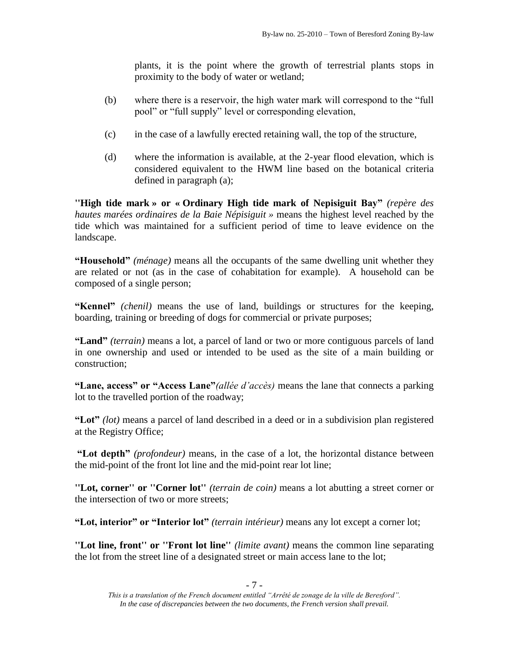plants, it is the point where the growth of terrestrial plants stops in proximity to the body of water or wetland;

- (b) where there is a reservoir, the high water mark will correspond to the "full pool" or "full supply" level or corresponding elevation,
- (c) in the case of a lawfully erected retaining wall, the top of the structure,
- (d) where the information is available, at the 2-year flood elevation, which is considered equivalent to the HWM line based on the botanical criteria defined in paragraph (a);

**''High tide mark » or « Ordinary High tide mark of Nepisiguit Bay"** *(repère des hautes marées ordinaires de la Baie Népisiguit »* means the highest level reached by the tide which was maintained for a sufficient period of time to leave evidence on the landscape.

**"Household"** *(ménage)* means all the occupants of the same dwelling unit whether they are related or not (as in the case of cohabitation for example). A household can be composed of a single person;

**"Kennel"** *(chenil)* means the use of land, buildings or structures for the keeping, boarding, training or breeding of dogs for commercial or private purposes;

**"Land"** *(terrain)* means a lot, a parcel of land or two or more contiguous parcels of land in one ownership and used or intended to be used as the site of a main building or construction;

**"Lane, access" or "Access Lane"***(allée d'accès)* means the lane that connects a parking lot to the travelled portion of the roadway;

**"Lot"** *(lot)* means a parcel of land described in a deed or in a subdivision plan registered at the Registry Office;

**"Lot depth"** *(profondeur)* means, in the case of a lot, the horizontal distance between the mid-point of the front lot line and the mid-point rear lot line;

**''Lot, corner'' or ''Corner lot''** *(terrain de coin)* means a lot abutting a street corner or the intersection of two or more streets;

**"Lot, interior" or "Interior lot"** *(terrain intérieur)* means any lot except a corner lot;

**''Lot line, front'' or ''Front lot line''** *(limite avant)* means the common line separating the lot from the street line of a designated street or main access lane to the lot;

*This is a translation of the French document entitled "Arrêté de zonage de la ville de Beresford". In the case of discrepancies between the two documents, the French version shall prevail.*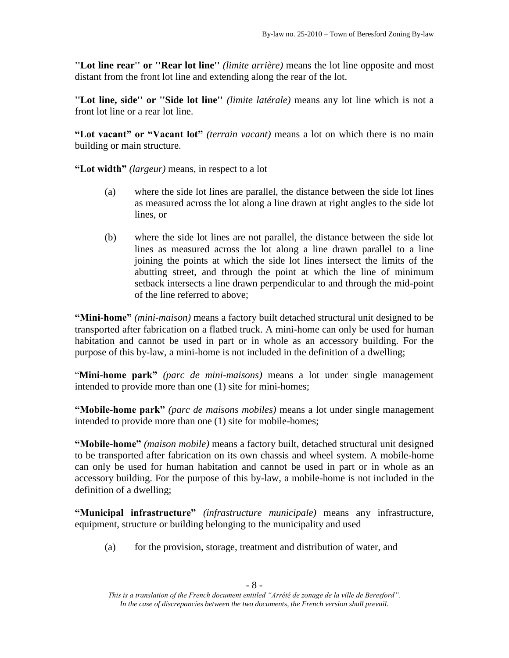**''Lot line rear'' or ''Rear lot line''** *(limite arrière)* means the lot line opposite and most distant from the front lot line and extending along the rear of the lot.

**''Lot line, side'' or ''Side lot line''** *(limite latérale)* means any lot line which is not a front lot line or a rear lot line.

**"Lot vacant" or "Vacant lot"** *(terrain vacant)* means a lot on which there is no main building or main structure.

**"Lot width"** *(largeur)* means, in respect to a lot

- (a) where the side lot lines are parallel, the distance between the side lot lines as measured across the lot along a line drawn at right angles to the side lot lines, or
- (b) where the side lot lines are not parallel, the distance between the side lot lines as measured across the lot along a line drawn parallel to a line joining the points at which the side lot lines intersect the limits of the abutting street, and through the point at which the line of minimum setback intersects a line drawn perpendicular to and through the mid-point of the line referred to above;

**"Mini-home"** *(mini-maison)* means a factory built detached structural unit designed to be transported after fabrication on a flatbed truck. A mini-home can only be used for human habitation and cannot be used in part or in whole as an accessory building. For the purpose of this by-law, a mini-home is not included in the definition of a dwelling;

"**Mini-home park"** *(parc de mini-maisons)* means a lot under single management intended to provide more than one (1) site for mini-homes;

**"Mobile-home park"** *(parc de maisons mobiles)* means a lot under single management intended to provide more than one (1) site for mobile-homes;

**"Mobile-home"** *(maison mobile)* means a factory built, detached structural unit designed to be transported after fabrication on its own chassis and wheel system. A mobile-home can only be used for human habitation and cannot be used in part or in whole as an accessory building. For the purpose of this by-law, a mobile-home is not included in the definition of a dwelling;

**"Municipal infrastructure"** *(infrastructure municipale)* means any infrastructure, equipment, structure or building belonging to the municipality and used

(a) for the provision, storage, treatment and distribution of water, and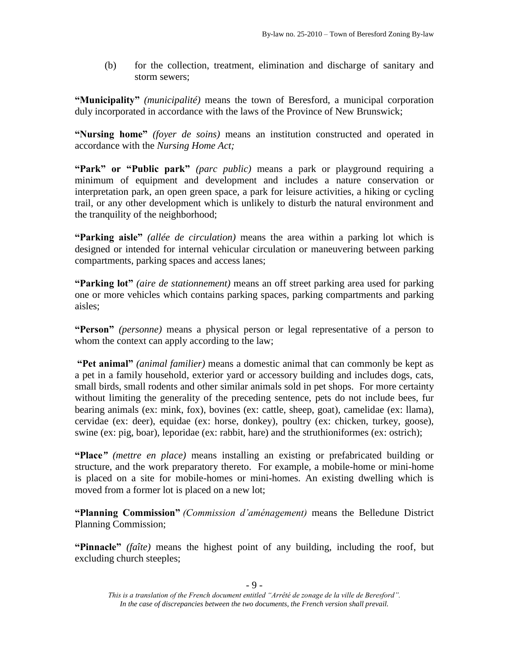(b) for the collection, treatment, elimination and discharge of sanitary and storm sewers;

**"Municipality"** *(municipalité)* means the town of Beresford, a municipal corporation duly incorporated in accordance with the laws of the Province of New Brunswick;

**"Nursing home"** *(foyer de soins)* means an institution constructed and operated in accordance with the *Nursing Home Act;*

**"Park" or "Public park"** *(parc public)* means a park or playground requiring a minimum of equipment and development and includes a nature conservation or interpretation park, an open green space, a park for leisure activities, a hiking or cycling trail, or any other development which is unlikely to disturb the natural environment and the tranquility of the neighborhood;

**"Parking aisle"** *(allée de circulation)* means the area within a parking lot which is designed or intended for internal vehicular circulation or maneuvering between parking compartments, parking spaces and access lanes;

**"Parking lot"** *(aire de stationnement)* means an off street parking area used for parking one or more vehicles which contains parking spaces, parking compartments and parking aisles;

**"Person"** *(personne)* means a physical person or legal representative of a person to whom the context can apply according to the law;

**"Pet animal"** *(animal familier)* means a domestic animal that can commonly be kept as a pet in a family household, exterior yard or accessory building and includes dogs, cats, small birds, small rodents and other similar animals sold in pet shops. For more certainty without limiting the generality of the preceding sentence, pets do not include bees, fur bearing animals (ex: mink, fox), bovines (ex: cattle, sheep, goat), camelidae (ex: llama), cervidae (ex: deer), equidae (ex: horse, donkey), poultry (ex: chicken, turkey, goose), swine (ex: pig, boar), leporidae (ex: rabbit, hare) and the struthioniformes (ex: ostrich);

**"Place***" (mettre en place)* means installing an existing or prefabricated building or structure, and the work preparatory thereto. For example, a mobile-home or mini-home is placed on a site for mobile-homes or mini-homes. An existing dwelling which is moved from a former lot is placed on a new lot;

**"Planning Commission"** *(Commission d'aménagement)* means the Belledune District Planning Commission;

**"Pinnacle"** *(faîte)* means the highest point of any building, including the roof, but excluding church steeples;

*This is a translation of the French document entitled "Arrêté de zonage de la ville de Beresford". In the case of discrepancies between the two documents, the French version shall prevail.*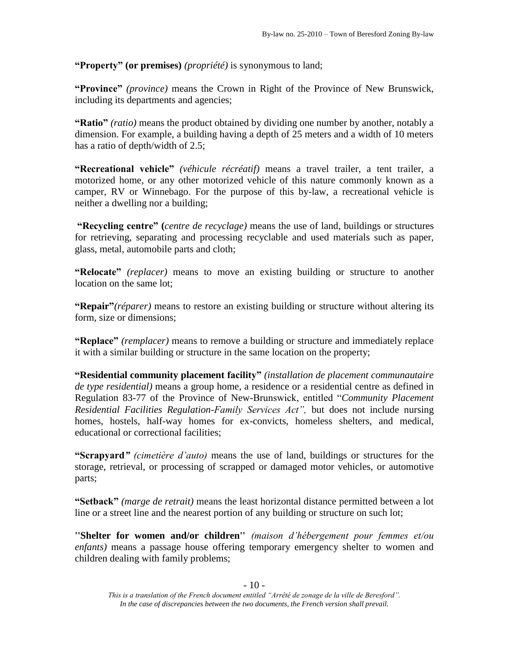**"Property" (or premises)** *(propriété)* is synonymous to land;

**"Province"** *(province)* means the Crown in Right of the Province of New Brunswick, including its departments and agencies;

**"Ratio"** *(ratio)* means the product obtained by dividing one number by another, notably a dimension. For example, a building having a depth of 25 meters and a width of 10 meters has a ratio of depth/width of 2.5;

**"Recreational vehicle"** *(véhicule récréatif)* means a travel trailer, a tent trailer, a motorized home, or any other motorized vehicle of this nature commonly known as a camper, RV or Winnebago. For the purpose of this by-law, a recreational vehicle is neither a dwelling nor a building;

**"Recycling centre" (***centre de recyclage)* means the use of land, buildings or structures for retrieving, separating and processing recyclable and used materials such as paper, glass, metal, automobile parts and cloth;

**"Relocate"** *(replacer)* means to move an existing building or structure to another location on the same lot;

**"Repair"***(réparer)* means to restore an existing building or structure without altering its form, size or dimensions;

**"Replace"** *(remplacer)* means to remove a building or structure and immediately replace it with a similar building or structure in the same location on the property;

**"Residential community placement facility"** *(installation de placement communautaire de type residential)* means a group home, a residence or a residential centre as defined in Regulation 83-77 of the Province of New-Brunswick, entitled "*Community Placement Residential Facilities Regulation-Family Services Act",* but does not include nursing homes, hostels, half-way homes for ex-convicts, homeless shelters, and medical, educational or correctional facilities;

**"Scrapyard***" (cimetière d'auto)* means the use of land, buildings or structures for the storage, retrieval, or processing of scrapped or damaged motor vehicles, or automotive parts;

**"Setback"** *(marge de retrait)* means the least horizontal distance permitted between a lot line or a street line and the nearest portion of any building or structure on such lot;

**''Shelter for women and/or children''** *(maison d'hébergement pour femmes et/ou enfants)* means a passage house offering temporary emergency shelter to women and children dealing with family problems;

*This is a translation of the French document entitled "Arrêté de zonage de la ville de Beresford". In the case of discrepancies between the two documents, the French version shall prevail.*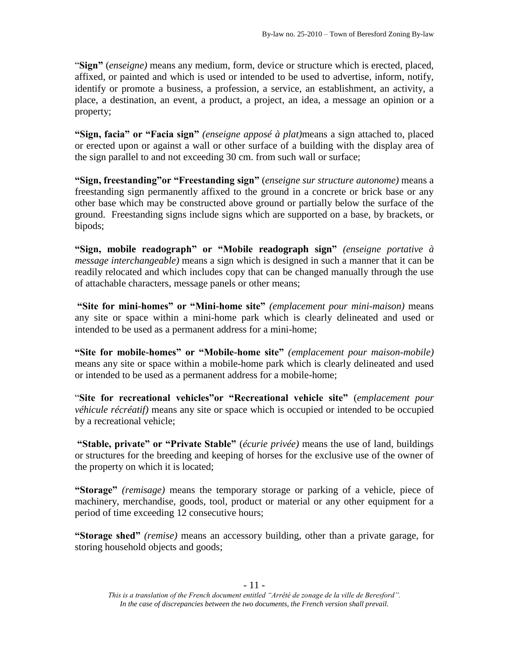"**Sign"** (*enseigne)* means any medium, form, device or structure which is erected, placed, affixed, or painted and which is used or intended to be used to advertise, inform, notify, identify or promote a business, a profession, a service, an establishment, an activity, a place, a destination, an event, a product, a project, an idea, a message an opinion or a property;

**"Sign, facia" or "Facia sign"** *(enseigne apposé à plat)*means a sign attached to, placed or erected upon or against a wall or other surface of a building with the display area of the sign parallel to and not exceeding 30 cm. from such wall or surface;

**"Sign, freestanding"or "Freestanding sign"** (*enseigne sur structure autonome)* means a freestanding sign permanently affixed to the ground in a concrete or brick base or any other base which may be constructed above ground or partially below the surface of the ground. Freestanding signs include signs which are supported on a base, by brackets, or bipods;

**"Sign, mobile readograph" or "Mobile readograph sign"** *(enseigne portative à message interchangeable)* means a sign which is designed in such a manner that it can be readily relocated and which includes copy that can be changed manually through the use of attachable characters, message panels or other means;

**"Site for mini-homes" or "Mini-home site"** *(emplacement pour mini-maison)* means any site or space within a mini-home park which is clearly delineated and used or intended to be used as a permanent address for a mini-home;

**"Site for mobile-homes" or "Mobile-home site"** *(emplacement pour maison-mobile)* means any site or space within a mobile-home park which is clearly delineated and used or intended to be used as a permanent address for a mobile-home;

"**Site for recreational vehicles"or "Recreational vehicle site"** (*emplacement pour véhicule récréatif)* means any site or space which is occupied or intended to be occupied by a recreational vehicle;

**"Stable, private" or "Private Stable"** (*écurie privée)* means the use of land, buildings or structures for the breeding and keeping of horses for the exclusive use of the owner of the property on which it is located;

**"Storage"** *(remisage)* means the temporary storage or parking of a vehicle, piece of machinery, merchandise, goods, tool, product or material or any other equipment for a period of time exceeding 12 consecutive hours;

**"Storage shed"** *(remise)* means an accessory building, other than a private garage, for storing household objects and goods;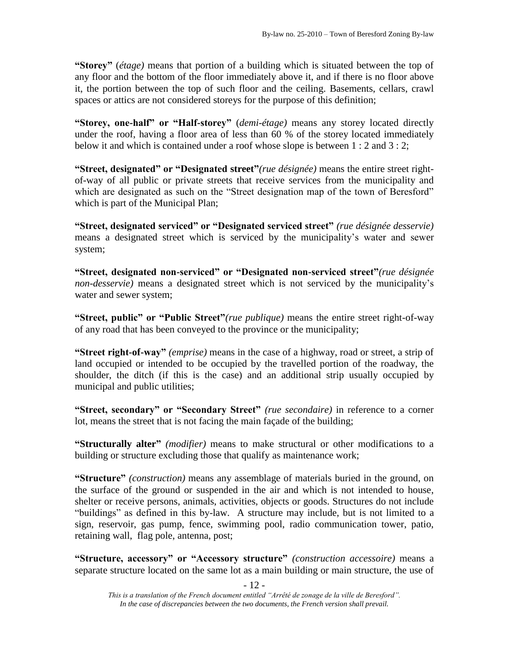**"Storey"** (*étage)* means that portion of a building which is situated between the top of any floor and the bottom of the floor immediately above it, and if there is no floor above it, the portion between the top of such floor and the ceiling. Basements, cellars, crawl spaces or attics are not considered storeys for the purpose of this definition;

**"Storey, one-half" or "Half-storey"** (*demi-étage)* means any storey located directly under the roof, having a floor area of less than 60 % of the storey located immediately below it and which is contained under a roof whose slope is between 1 : 2 and 3 : 2;

**"Street, designated" or "Designated street"***(rue désignée)* means the entire street rightof-way of all public or private streets that receive services from the municipality and which are designated as such on the "Street designation map of the town of Beresford" which is part of the Municipal Plan;

**"Street, designated serviced" or "Designated serviced street"** *(rue désignée desservie)* means a designated street which is serviced by the municipality's water and sewer system;

**"Street, designated non-serviced" or "Designated non-serviced street"***(rue désignée non-desservie)* means a designated street which is not serviced by the municipality's water and sewer system;

**"Street, public" or "Public Street"***(rue publique)* means the entire street right-of-way of any road that has been conveyed to the province or the municipality;

**"Street right-of-way"** *(emprise)* means in the case of a highway, road or street, a strip of land occupied or intended to be occupied by the travelled portion of the roadway, the shoulder, the ditch (if this is the case) and an additional strip usually occupied by municipal and public utilities;

**"Street, secondary" or "Secondary Street"** *(rue secondaire)* in reference to a corner lot, means the street that is not facing the main façade of the building;

**"Structurally alter"** *(modifier)* means to make structural or other modifications to a building or structure excluding those that qualify as maintenance work;

**"Structure"** *(construction)* means any assemblage of materials buried in the ground, on the surface of the ground or suspended in the air and which is not intended to house, shelter or receive persons, animals, activities, objects or goods. Structures do not include "buildings" as defined in this by-law. A structure may include, but is not limited to a sign, reservoir, gas pump, fence, swimming pool, radio communication tower, patio, retaining wall, flag pole, antenna, post;

**"Structure, accessory" or "Accessory structure"** *(construction accessoire)* means a separate structure located on the same lot as a main building or main structure, the use of

*This is a translation of the French document entitled "Arrêté de zonage de la ville de Beresford". In the case of discrepancies between the two documents, the French version shall prevail.*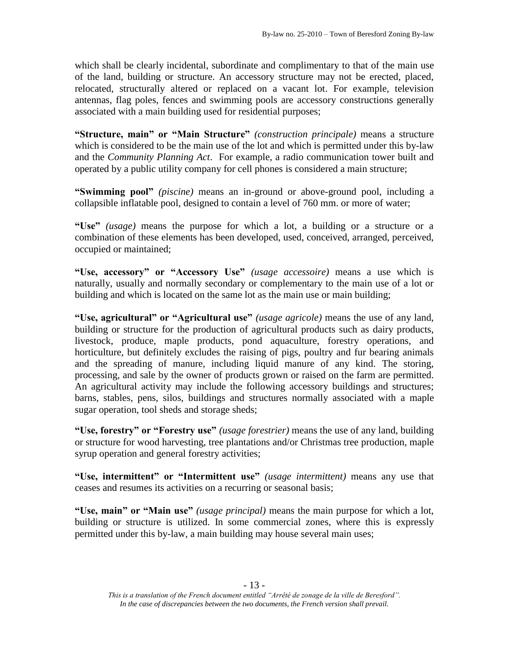which shall be clearly incidental, subordinate and complimentary to that of the main use of the land, building or structure. An accessory structure may not be erected, placed, relocated, structurally altered or replaced on a vacant lot. For example, television antennas, flag poles, fences and swimming pools are accessory constructions generally associated with a main building used for residential purposes;

**"Structure, main" or "Main Structure"** *(construction principale)* means a structure which is considered to be the main use of the lot and which is permitted under this by-law and the *Community Planning Act*. For example, a radio communication tower built and operated by a public utility company for cell phones is considered a main structure;

**"Swimming pool"** *(piscine)* means an in-ground or above-ground pool, including a collapsible inflatable pool, designed to contain a level of 760 mm. or more of water;

**"Use"** *(usage)* means the purpose for which a lot, a building or a structure or a combination of these elements has been developed, used, conceived, arranged, perceived, occupied or maintained;

**"Use, accessory" or "Accessory Use"** *(usage accessoire)* means a use which is naturally, usually and normally secondary or complementary to the main use of a lot or building and which is located on the same lot as the main use or main building;

**"Use, agricultural" or "Agricultural use"** *(usage agricole)* means the use of any land, building or structure for the production of agricultural products such as dairy products, livestock, produce, maple products, pond aquaculture, forestry operations, and horticulture, but definitely excludes the raising of pigs, poultry and fur bearing animals and the spreading of manure, including liquid manure of any kind. The storing, processing, and sale by the owner of products grown or raised on the farm are permitted. An agricultural activity may include the following accessory buildings and structures; barns, stables, pens, silos, buildings and structures normally associated with a maple sugar operation, tool sheds and storage sheds;

**"Use, forestry" or "Forestry use"** *(usage forestrier)* means the use of any land, building or structure for wood harvesting, tree plantations and/or Christmas tree production, maple syrup operation and general forestry activities;

**"Use, intermittent" or "Intermittent use"** *(usage intermittent)* means any use that ceases and resumes its activities on a recurring or seasonal basis;

**"Use, main" or "Main use"** *(usage principal)* means the main purpose for which a lot, building or structure is utilized. In some commercial zones, where this is expressly permitted under this by-law, a main building may house several main uses;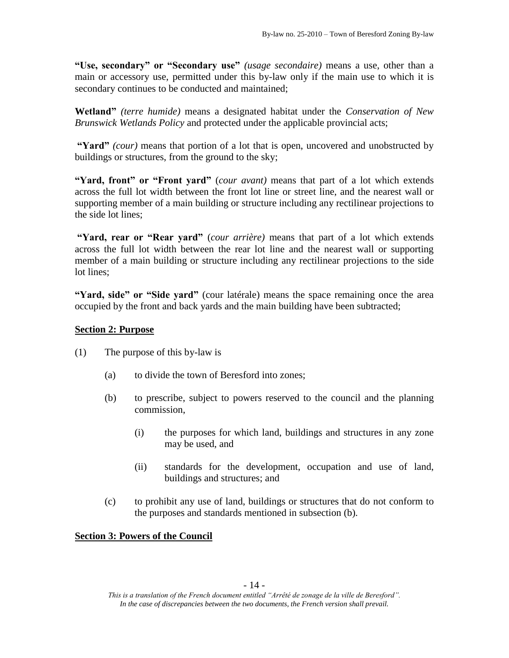**"Use, secondary" or "Secondary use"** *(usage secondaire)* means a use, other than a main or accessory use, permitted under this by-law only if the main use to which it is secondary continues to be conducted and maintained;

**Wetland"** *(terre humide)* means a designated habitat under the *Conservation of New Brunswick Wetlands Policy* and protected under the applicable provincial acts;

**"Yard"** *(cour)* means that portion of a lot that is open, uncovered and unobstructed by buildings or structures, from the ground to the sky;

**"Yard, front" or "Front yard"** (*cour avant)* means that part of a lot which extends across the full lot width between the front lot line or street line, and the nearest wall or supporting member of a main building or structure including any rectilinear projections to the side lot lines;

**"Yard, rear or "Rear yard"** (*cour arrière)* means that part of a lot which extends across the full lot width between the rear lot line and the nearest wall or supporting member of a main building or structure including any rectilinear projections to the side lot lines;

**"Yard, side" or "Side yard"** (cour latérale) means the space remaining once the area occupied by the front and back yards and the main building have been subtracted;

# **Section 2: Purpose**

- (1) The purpose of this by-law is
	- (a) to divide the town of Beresford into zones;
	- (b) to prescribe, subject to powers reserved to the council and the planning commission,
		- (i) the purposes for which land, buildings and structures in any zone may be used, and
		- (ii) standards for the development, occupation and use of land, buildings and structures; and
	- (c) to prohibit any use of land, buildings or structures that do not conform to the purposes and standards mentioned in subsection (b).

### **Section 3: Powers of the Council**

*This is a translation of the French document entitled "Arrêté de zonage de la ville de Beresford". In the case of discrepancies between the two documents, the French version shall prevail.*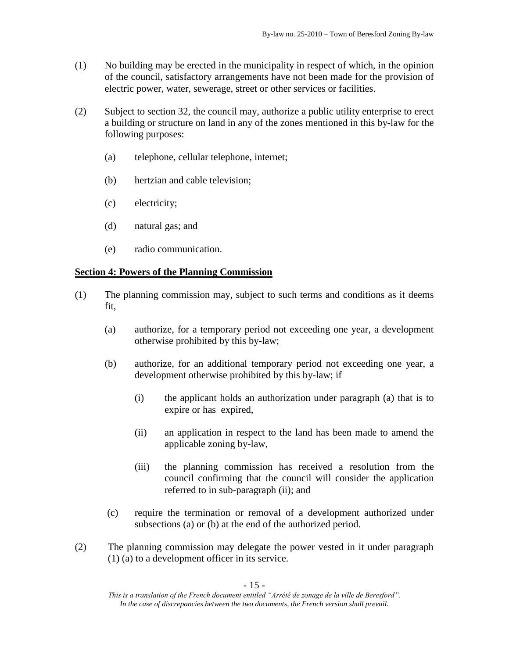- (1) No building may be erected in the municipality in respect of which, in the opinion of the council, satisfactory arrangements have not been made for the provision of electric power, water, sewerage, street or other services or facilities.
- (2) Subject to section 32, the council may, authorize a public utility enterprise to erect a building or structure on land in any of the zones mentioned in this by-law for the following purposes:
	- (a) telephone, cellular telephone, internet;
	- (b) hertzian and cable television;
	- (c) electricity;
	- (d) natural gas; and
	- (e) radio communication.

### **Section 4: Powers of the Planning Commission**

- (1) The planning commission may, subject to such terms and conditions as it deems fit,
	- (a) authorize, for a temporary period not exceeding one year, a development otherwise prohibited by this by-law;
	- (b) authorize, for an additional temporary period not exceeding one year, a development otherwise prohibited by this by-law; if
		- (i) the applicant holds an authorization under paragraph (a) that is to expire or has expired,
		- (ii) an application in respect to the land has been made to amend the applicable zoning by-law,
		- (iii) the planning commission has received a resolution from the council confirming that the council will consider the application referred to in sub-paragraph (ii); and
	- (c) require the termination or removal of a development authorized under subsections (a) or (b) at the end of the authorized period.
- (2) The planning commission may delegate the power vested in it under paragraph (1) (a) to a development officer in its service.

*This is a translation of the French document entitled "Arrêté de zonage de la ville de Beresford". In the case of discrepancies between the two documents, the French version shall prevail.*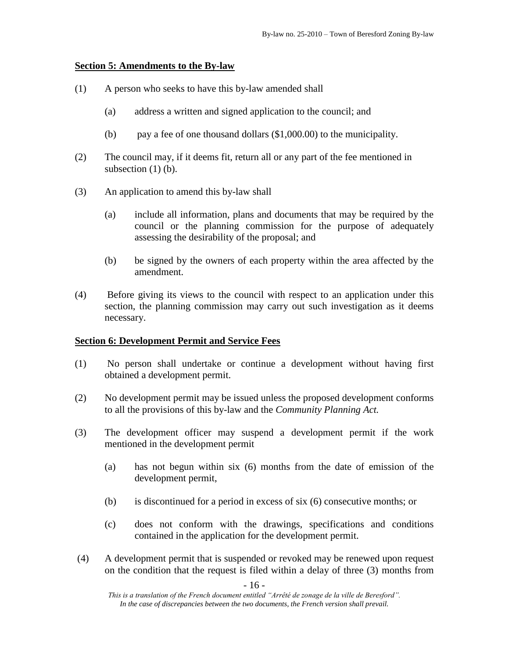### **Section 5: Amendments to the By-law**

- (1) A person who seeks to have this by-law amended shall
	- (a) address a written and signed application to the council; and
	- (b) pay a fee of one thousand dollars (\$1,000.00) to the municipality.
- (2) The council may, if it deems fit, return all or any part of the fee mentioned in subsection  $(1)$  (b).
- (3) An application to amend this by-law shall
	- (a) include all information, plans and documents that may be required by the council or the planning commission for the purpose of adequately assessing the desirability of the proposal; and
	- (b) be signed by the owners of each property within the area affected by the amendment.
- (4) Before giving its views to the council with respect to an application under this section, the planning commission may carry out such investigation as it deems necessary.

### **Section 6: Development Permit and Service Fees**

- (1) No person shall undertake or continue a development without having first obtained a development permit.
- (2) No development permit may be issued unless the proposed development conforms to all the provisions of this by-law and the *Community Planning Act.*
- (3) The development officer may suspend a development permit if the work mentioned in the development permit
	- (a) has not begun within six (6) months from the date of emission of the development permit,
	- (b) is discontinued for a period in excess of six (6) consecutive months; or
	- (c) does not conform with the drawings, specifications and conditions contained in the application for the development permit.
- (4) A development permit that is suspended or revoked may be renewed upon request on the condition that the request is filed within a delay of three (3) months from

*This is a translation of the French document entitled "Arrêté de zonage de la ville de Beresford". In the case of discrepancies between the two documents, the French version shall prevail.*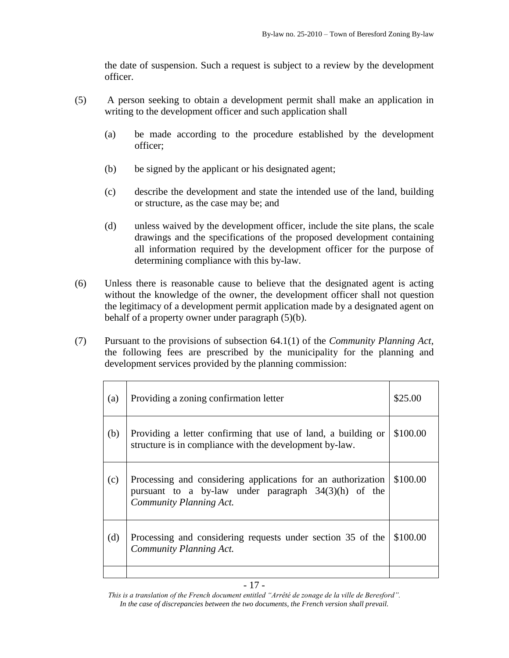the date of suspension. Such a request is subject to a review by the development officer.

- (5) A person seeking to obtain a development permit shall make an application in writing to the development officer and such application shall
	- (a) be made according to the procedure established by the development officer;
	- (b) be signed by the applicant or his designated agent;
	- (c) describe the development and state the intended use of the land, building or structure, as the case may be; and
	- (d) unless waived by the development officer, include the site plans, the scale drawings and the specifications of the proposed development containing all information required by the development officer for the purpose of determining compliance with this by-law.
- (6) Unless there is reasonable cause to believe that the designated agent is acting without the knowledge of the owner, the development officer shall not question the legitimacy of a development permit application made by a designated agent on behalf of a property owner under paragraph (5)(b).
- (7) Pursuant to the provisions of subsection 64.1(1) of the *Community Planning Act*, the following fees are prescribed by the municipality for the planning and development services provided by the planning commission:

| (a) | Providing a zoning confirmation letter                                                                                                            | \$25.00  |
|-----|---------------------------------------------------------------------------------------------------------------------------------------------------|----------|
| (b) | Providing a letter confirming that use of land, a building or<br>structure is in compliance with the development by-law.                          | \$100.00 |
| (c) | Processing and considering applications for an authorization<br>pursuant to a by-law under paragraph $34(3)(h)$ of the<br>Community Planning Act. | \$100.00 |
| (d) | Processing and considering requests under section 35 of the<br>Community Planning Act.                                                            | \$100.00 |
|     |                                                                                                                                                   |          |

*This is a translation of the French document entitled "Arrêté de zonage de la ville de Beresford". In the case of discrepancies between the two documents, the French version shall prevail.*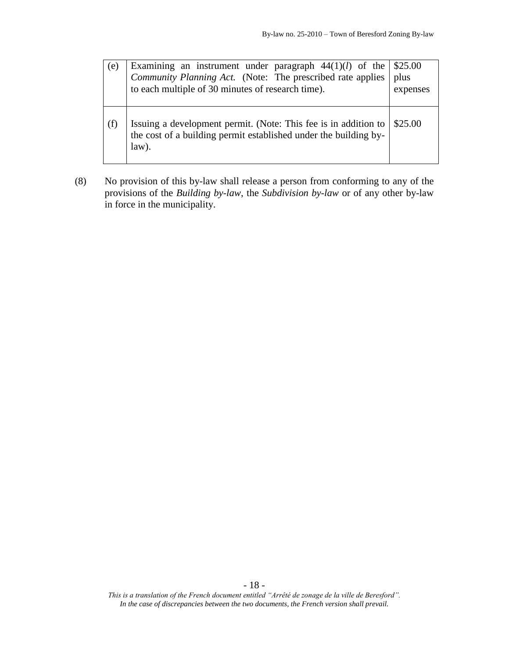| (e) | Examining an instrument under paragraph $44(1)(l)$ of the $\frac{1}{25.00}$<br>Community Planning Act. (Note: The prescribed rate applies   plus<br>to each multiple of 30 minutes of research time). | expenses |
|-----|-------------------------------------------------------------------------------------------------------------------------------------------------------------------------------------------------------|----------|
| (f) | Issuing a development permit. (Note: This fee is in addition to   \$25.00<br>the cost of a building permit established under the building by-<br>$law$ ).                                             |          |

(8) No provision of this by-law shall release a person from conforming to any of the provisions of the *Building by-law*, the *Subdivision by-law* or of any other by-law in force in the municipality.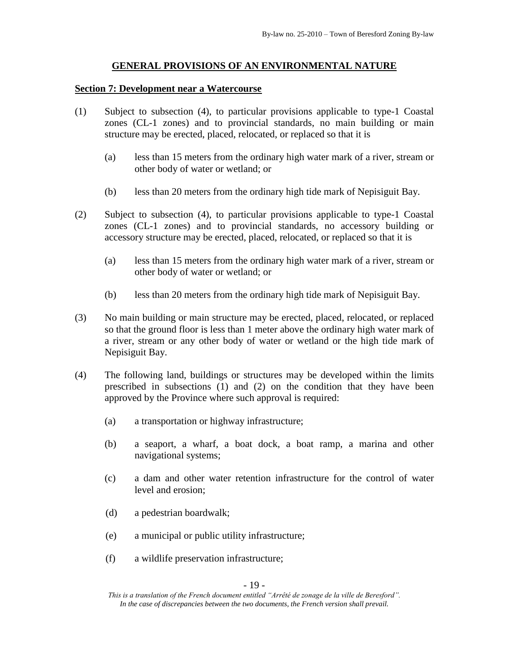# **GENERAL PROVISIONS OF AN ENVIRONMENTAL NATURE**

#### **Section 7: Development near a Watercourse**

- (1) Subject to subsection (4), to particular provisions applicable to type-1 Coastal zones (CL-1 zones) and to provincial standards, no main building or main structure may be erected, placed, relocated, or replaced so that it is
	- (a) less than 15 meters from the ordinary high water mark of a river, stream or other body of water or wetland; or
	- (b) less than 20 meters from the ordinary high tide mark of Nepisiguit Bay.
- (2) Subject to subsection (4), to particular provisions applicable to type-1 Coastal zones (CL-1 zones) and to provincial standards, no accessory building or accessory structure may be erected, placed, relocated, or replaced so that it is
	- (a) less than 15 meters from the ordinary high water mark of a river, stream or other body of water or wetland; or
	- (b) less than 20 meters from the ordinary high tide mark of Nepisiguit Bay.
- (3) No main building or main structure may be erected, placed, relocated, or replaced so that the ground floor is less than 1 meter above the ordinary high water mark of a river, stream or any other body of water or wetland or the high tide mark of Nepisiguit Bay.
- (4) The following land, buildings or structures may be developed within the limits prescribed in subsections (1) and (2) on the condition that they have been approved by the Province where such approval is required:
	- (a) a transportation or highway infrastructure;
	- (b) a seaport, a wharf, a boat dock, a boat ramp, a marina and other navigational systems;
	- (c) a dam and other water retention infrastructure for the control of water level and erosion;
	- (d) a pedestrian boardwalk;
	- (e) a municipal or public utility infrastructure;
	- (f) a wildlife preservation infrastructure;

*This is a translation of the French document entitled "Arrêté de zonage de la ville de Beresford". In the case of discrepancies between the two documents, the French version shall prevail.*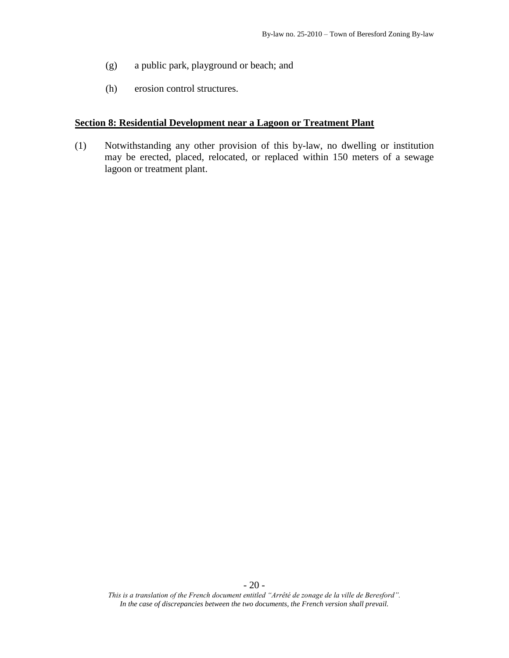- (g) a public park, playground or beach; and
- (h) erosion control structures.

#### **Section 8: Residential Development near a Lagoon or Treatment Plant**

(1) Notwithstanding any other provision of this by-law, no dwelling or institution may be erected, placed, relocated, or replaced within 150 meters of a sewage lagoon or treatment plant.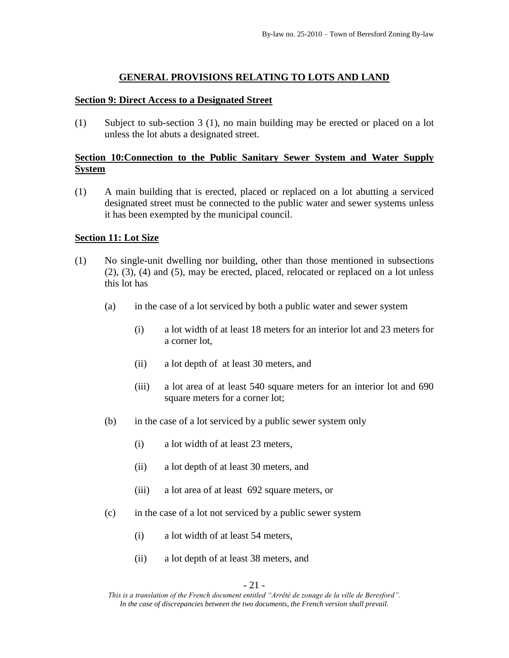# **GENERAL PROVISIONS RELATING TO LOTS AND LAND**

#### **Section 9: Direct Access to a Designated Street**

(1) Subject to sub-section 3 (1), no main building may be erected or placed on a lot unless the lot abuts a designated street.

# **Section 10:Connection to the Public Sanitary Sewer System and Water Supply System**

(1) A main building that is erected, placed or replaced on a lot abutting a serviced designated street must be connected to the public water and sewer systems unless it has been exempted by the municipal council.

#### **Section 11: Lot Size**

- (1) No single-unit dwelling nor building, other than those mentioned in subsections (2), (3), (4) and (5), may be erected, placed, relocated or replaced on a lot unless this lot has
	- (a) in the case of a lot serviced by both a public water and sewer system
		- (i) a lot width of at least 18 meters for an interior lot and 23 meters for a corner lot,
		- (ii) a lot depth of at least 30 meters, and
		- (iii) a lot area of at least 540 square meters for an interior lot and 690 square meters for a corner lot;
	- (b) in the case of a lot serviced by a public sewer system only
		- (i) a lot width of at least 23 meters,
		- (ii) a lot depth of at least 30 meters, and
		- (iii) a lot area of at least 692 square meters, or
	- (c) in the case of a lot not serviced by a public sewer system
		- (i) a lot width of at least 54 meters,
		- (ii) a lot depth of at least 38 meters, and

- 21 -

*This is a translation of the French document entitled "Arrêté de zonage de la ville de Beresford". In the case of discrepancies between the two documents, the French version shall prevail.*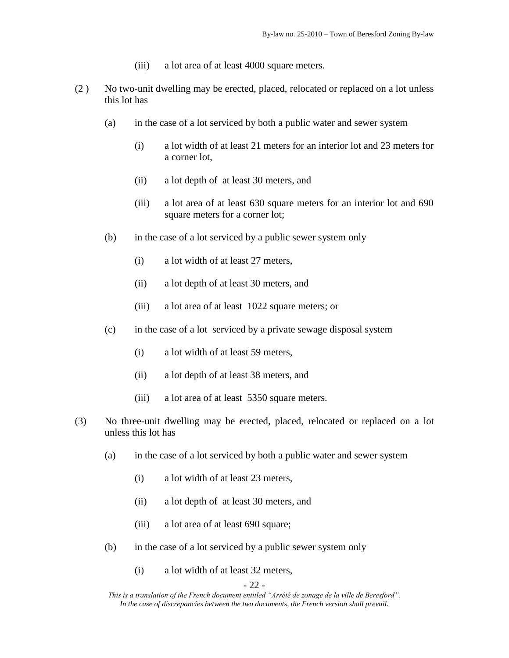- (iii) a lot area of at least 4000 square meters.
- (2 ) No two-unit dwelling may be erected, placed, relocated or replaced on a lot unless this lot has
	- (a) in the case of a lot serviced by both a public water and sewer system
		- (i) a lot width of at least 21 meters for an interior lot and 23 meters for a corner lot,
		- (ii) a lot depth of at least 30 meters, and
		- (iii) a lot area of at least 630 square meters for an interior lot and 690 square meters for a corner lot;
	- (b) in the case of a lot serviced by a public sewer system only
		- (i) a lot width of at least 27 meters,
		- (ii) a lot depth of at least 30 meters, and
		- (iii) a lot area of at least 1022 square meters; or
	- (c) in the case of a lot serviced by a private sewage disposal system
		- (i) a lot width of at least 59 meters,
		- (ii) a lot depth of at least 38 meters, and
		- (iii) a lot area of at least 5350 square meters.
- (3) No three-unit dwelling may be erected, placed, relocated or replaced on a lot unless this lot has
	- (a) in the case of a lot serviced by both a public water and sewer system
		- (i) a lot width of at least 23 meters,
		- (ii) a lot depth of at least 30 meters, and
		- (iii) a lot area of at least 690 square;
	- (b) in the case of a lot serviced by a public sewer system only
		- (i) a lot width of at least 32 meters,

- 22 -

*This is a translation of the French document entitled "Arrêté de zonage de la ville de Beresford". In the case of discrepancies between the two documents, the French version shall prevail.*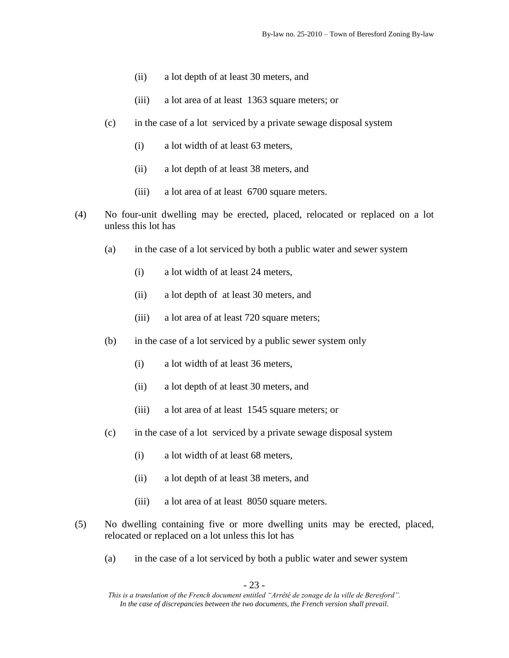- (ii) a lot depth of at least 30 meters, and
- (iii) a lot area of at least 1363 square meters; or
- (c) in the case of a lot serviced by a private sewage disposal system
	- (i) a lot width of at least 63 meters,
	- (ii) a lot depth of at least 38 meters, and
	- (iii) a lot area of at least 6700 square meters.
- (4) No four-unit dwelling may be erected, placed, relocated or replaced on a lot unless this lot has
	- (a) in the case of a lot serviced by both a public water and sewer system
		- (i) a lot width of at least 24 meters,
		- (ii) a lot depth of at least 30 meters, and
		- (iii) a lot area of at least 720 square meters;
	- (b) in the case of a lot serviced by a public sewer system only
		- (i) a lot width of at least 36 meters,
		- (ii) a lot depth of at least 30 meters, and
		- (iii) a lot area of at least 1545 square meters; or
	- (c) in the case of a lot serviced by a private sewage disposal system
		- (i) a lot width of at least 68 meters,
		- (ii) a lot depth of at least 38 meters, and
		- (iii) a lot area of at least 8050 square meters.
- (5) No dwelling containing five or more dwelling units may be erected, placed, relocated or replaced on a lot unless this lot has
	- (a) in the case of a lot serviced by both a public water and sewer system

- 23 -

*This is a translation of the French document entitled "Arrêté de zonage de la ville de Beresford". In the case of discrepancies between the two documents, the French version shall prevail.*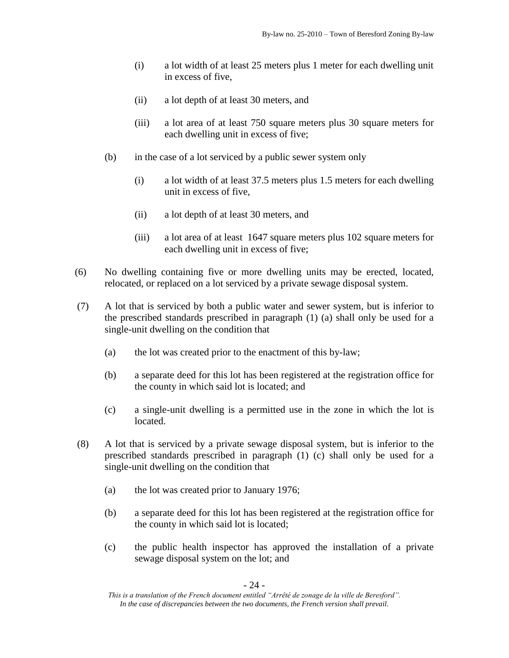- (i) a lot width of at least 25 meters plus 1 meter for each dwelling unit in excess of five,
- (ii) a lot depth of at least 30 meters, and
- (iii) a lot area of at least 750 square meters plus 30 square meters for each dwelling unit in excess of five;
- (b) in the case of a lot serviced by a public sewer system only
	- (i) a lot width of at least 37.5 meters plus 1.5 meters for each dwelling unit in excess of five,
	- (ii) a lot depth of at least 30 meters, and
	- (iii) a lot area of at least 1647 square meters plus 102 square meters for each dwelling unit in excess of five;
- (6) No dwelling containing five or more dwelling units may be erected, located, relocated, or replaced on a lot serviced by a private sewage disposal system.
- (7) A lot that is serviced by both a public water and sewer system, but is inferior to the prescribed standards prescribed in paragraph (1) (a) shall only be used for a single-unit dwelling on the condition that
	- (a) the lot was created prior to the enactment of this by-law;
	- (b) a separate deed for this lot has been registered at the registration office for the county in which said lot is located; and
	- (c) a single-unit dwelling is a permitted use in the zone in which the lot is located.
- (8) A lot that is serviced by a private sewage disposal system, but is inferior to the prescribed standards prescribed in paragraph (1) (c) shall only be used for a single-unit dwelling on the condition that
	- (a) the lot was created prior to January 1976;
	- (b) a separate deed for this lot has been registered at the registration office for the county in which said lot is located;
	- (c) the public health inspector has approved the installation of a private sewage disposal system on the lot; and

- 24 -

*This is a translation of the French document entitled "Arrêté de zonage de la ville de Beresford". In the case of discrepancies between the two documents, the French version shall prevail.*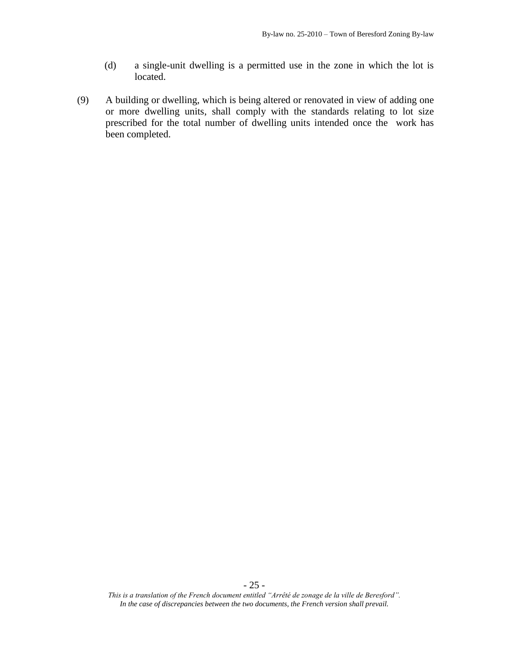- (d) a single-unit dwelling is a permitted use in the zone in which the lot is located.
- (9) A building or dwelling, which is being altered or renovated in view of adding one or more dwelling units, shall comply with the standards relating to lot size prescribed for the total number of dwelling units intended once the work has been completed.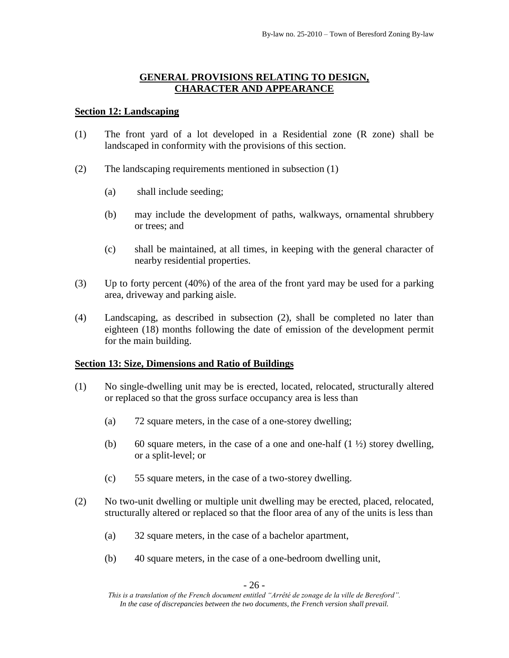# **GENERAL PROVISIONS RELATING TO DESIGN, CHARACTER AND APPEARANCE**

### **Section 12: Landscaping**

- (1) The front yard of a lot developed in a Residential zone (R zone) shall be landscaped in conformity with the provisions of this section.
- (2) The landscaping requirements mentioned in subsection (1)
	- (a) shall include seeding;
	- (b) may include the development of paths, walkways, ornamental shrubbery or trees; and
	- (c) shall be maintained, at all times, in keeping with the general character of nearby residential properties.
- (3) Up to forty percent (40%) of the area of the front yard may be used for a parking area, driveway and parking aisle.
- (4) Landscaping, as described in subsection (2), shall be completed no later than eighteen (18) months following the date of emission of the development permit for the main building.

### **Section 13: Size, Dimensions and Ratio of Buildings**

- (1) No single-dwelling unit may be is erected, located, relocated, structurally altered or replaced so that the gross surface occupancy area is less than
	- (a) 72 square meters, in the case of a one-storey dwelling;
	- (b) 60 square meters, in the case of a one and one-half  $(1 \frac{1}{2})$  storey dwelling, or a split-level; or
	- (c) 55 square meters, in the case of a two-storey dwelling.
- (2) No two-unit dwelling or multiple unit dwelling may be erected, placed, relocated, structurally altered or replaced so that the floor area of any of the units is less than
	- (a) 32 square meters, in the case of a bachelor apartment,
	- (b) 40 square meters, in the case of a one-bedroom dwelling unit,

- 26 -

*This is a translation of the French document entitled "Arrêté de zonage de la ville de Beresford". In the case of discrepancies between the two documents, the French version shall prevail.*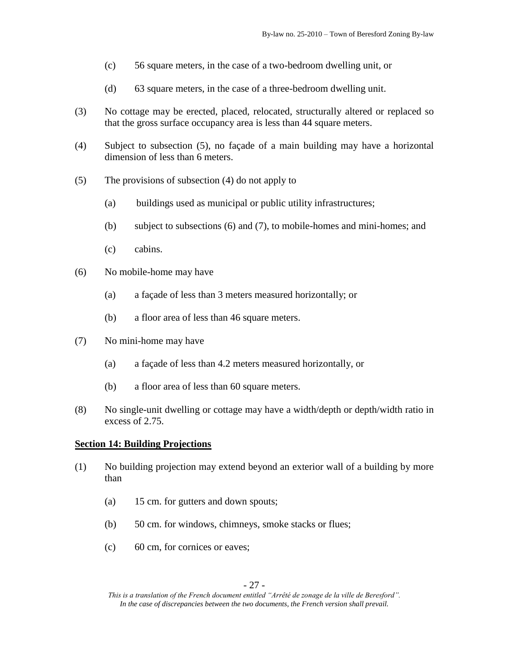- (c) 56 square meters, in the case of a two-bedroom dwelling unit, or
- (d) 63 square meters, in the case of a three-bedroom dwelling unit.
- (3) No cottage may be erected, placed, relocated, structurally altered or replaced so that the gross surface occupancy area is less than 44 square meters.
- (4) Subject to subsection (5), no façade of a main building may have a horizontal dimension of less than 6 meters.
- (5) The provisions of subsection (4) do not apply to
	- (a) buildings used as municipal or public utility infrastructures;
	- (b) subject to subsections (6) and (7), to mobile-homes and mini-homes; and
	- (c) cabins.
- (6) No mobile-home may have
	- (a) a façade of less than 3 meters measured horizontally; or
	- (b) a floor area of less than 46 square meters.
- (7) No mini-home may have
	- (a) a façade of less than 4.2 meters measured horizontally, or
	- (b) a floor area of less than 60 square meters.
- (8) No single-unit dwelling or cottage may have a width/depth or depth/width ratio in excess of 2.75.

### **Section 14: Building Projections**

- (1) No building projection may extend beyond an exterior wall of a building by more than
	- (a) 15 cm. for gutters and down spouts;
	- (b) 50 cm. for windows, chimneys, smoke stacks or flues;
	- (c) 60 cm, for cornices or eaves;

*This is a translation of the French document entitled "Arrêté de zonage de la ville de Beresford". In the case of discrepancies between the two documents, the French version shall prevail.*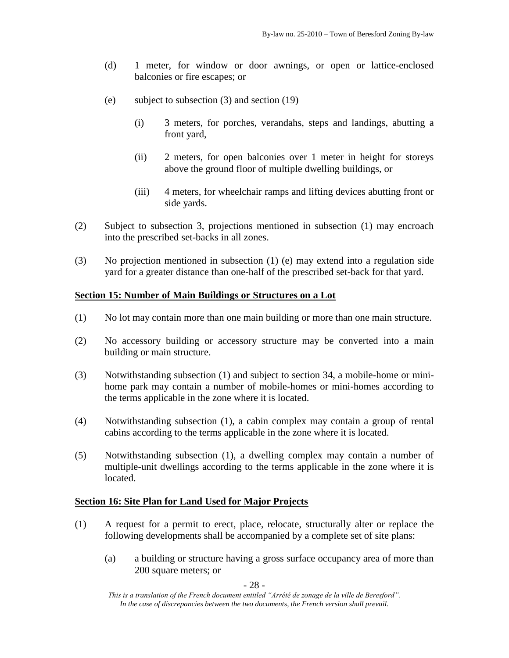- (d) 1 meter, for window or door awnings, or open or lattice-enclosed balconies or fire escapes; or
- (e) subject to subsection (3) and section (19)
	- (i) 3 meters, for porches, verandahs, steps and landings, abutting a front yard,
	- (ii) 2 meters, for open balconies over 1 meter in height for storeys above the ground floor of multiple dwelling buildings, or
	- (iii) 4 meters, for wheelchair ramps and lifting devices abutting front or side yards.
- (2) Subject to subsection 3, projections mentioned in subsection (1) may encroach into the prescribed set-backs in all zones.
- (3) No projection mentioned in subsection (1) (e) may extend into a regulation side yard for a greater distance than one-half of the prescribed set-back for that yard.

### **Section 15: Number of Main Buildings or Structures on a Lot**

- (1) No lot may contain more than one main building or more than one main structure.
- (2) No accessory building or accessory structure may be converted into a main building or main structure.
- (3) Notwithstanding subsection (1) and subject to section 34, a mobile-home or minihome park may contain a number of mobile-homes or mini-homes according to the terms applicable in the zone where it is located.
- (4) Notwithstanding subsection (1), a cabin complex may contain a group of rental cabins according to the terms applicable in the zone where it is located.
- (5) Notwithstanding subsection (1), a dwelling complex may contain a number of multiple-unit dwellings according to the terms applicable in the zone where it is located.

### **Section 16: Site Plan for Land Used for Major Projects**

- (1) A request for a permit to erect, place, relocate, structurally alter or replace the following developments shall be accompanied by a complete set of site plans:
	- (a) a building or structure having a gross surface occupancy area of more than 200 square meters; or

- 28 -

*This is a translation of the French document entitled "Arrêté de zonage de la ville de Beresford". In the case of discrepancies between the two documents, the French version shall prevail.*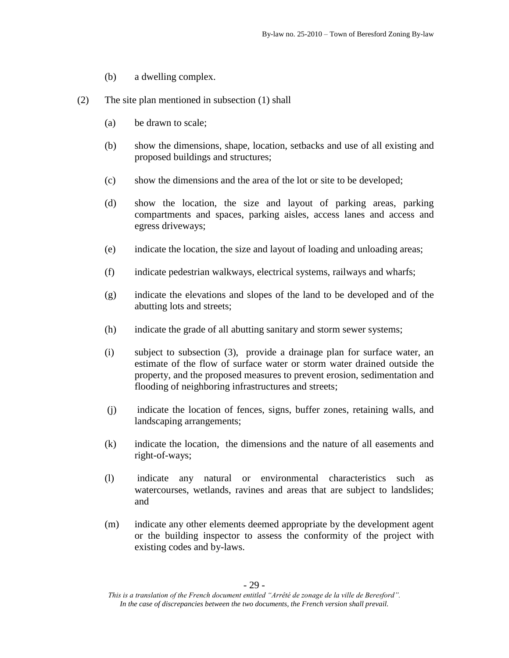- (b) a dwelling complex.
- (2) The site plan mentioned in subsection (1) shall
	- (a) be drawn to scale;
	- (b) show the dimensions, shape, location, setbacks and use of all existing and proposed buildings and structures;
	- (c) show the dimensions and the area of the lot or site to be developed;
	- (d) show the location, the size and layout of parking areas, parking compartments and spaces, parking aisles, access lanes and access and egress driveways;
	- (e) indicate the location, the size and layout of loading and unloading areas;
	- (f) indicate pedestrian walkways, electrical systems, railways and wharfs;
	- (g) indicate the elevations and slopes of the land to be developed and of the abutting lots and streets;
	- (h) indicate the grade of all abutting sanitary and storm sewer systems;
	- (i) subject to subsection (3), provide a drainage plan for surface water, an estimate of the flow of surface water or storm water drained outside the property, and the proposed measures to prevent erosion, sedimentation and flooding of neighboring infrastructures and streets;
	- (j) indicate the location of fences, signs, buffer zones, retaining walls, and landscaping arrangements;
	- (k) indicate the location, the dimensions and the nature of all easements and right-of-ways;
	- (l) indicate any natural or environmental characteristics such as watercourses, wetlands, ravines and areas that are subject to landslides; and
	- (m) indicate any other elements deemed appropriate by the development agent or the building inspector to assess the conformity of the project with existing codes and by-laws.

*This is a translation of the French document entitled "Arrêté de zonage de la ville de Beresford". In the case of discrepancies between the two documents, the French version shall prevail.*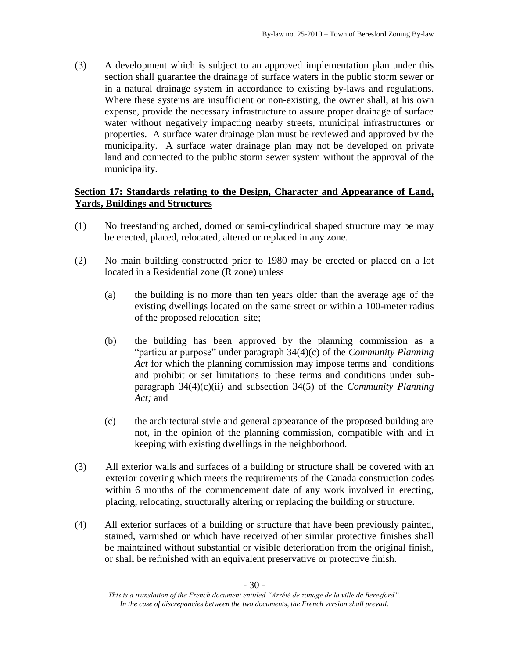(3) A development which is subject to an approved implementation plan under this section shall guarantee the drainage of surface waters in the public storm sewer or in a natural drainage system in accordance to existing by-laws and regulations. Where these systems are insufficient or non-existing, the owner shall, at his own expense, provide the necessary infrastructure to assure proper drainage of surface water without negatively impacting nearby streets, municipal infrastructures or properties. A surface water drainage plan must be reviewed and approved by the municipality. A surface water drainage plan may not be developed on private land and connected to the public storm sewer system without the approval of the municipality.

# **Section 17: Standards relating to the Design, Character and Appearance of Land, Yards, Buildings and Structures**

- (1) No freestanding arched, domed or semi-cylindrical shaped structure may be may be erected, placed, relocated, altered or replaced in any zone.
- (2) No main building constructed prior to 1980 may be erected or placed on a lot located in a Residential zone (R zone) unless
	- (a) the building is no more than ten years older than the average age of the existing dwellings located on the same street or within a 100-meter radius of the proposed relocation site;
	- (b) the building has been approved by the planning commission as a "particular purpose" under paragraph 34(4)(c) of the *Community Planning Act* for which the planning commission may impose terms and conditions and prohibit or set limitations to these terms and conditions under subparagraph 34(4)(c)(ii) and subsection 34(5) of the *Community Planning Act;* and
	- (c) the architectural style and general appearance of the proposed building are not, in the opinion of the planning commission, compatible with and in keeping with existing dwellings in the neighborhood.
- (3) All exterior walls and surfaces of a building or structure shall be covered with an exterior covering which meets the requirements of the Canada construction codes within 6 months of the commencement date of any work involved in erecting, placing, relocating, structurally altering or replacing the building or structure.
- (4) All exterior surfaces of a building or structure that have been previously painted, stained, varnished or which have received other similar protective finishes shall be maintained without substantial or visible deterioration from the original finish, or shall be refinished with an equivalent preservative or protective finish.

*This is a translation of the French document entitled "Arrêté de zonage de la ville de Beresford". In the case of discrepancies between the two documents, the French version shall prevail.*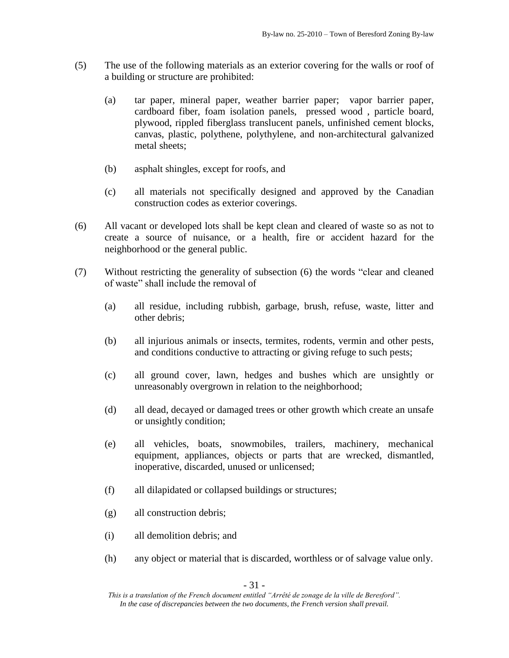- (5) The use of the following materials as an exterior covering for the walls or roof of a building or structure are prohibited:
	- (a) tar paper, mineral paper, weather barrier paper; vapor barrier paper, cardboard fiber, foam isolation panels, pressed wood , particle board, plywood, rippled fiberglass translucent panels, unfinished cement blocks, canvas, plastic, polythene, polythylene, and non-architectural galvanized metal sheets;
	- (b) asphalt shingles, except for roofs, and
	- (c) all materials not specifically designed and approved by the Canadian construction codes as exterior coverings.
- (6) All vacant or developed lots shall be kept clean and cleared of waste so as not to create a source of nuisance, or a health, fire or accident hazard for the neighborhood or the general public.
- (7) Without restricting the generality of subsection (6) the words "clear and cleaned of waste" shall include the removal of
	- (a) all residue, including rubbish, garbage, brush, refuse, waste, litter and other debris;
	- (b) all injurious animals or insects, termites, rodents, vermin and other pests, and conditions conductive to attracting or giving refuge to such pests;
	- (c) all ground cover, lawn, hedges and bushes which are unsightly or unreasonably overgrown in relation to the neighborhood;
	- (d) all dead, decayed or damaged trees or other growth which create an unsafe or unsightly condition;
	- (e) all vehicles, boats, snowmobiles, trailers, machinery, mechanical equipment, appliances, objects or parts that are wrecked, dismantled, inoperative, discarded, unused or unlicensed;
	- (f) all dilapidated or collapsed buildings or structures;
	- (g) all construction debris;
	- (i) all demolition debris; and
	- (h) any object or material that is discarded, worthless or of salvage value only.

*This is a translation of the French document entitled "Arrêté de zonage de la ville de Beresford". In the case of discrepancies between the two documents, the French version shall prevail.*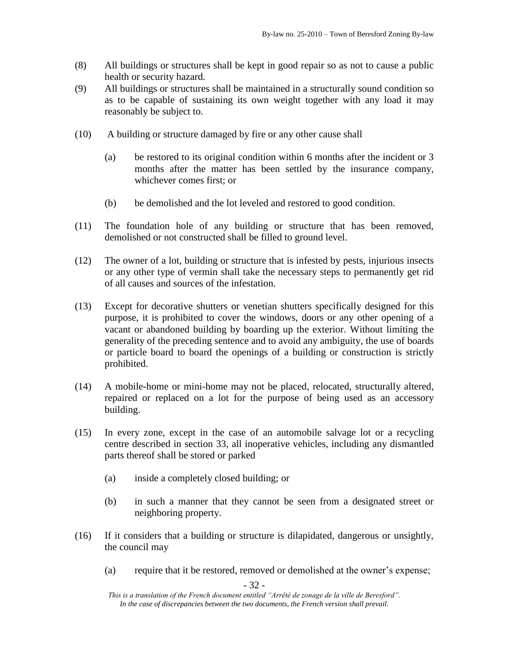- (8) All buildings or structures shall be kept in good repair so as not to cause a public health or security hazard.
- (9) All buildings or structures shall be maintained in a structurally sound condition so as to be capable of sustaining its own weight together with any load it may reasonably be subject to.
- (10) A building or structure damaged by fire or any other cause shall
	- (a) be restored to its original condition within 6 months after the incident or 3 months after the matter has been settled by the insurance company, whichever comes first; or
	- (b) be demolished and the lot leveled and restored to good condition.
- (11) The foundation hole of any building or structure that has been removed, demolished or not constructed shall be filled to ground level.
- (12) The owner of a lot, building or structure that is infested by pests, injurious insects or any other type of vermin shall take the necessary steps to permanently get rid of all causes and sources of the infestation.
- (13) Except for decorative shutters or venetian shutters specifically designed for this purpose, it is prohibited to cover the windows, doors or any other opening of a vacant or abandoned building by boarding up the exterior. Without limiting the generality of the preceding sentence and to avoid any ambiguity, the use of boards or particle board to board the openings of a building or construction is strictly prohibited.
- (14) A mobile-home or mini-home may not be placed, relocated, structurally altered, repaired or replaced on a lot for the purpose of being used as an accessory building.
- (15) In every zone, except in the case of an automobile salvage lot or a recycling centre described in section 33, all inoperative vehicles, including any dismantled parts thereof shall be stored or parked
	- (a) inside a completely closed building; or
	- (b) in such a manner that they cannot be seen from a designated street or neighboring property.
- (16) If it considers that a building or structure is dilapidated, dangerous or unsightly, the council may
	- (a) require that it be restored, removed or demolished at the owner's expense;

- 32 -

*This is a translation of the French document entitled "Arrêté de zonage de la ville de Beresford". In the case of discrepancies between the two documents, the French version shall prevail.*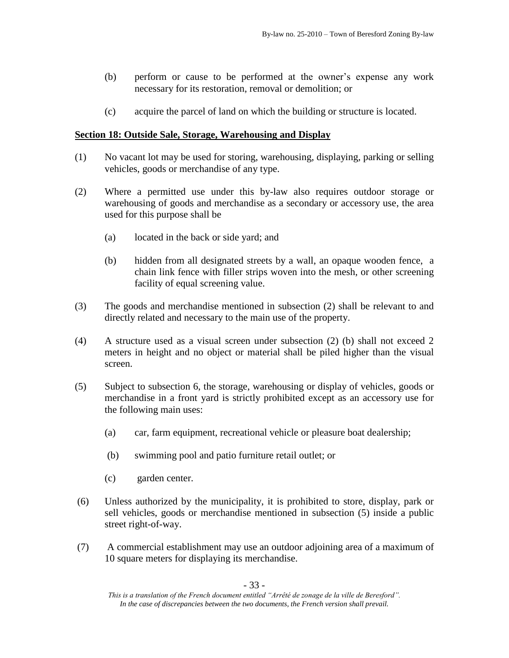- (b) perform or cause to be performed at the owner's expense any work necessary for its restoration, removal or demolition; or
- (c) acquire the parcel of land on which the building or structure is located.

### **Section 18: Outside Sale, Storage, Warehousing and Display**

- (1) No vacant lot may be used for storing, warehousing, displaying, parking or selling vehicles, goods or merchandise of any type.
- (2) Where a permitted use under this by-law also requires outdoor storage or warehousing of goods and merchandise as a secondary or accessory use, the area used for this purpose shall be
	- (a) located in the back or side yard; and
	- (b) hidden from all designated streets by a wall, an opaque wooden fence, a chain link fence with filler strips woven into the mesh, or other screening facility of equal screening value.
- (3) The goods and merchandise mentioned in subsection (2) shall be relevant to and directly related and necessary to the main use of the property.
- (4) A structure used as a visual screen under subsection (2) (b) shall not exceed 2 meters in height and no object or material shall be piled higher than the visual screen.
- (5) Subject to subsection 6, the storage, warehousing or display of vehicles, goods or merchandise in a front yard is strictly prohibited except as an accessory use for the following main uses:
	- (a) car, farm equipment, recreational vehicle or pleasure boat dealership;
	- (b) swimming pool and patio furniture retail outlet; or
	- (c) garden center.
- (6) Unless authorized by the municipality, it is prohibited to store, display, park or sell vehicles, goods or merchandise mentioned in subsection (5) inside a public street right-of-way.
- (7) A commercial establishment may use an outdoor adjoining area of a maximum of 10 square meters for displaying its merchandise.

*This is a translation of the French document entitled "Arrêté de zonage de la ville de Beresford". In the case of discrepancies between the two documents, the French version shall prevail.*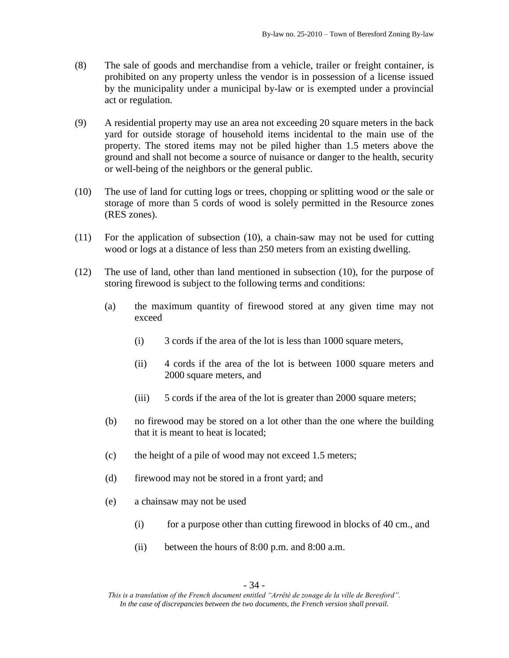- (8) The sale of goods and merchandise from a vehicle, trailer or freight container, is prohibited on any property unless the vendor is in possession of a license issued by the municipality under a municipal by-law or is exempted under a provincial act or regulation.
- (9) A residential property may use an area not exceeding 20 square meters in the back yard for outside storage of household items incidental to the main use of the property. The stored items may not be piled higher than 1.5 meters above the ground and shall not become a source of nuisance or danger to the health, security or well-being of the neighbors or the general public.
- (10) The use of land for cutting logs or trees, chopping or splitting wood or the sale or storage of more than 5 cords of wood is solely permitted in the Resource zones (RES zones).
- (11) For the application of subsection (10), a chain-saw may not be used for cutting wood or logs at a distance of less than 250 meters from an existing dwelling.
- (12) The use of land, other than land mentioned in subsection (10), for the purpose of storing firewood is subject to the following terms and conditions:
	- (a) the maximum quantity of firewood stored at any given time may not exceed
		- (i) 3 cords if the area of the lot is less than 1000 square meters,
		- (ii) 4 cords if the area of the lot is between 1000 square meters and 2000 square meters, and
		- (iii) 5 cords if the area of the lot is greater than 2000 square meters;
	- (b) no firewood may be stored on a lot other than the one where the building that it is meant to heat is located;
	- (c) the height of a pile of wood may not exceed 1.5 meters;
	- (d) firewood may not be stored in a front yard; and
	- (e) a chainsaw may not be used
		- (i) for a purpose other than cutting firewood in blocks of 40 cm., and
		- (ii) between the hours of 8:00 p.m. and 8:00 a.m.

*This is a translation of the French document entitled "Arrêté de zonage de la ville de Beresford". In the case of discrepancies between the two documents, the French version shall prevail.*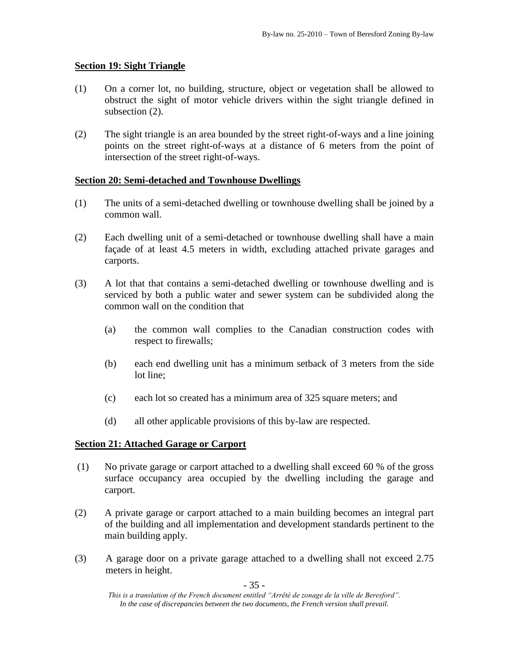### **Section 19: Sight Triangle**

- (1) On a corner lot, no building, structure, object or vegetation shall be allowed to obstruct the sight of motor vehicle drivers within the sight triangle defined in subsection  $(2)$ .
- (2) The sight triangle is an area bounded by the street right-of-ways and a line joining points on the street right-of-ways at a distance of 6 meters from the point of intersection of the street right-of-ways.

### **Section 20: Semi-detached and Townhouse Dwellings**

- (1) The units of a semi-detached dwelling or townhouse dwelling shall be joined by a common wall.
- (2) Each dwelling unit of a semi-detached or townhouse dwelling shall have a main façade of at least 4.5 meters in width, excluding attached private garages and carports.
- (3) A lot that that contains a semi-detached dwelling or townhouse dwelling and is serviced by both a public water and sewer system can be subdivided along the common wall on the condition that
	- (a) the common wall complies to the Canadian construction codes with respect to firewalls;
	- (b) each end dwelling unit has a minimum setback of 3 meters from the side lot line;
	- (c) each lot so created has a minimum area of 325 square meters; and
	- (d) all other applicable provisions of this by-law are respected.

### **Section 21: Attached Garage or Carport**

- (1) No private garage or carport attached to a dwelling shall exceed 60 % of the gross surface occupancy area occupied by the dwelling including the garage and carport.
- (2) A private garage or carport attached to a main building becomes an integral part of the building and all implementation and development standards pertinent to the main building apply.
- (3) A garage door on a private garage attached to a dwelling shall not exceed 2.75 meters in height.

- 35 -

*This is a translation of the French document entitled "Arrêté de zonage de la ville de Beresford". In the case of discrepancies between the two documents, the French version shall prevail.*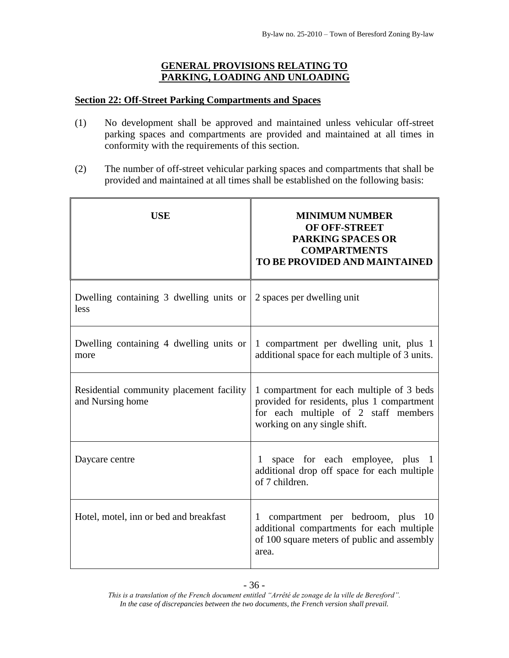# **GENERAL PROVISIONS RELATING TO PARKING, LOADING AND UNLOADING**

### **Section 22: Off-Street Parking Compartments and Spaces**

- (1) No development shall be approved and maintained unless vehicular off-street parking spaces and compartments are provided and maintained at all times in conformity with the requirements of this section.
- (2) The number of off-street vehicular parking spaces and compartments that shall be provided and maintained at all times shall be established on the following basis:

| <b>USE</b>                                                   | <b>MINIMUM NUMBER</b><br><b>OF OFF-STREET</b><br><b>PARKING SPACES OR</b><br><b>COMPARTMENTS</b><br><b>TO BE PROVIDED AND MAINTAINED</b>                        |
|--------------------------------------------------------------|-----------------------------------------------------------------------------------------------------------------------------------------------------------------|
| Dwelling containing $\overline{3}$ dwelling units or<br>less | 2 spaces per dwelling unit                                                                                                                                      |
| Dwelling containing 4 dwelling units or<br>more              | 1 compartment per dwelling unit, plus 1<br>additional space for each multiple of 3 units.                                                                       |
| Residential community placement facility<br>and Nursing home | 1 compartment for each multiple of 3 beds<br>provided for residents, plus 1 compartment<br>for each multiple of 2 staff members<br>working on any single shift. |
| Daycare centre                                               | space for each employee, plus 1<br>additional drop off space for each multiple<br>of 7 children.                                                                |
| Hotel, motel, inn or bed and breakfast                       | compartment per bedroom, plus 10<br>$\mathbf{1}$<br>additional compartments for each multiple<br>of 100 square meters of public and assembly<br>area.           |

*This is a translation of the French document entitled "Arrêté de zonage de la ville de Beresford". In the case of discrepancies between the two documents, the French version shall prevail.*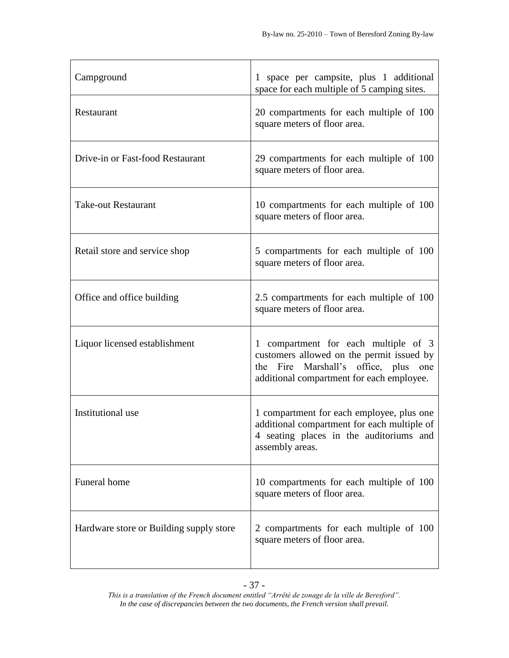| Campground                              | 1 space per campsite, plus 1 additional<br>space for each multiple of 5 camping sites.                                                                                 |
|-----------------------------------------|------------------------------------------------------------------------------------------------------------------------------------------------------------------------|
| Restaurant                              | 20 compartments for each multiple of 100<br>square meters of floor area.                                                                                               |
| Drive-in or Fast-food Restaurant        | 29 compartments for each multiple of 100<br>square meters of floor area.                                                                                               |
| <b>Take-out Restaurant</b>              | 10 compartments for each multiple of 100<br>square meters of floor area.                                                                                               |
| Retail store and service shop           | 5 compartments for each multiple of 100<br>square meters of floor area.                                                                                                |
| Office and office building              | 2.5 compartments for each multiple of 100<br>square meters of floor area.                                                                                              |
| Liquor licensed establishment           | 1 compartment for each multiple of 3<br>customers allowed on the permit issued by<br>the Fire Marshall's office, plus one<br>additional compartment for each employee. |
| Institutional use                       | 1 compartment for each employee, plus one<br>additional compartment for each multiple of<br>4 seating places in the auditoriums and<br>assembly areas.                 |
| Funeral home                            | 10 compartments for each multiple of 100<br>square meters of floor area.                                                                                               |
| Hardware store or Building supply store | 2 compartments for each multiple of 100<br>square meters of floor area.                                                                                                |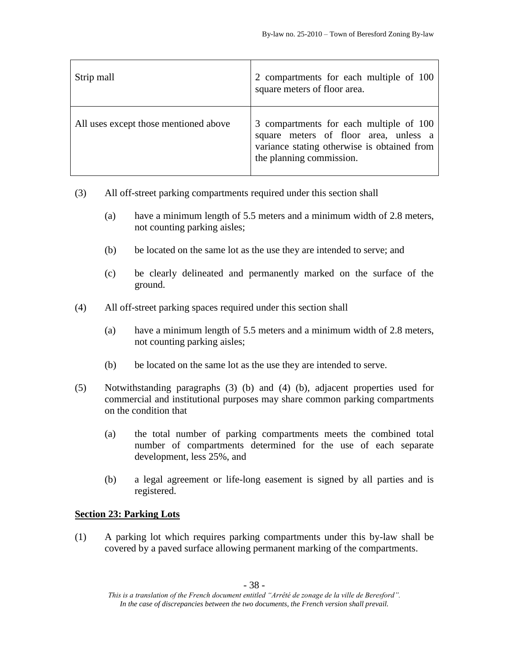| Strip mall                            | 2 compartments for each multiple of 100<br>square meters of floor area.                                                                                     |
|---------------------------------------|-------------------------------------------------------------------------------------------------------------------------------------------------------------|
| All uses except those mentioned above | 3 compartments for each multiple of 100<br>square meters of floor area, unless a<br>variance stating otherwise is obtained from<br>the planning commission. |

- (3) All off-street parking compartments required under this section shall
	- (a) have a minimum length of 5.5 meters and a minimum width of 2.8 meters, not counting parking aisles;
	- (b) be located on the same lot as the use they are intended to serve; and
	- (c) be clearly delineated and permanently marked on the surface of the ground.
- (4) All off-street parking spaces required under this section shall
	- (a) have a minimum length of 5.5 meters and a minimum width of 2.8 meters, not counting parking aisles;
	- (b) be located on the same lot as the use they are intended to serve.
- (5) Notwithstanding paragraphs (3) (b) and (4) (b), adjacent properties used for commercial and institutional purposes may share common parking compartments on the condition that
	- (a) the total number of parking compartments meets the combined total number of compartments determined for the use of each separate development, less 25%, and
	- (b) a legal agreement or life-long easement is signed by all parties and is registered.

# **Section 23: Parking Lots**

(1) A parking lot which requires parking compartments under this by-law shall be covered by a paved surface allowing permanent marking of the compartments.

*This is a translation of the French document entitled "Arrêté de zonage de la ville de Beresford". In the case of discrepancies between the two documents, the French version shall prevail.*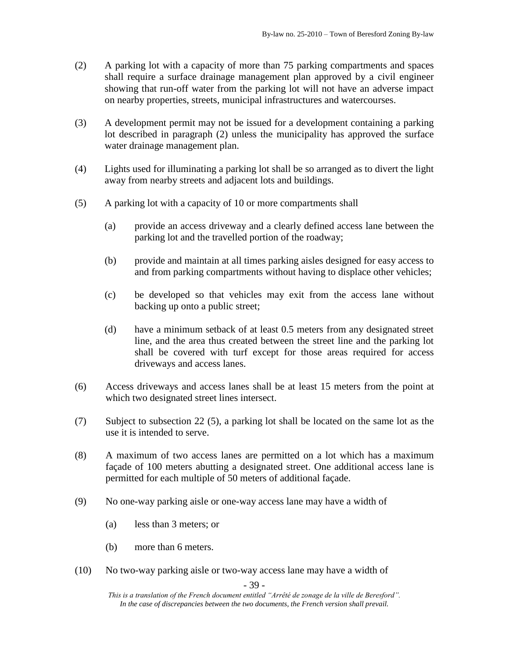- (2) A parking lot with a capacity of more than 75 parking compartments and spaces shall require a surface drainage management plan approved by a civil engineer showing that run-off water from the parking lot will not have an adverse impact on nearby properties, streets, municipal infrastructures and watercourses.
- (3) A development permit may not be issued for a development containing a parking lot described in paragraph (2) unless the municipality has approved the surface water drainage management plan.
- (4) Lights used for illuminating a parking lot shall be so arranged as to divert the light away from nearby streets and adjacent lots and buildings.
- (5) A parking lot with a capacity of 10 or more compartments shall
	- (a) provide an access driveway and a clearly defined access lane between the parking lot and the travelled portion of the roadway;
	- (b) provide and maintain at all times parking aisles designed for easy access to and from parking compartments without having to displace other vehicles;
	- (c) be developed so that vehicles may exit from the access lane without backing up onto a public street;
	- (d) have a minimum setback of at least 0.5 meters from any designated street line, and the area thus created between the street line and the parking lot shall be covered with turf except for those areas required for access driveways and access lanes.
- (6) Access driveways and access lanes shall be at least 15 meters from the point at which two designated street lines intersect.
- (7) Subject to subsection 22 (5), a parking lot shall be located on the same lot as the use it is intended to serve.
- (8) A maximum of two access lanes are permitted on a lot which has a maximum façade of 100 meters abutting a designated street. One additional access lane is permitted for each multiple of 50 meters of additional façade.
- (9) No one-way parking aisle or one-way access lane may have a width of
	- (a) less than 3 meters; or
	- (b) more than 6 meters.
- (10) No two-way parking aisle or two-way access lane may have a width of

- 39 -

*This is a translation of the French document entitled "Arrêté de zonage de la ville de Beresford". In the case of discrepancies between the two documents, the French version shall prevail.*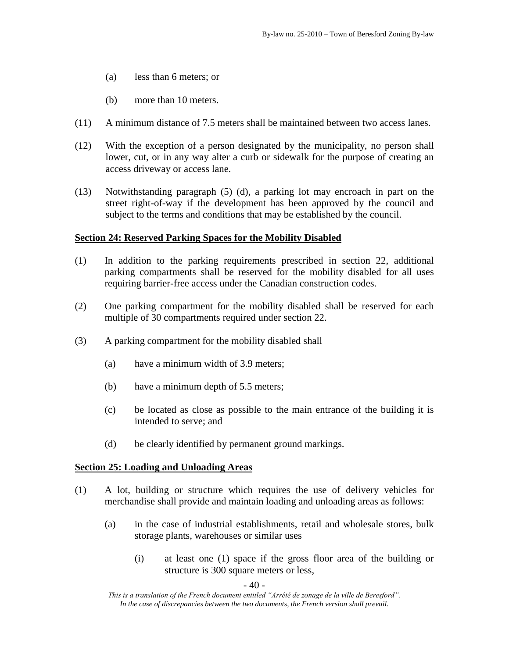- (a) less than 6 meters; or
- (b) more than 10 meters.
- (11) A minimum distance of 7.5 meters shall be maintained between two access lanes.
- (12) With the exception of a person designated by the municipality, no person shall lower, cut, or in any way alter a curb or sidewalk for the purpose of creating an access driveway or access lane.
- (13) Notwithstanding paragraph (5) (d), a parking lot may encroach in part on the street right-of-way if the development has been approved by the council and subject to the terms and conditions that may be established by the council.

## **Section 24: Reserved Parking Spaces for the Mobility Disabled**

- (1) In addition to the parking requirements prescribed in section 22, additional parking compartments shall be reserved for the mobility disabled for all uses requiring barrier-free access under the Canadian construction codes.
- (2) One parking compartment for the mobility disabled shall be reserved for each multiple of 30 compartments required under section 22.
- (3) A parking compartment for the mobility disabled shall
	- (a) have a minimum width of 3.9 meters;
	- (b) have a minimum depth of 5.5 meters;
	- (c) be located as close as possible to the main entrance of the building it is intended to serve; and
	- (d) be clearly identified by permanent ground markings.

#### **Section 25: Loading and Unloading Areas**

- (1) A lot, building or structure which requires the use of delivery vehicles for merchandise shall provide and maintain loading and unloading areas as follows:
	- (a) in the case of industrial establishments, retail and wholesale stores, bulk storage plants, warehouses or similar uses
		- (i) at least one (1) space if the gross floor area of the building or structure is 300 square meters or less,

*This is a translation of the French document entitled "Arrêté de zonage de la ville de Beresford". In the case of discrepancies between the two documents, the French version shall prevail.*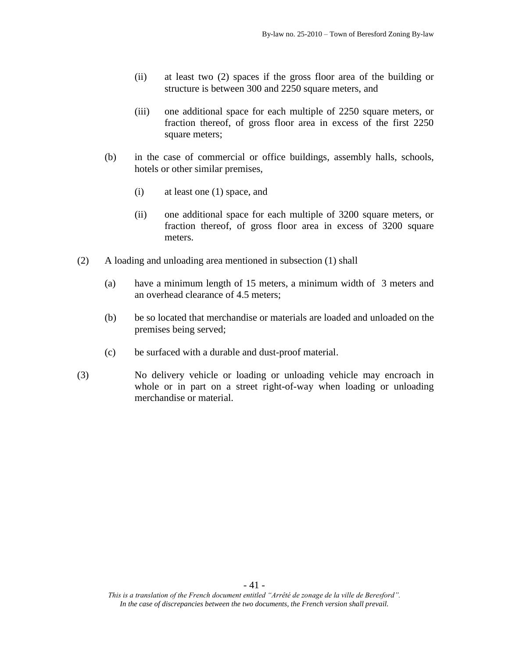- (ii) at least two (2) spaces if the gross floor area of the building or structure is between 300 and 2250 square meters, and
- (iii) one additional space for each multiple of 2250 square meters, or fraction thereof, of gross floor area in excess of the first 2250 square meters;
- (b) in the case of commercial or office buildings, assembly halls, schools, hotels or other similar premises,
	- (i) at least one (1) space, and
	- (ii) one additional space for each multiple of 3200 square meters, or fraction thereof, of gross floor area in excess of 3200 square meters.
- (2) A loading and unloading area mentioned in subsection (1) shall
	- (a) have a minimum length of 15 meters, a minimum width of 3 meters and an overhead clearance of 4.5 meters;
	- (b) be so located that merchandise or materials are loaded and unloaded on the premises being served;
	- (c) be surfaced with a durable and dust-proof material.
- (3) No delivery vehicle or loading or unloading vehicle may encroach in whole or in part on a street right-of-way when loading or unloading merchandise or material.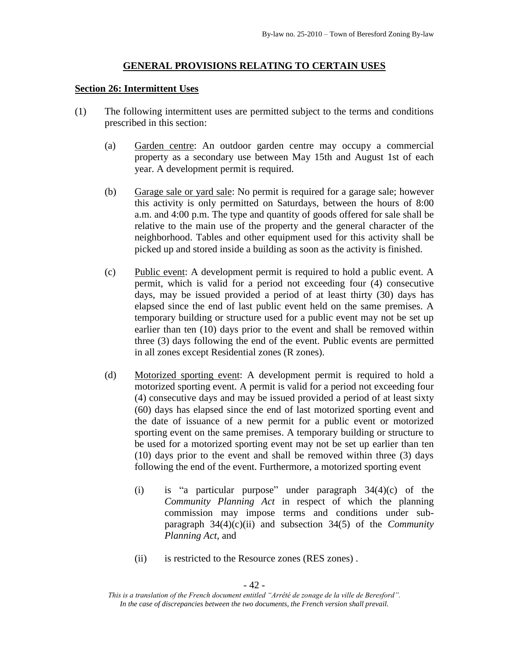#### **GENERAL PROVISIONS RELATING TO CERTAIN USES**

#### **Section 26: Intermittent Uses**

- (1) The following intermittent uses are permitted subject to the terms and conditions prescribed in this section:
	- (a) Garden centre: An outdoor garden centre may occupy a commercial property as a secondary use between May 15th and August 1st of each year. A development permit is required.
	- (b) Garage sale or yard sale: No permit is required for a garage sale; however this activity is only permitted on Saturdays, between the hours of 8:00 a.m. and 4:00 p.m. The type and quantity of goods offered for sale shall be relative to the main use of the property and the general character of the neighborhood. Tables and other equipment used for this activity shall be picked up and stored inside a building as soon as the activity is finished.
	- (c) Public event: A development permit is required to hold a public event. A permit, which is valid for a period not exceeding four (4) consecutive days, may be issued provided a period of at least thirty (30) days has elapsed since the end of last public event held on the same premises. A temporary building or structure used for a public event may not be set up earlier than ten (10) days prior to the event and shall be removed within three (3) days following the end of the event. Public events are permitted in all zones except Residential zones (R zones).
	- (d) Motorized sporting event: A development permit is required to hold a motorized sporting event. A permit is valid for a period not exceeding four (4) consecutive days and may be issued provided a period of at least sixty (60) days has elapsed since the end of last motorized sporting event and the date of issuance of a new permit for a public event or motorized sporting event on the same premises. A temporary building or structure to be used for a motorized sporting event may not be set up earlier than ten (10) days prior to the event and shall be removed within three (3) days following the end of the event. Furthermore, a motorized sporting event
		- (i) is "a particular purpose" under paragraph 34(4)(c) of the *Community Planning Act* in respect of which the planning commission may impose terms and conditions under subparagraph 34(4)(c)(ii) and subsection 34(5) of the *Community Planning Act*, and
		- (ii) is restricted to the Resource zones (RES zones) .

- 42 -

*This is a translation of the French document entitled "Arrêté de zonage de la ville de Beresford". In the case of discrepancies between the two documents, the French version shall prevail.*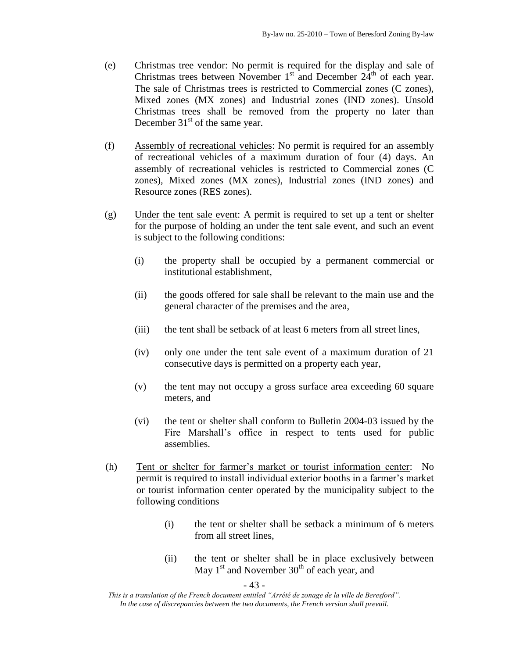- (e) Christmas tree vendor: No permit is required for the display and sale of Christmas trees between November  $1<sup>st</sup>$  and December  $24<sup>th</sup>$  of each year. The sale of Christmas trees is restricted to Commercial zones (C zones), Mixed zones (MX zones) and Industrial zones (IND zones). Unsold Christmas trees shall be removed from the property no later than December  $31<sup>st</sup>$  of the same year.
- (f) Assembly of recreational vehicles: No permit is required for an assembly of recreational vehicles of a maximum duration of four (4) days. An assembly of recreational vehicles is restricted to Commercial zones (C zones), Mixed zones (MX zones), Industrial zones (IND zones) and Resource zones (RES zones).
- (g) Under the tent sale event: A permit is required to set up a tent or shelter for the purpose of holding an under the tent sale event, and such an event is subject to the following conditions:
	- (i) the property shall be occupied by a permanent commercial or institutional establishment,
	- (ii) the goods offered for sale shall be relevant to the main use and the general character of the premises and the area,
	- (iii) the tent shall be setback of at least 6 meters from all street lines,
	- (iv) only one under the tent sale event of a maximum duration of 21 consecutive days is permitted on a property each year,
	- (v) the tent may not occupy a gross surface area exceeding 60 square meters, and
	- (vi) the tent or shelter shall conform to Bulletin 2004-03 issued by the Fire Marshall's office in respect to tents used for public assemblies.
- (h) Tent or shelter for farmer's market or tourist information center: No permit is required to install individual exterior booths in a farmer's market or tourist information center operated by the municipality subject to the following conditions
	- (i) the tent or shelter shall be setback a minimum of 6 meters from all street lines,
	- (ii) the tent or shelter shall be in place exclusively between May  $1<sup>st</sup>$  and November  $30<sup>th</sup>$  of each year, and

- 43 -

*This is a translation of the French document entitled "Arrêté de zonage de la ville de Beresford". In the case of discrepancies between the two documents, the French version shall prevail.*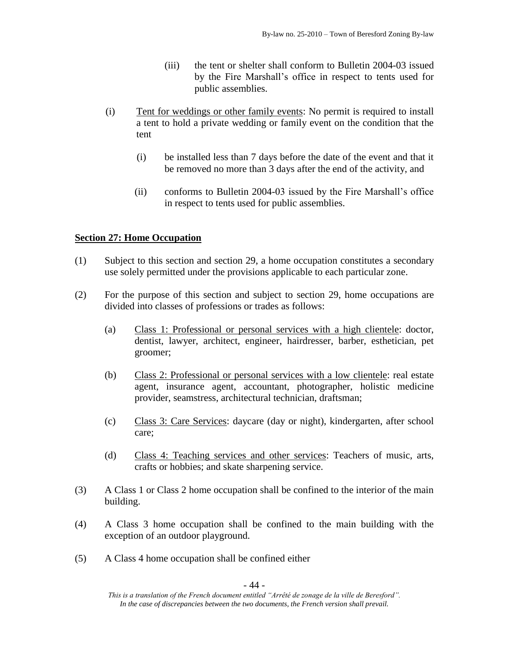- (iii) the tent or shelter shall conform to Bulletin 2004-03 issued by the Fire Marshall's office in respect to tents used for public assemblies.
- (i) Tent for weddings or other family events: No permit is required to install a tent to hold a private wedding or family event on the condition that the tent
	- (i) be installed less than 7 days before the date of the event and that it be removed no more than 3 days after the end of the activity, and
	- (ii) conforms to Bulletin 2004-03 issued by the Fire Marshall's office in respect to tents used for public assemblies.

# **Section 27: Home Occupation**

- (1) Subject to this section and section 29, a home occupation constitutes a secondary use solely permitted under the provisions applicable to each particular zone.
- (2) For the purpose of this section and subject to section 29, home occupations are divided into classes of professions or trades as follows:
	- (a) Class 1: Professional or personal services with a high clientele: doctor, dentist, lawyer, architect, engineer, hairdresser, barber, esthetician, pet groomer;
	- (b) Class 2: Professional or personal services with a low clientele: real estate agent, insurance agent, accountant, photographer, holistic medicine provider, seamstress, architectural technician, draftsman;
	- (c) Class 3: Care Services: daycare (day or night), kindergarten, after school care;
	- (d) Class 4: Teaching services and other services: Teachers of music, arts, crafts or hobbies; and skate sharpening service.
- (3) A Class 1 or Class 2 home occupation shall be confined to the interior of the main building.
- (4) A Class 3 home occupation shall be confined to the main building with the exception of an outdoor playground.
- (5) A Class 4 home occupation shall be confined either

*This is a translation of the French document entitled "Arrêté de zonage de la ville de Beresford". In the case of discrepancies between the two documents, the French version shall prevail.*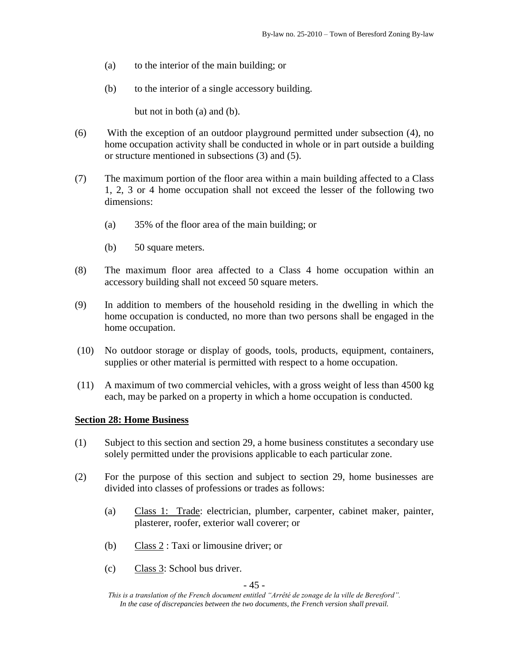- (a) to the interior of the main building; or
- (b) to the interior of a single accessory building.

but not in both (a) and (b).

- (6) With the exception of an outdoor playground permitted under subsection (4), no home occupation activity shall be conducted in whole or in part outside a building or structure mentioned in subsections (3) and (5).
- (7) The maximum portion of the floor area within a main building affected to a Class 1, 2, 3 or 4 home occupation shall not exceed the lesser of the following two dimensions:
	- (a) 35% of the floor area of the main building; or
	- (b) 50 square meters.
- (8) The maximum floor area affected to a Class 4 home occupation within an accessory building shall not exceed 50 square meters.
- (9) In addition to members of the household residing in the dwelling in which the home occupation is conducted, no more than two persons shall be engaged in the home occupation.
- (10) No outdoor storage or display of goods, tools, products, equipment, containers, supplies or other material is permitted with respect to a home occupation.
- (11) A maximum of two commercial vehicles, with a gross weight of less than 4500 kg each, may be parked on a property in which a home occupation is conducted.

#### **Section 28: Home Business**

- (1) Subject to this section and section 29, a home business constitutes a secondary use solely permitted under the provisions applicable to each particular zone.
- (2) For the purpose of this section and subject to section 29, home businesses are divided into classes of professions or trades as follows:
	- (a) Class 1: Trade: electrician, plumber, carpenter, cabinet maker, painter, plasterer, roofer, exterior wall coverer; or
	- (b) Class 2 : Taxi or limousine driver; or
	- (c) Class 3: School bus driver.

- 45 -

*This is a translation of the French document entitled "Arrêté de zonage de la ville de Beresford". In the case of discrepancies between the two documents, the French version shall prevail.*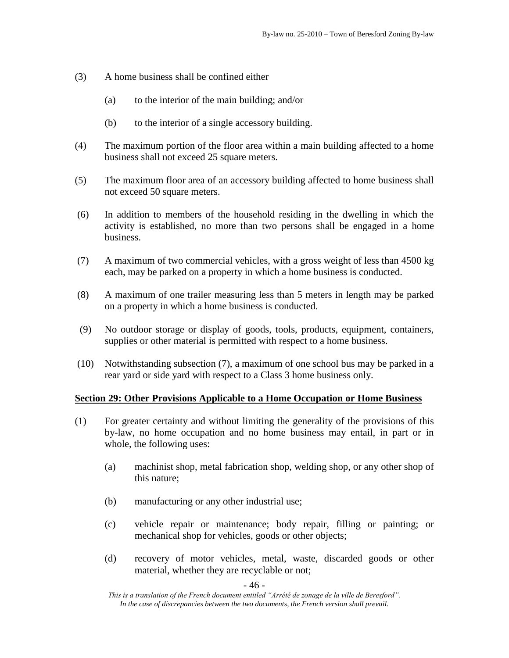- (3) A home business shall be confined either
	- (a) to the interior of the main building; and/or
	- (b) to the interior of a single accessory building.
- (4) The maximum portion of the floor area within a main building affected to a home business shall not exceed 25 square meters.
- (5) The maximum floor area of an accessory building affected to home business shall not exceed 50 square meters.
- (6) In addition to members of the household residing in the dwelling in which the activity is established, no more than two persons shall be engaged in a home business.
- (7) A maximum of two commercial vehicles, with a gross weight of less than 4500 kg each, may be parked on a property in which a home business is conducted.
- (8) A maximum of one trailer measuring less than 5 meters in length may be parked on a property in which a home business is conducted.
- (9) No outdoor storage or display of goods, tools, products, equipment, containers, supplies or other material is permitted with respect to a home business.
- (10) Notwithstanding subsection (7), a maximum of one school bus may be parked in a rear yard or side yard with respect to a Class 3 home business only.

#### **Section 29: Other Provisions Applicable to a Home Occupation or Home Business**

- (1) For greater certainty and without limiting the generality of the provisions of this by-law, no home occupation and no home business may entail, in part or in whole, the following uses:
	- (a) machinist shop, metal fabrication shop, welding shop, or any other shop of this nature;
	- (b) manufacturing or any other industrial use;
	- (c) vehicle repair or maintenance; body repair, filling or painting; or mechanical shop for vehicles, goods or other objects;
	- (d) recovery of motor vehicles, metal, waste, discarded goods or other material, whether they are recyclable or not;

- 46 -

*This is a translation of the French document entitled "Arrêté de zonage de la ville de Beresford". In the case of discrepancies between the two documents, the French version shall prevail.*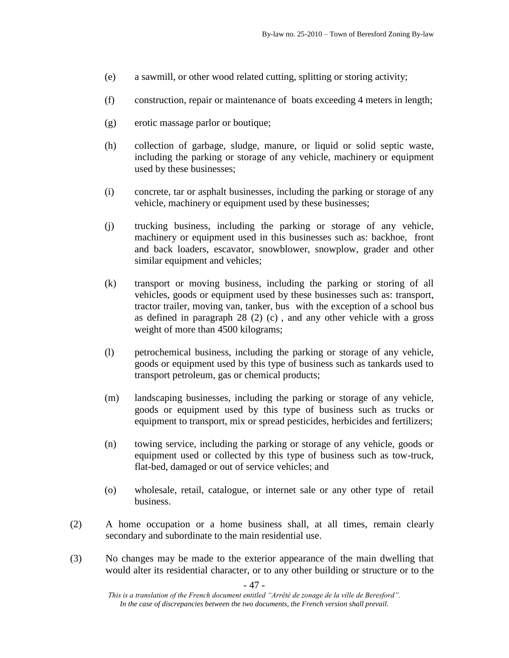- (e) a sawmill, or other wood related cutting, splitting or storing activity;
- (f) construction, repair or maintenance of boats exceeding 4 meters in length;
- (g) erotic massage parlor or boutique;
- (h) collection of garbage, sludge, manure, or liquid or solid septic waste, including the parking or storage of any vehicle, machinery or equipment used by these businesses;
- (i) concrete, tar or asphalt businesses, including the parking or storage of any vehicle, machinery or equipment used by these businesses;
- (j) trucking business, including the parking or storage of any vehicle, machinery or equipment used in this businesses such as: backhoe, front and back loaders, escavator, snowblower, snowplow, grader and other similar equipment and vehicles;
- (k) transport or moving business, including the parking or storing of all vehicles, goods or equipment used by these businesses such as: transport, tractor trailer, moving van, tanker, bus with the exception of a school bus as defined in paragraph 28 (2) (c) , and any other vehicle with a gross weight of more than 4500 kilograms;
- (l) petrochemical business, including the parking or storage of any vehicle, goods or equipment used by this type of business such as tankards used to transport petroleum, gas or chemical products;
- (m) landscaping businesses, including the parking or storage of any vehicle, goods or equipment used by this type of business such as trucks or equipment to transport, mix or spread pesticides, herbicides and fertilizers;
- (n) towing service, including the parking or storage of any vehicle, goods or equipment used or collected by this type of business such as tow-truck, flat-bed, damaged or out of service vehicles; and
- (o) wholesale, retail, catalogue, or internet sale or any other type of retail business.
- (2) A home occupation or a home business shall, at all times, remain clearly secondary and subordinate to the main residential use.
- (3) No changes may be made to the exterior appearance of the main dwelling that would alter its residential character, or to any other building or structure or to the

*This is a translation of the French document entitled "Arrêté de zonage de la ville de Beresford". In the case of discrepancies between the two documents, the French version shall prevail.*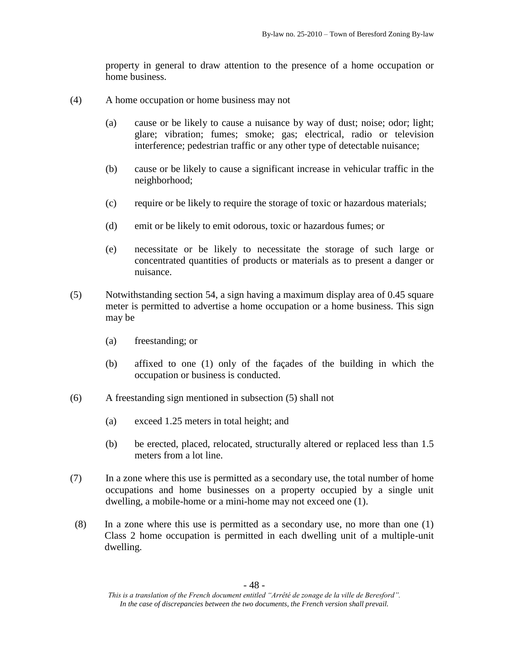property in general to draw attention to the presence of a home occupation or home business.

- (4) A home occupation or home business may not
	- (a) cause or be likely to cause a nuisance by way of dust; noise; odor; light; glare; vibration; fumes; smoke; gas; electrical, radio or television interference; pedestrian traffic or any other type of detectable nuisance;
	- (b) cause or be likely to cause a significant increase in vehicular traffic in the neighborhood;
	- (c) require or be likely to require the storage of toxic or hazardous materials;
	- (d) emit or be likely to emit odorous, toxic or hazardous fumes; or
	- (e) necessitate or be likely to necessitate the storage of such large or concentrated quantities of products or materials as to present a danger or nuisance.
- (5) Notwithstanding section 54, a sign having a maximum display area of 0.45 square meter is permitted to advertise a home occupation or a home business. This sign may be
	- (a) freestanding; or
	- (b) affixed to one (1) only of the façades of the building in which the occupation or business is conducted.
- (6) A freestanding sign mentioned in subsection (5) shall not
	- (a) exceed 1.25 meters in total height; and
	- (b) be erected, placed, relocated, structurally altered or replaced less than 1.5 meters from a lot line.
- (7) In a zone where this use is permitted as a secondary use, the total number of home occupations and home businesses on a property occupied by a single unit dwelling, a mobile-home or a mini-home may not exceed one (1).
- (8) In a zone where this use is permitted as a secondary use, no more than one (1) Class 2 home occupation is permitted in each dwelling unit of a multiple-unit dwelling.

*This is a translation of the French document entitled "Arrêté de zonage de la ville de Beresford". In the case of discrepancies between the two documents, the French version shall prevail.*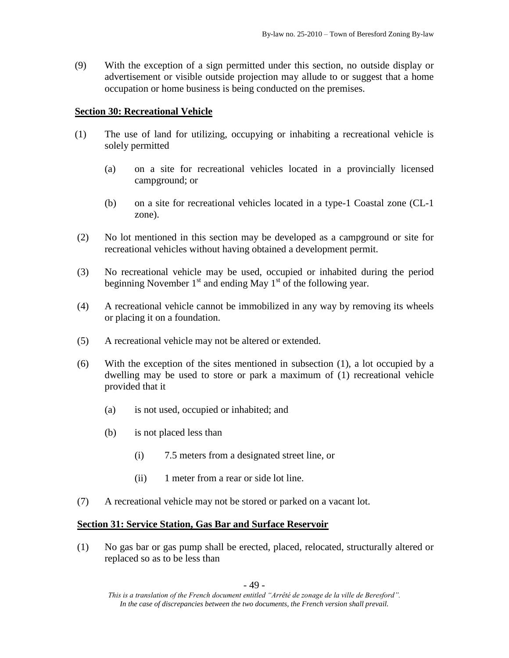(9) With the exception of a sign permitted under this section, no outside display or advertisement or visible outside projection may allude to or suggest that a home occupation or home business is being conducted on the premises.

## **Section 30: Recreational Vehicle**

- (1) The use of land for utilizing, occupying or inhabiting a recreational vehicle is solely permitted
	- (a) on a site for recreational vehicles located in a provincially licensed campground; or
	- (b) on a site for recreational vehicles located in a type-1 Coastal zone (CL-1 zone).
- (2) No lot mentioned in this section may be developed as a campground or site for recreational vehicles without having obtained a development permit.
- (3) No recreational vehicle may be used, occupied or inhabited during the period beginning November  $1<sup>st</sup>$  and ending May  $1<sup>st</sup>$  of the following year.
- (4) A recreational vehicle cannot be immobilized in any way by removing its wheels or placing it on a foundation.
- (5) A recreational vehicle may not be altered or extended.
- (6) With the exception of the sites mentioned in subsection (1), a lot occupied by a dwelling may be used to store or park a maximum of (1) recreational vehicle provided that it
	- (a) is not used, occupied or inhabited; and
	- (b) is not placed less than
		- (i) 7.5 meters from a designated street line, or
		- (ii) 1 meter from a rear or side lot line.
- (7) A recreational vehicle may not be stored or parked on a vacant lot.

#### **Section 31: Service Station, Gas Bar and Surface Reservoir**

(1) No gas bar or gas pump shall be erected, placed, relocated, structurally altered or replaced so as to be less than

*This is a translation of the French document entitled "Arrêté de zonage de la ville de Beresford". In the case of discrepancies between the two documents, the French version shall prevail.*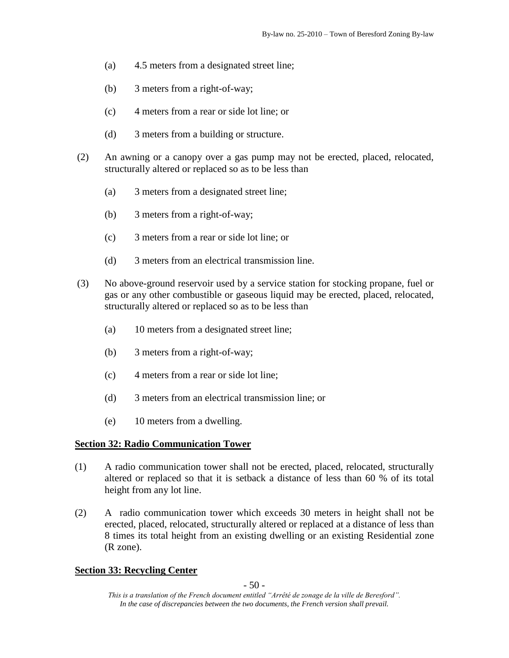- (a) 4.5 meters from a designated street line;
- (b) 3 meters from a right-of-way;
- (c) 4 meters from a rear or side lot line; or
- (d) 3 meters from a building or structure.
- (2) An awning or a canopy over a gas pump may not be erected, placed, relocated, structurally altered or replaced so as to be less than
	- (a) 3 meters from a designated street line;
	- (b) 3 meters from a right-of-way;
	- (c) 3 meters from a rear or side lot line; or
	- (d) 3 meters from an electrical transmission line.
- (3) No above-ground reservoir used by a service station for stocking propane, fuel or gas or any other combustible or gaseous liquid may be erected, placed, relocated, structurally altered or replaced so as to be less than
	- (a) 10 meters from a designated street line;
	- (b) 3 meters from a right-of-way;
	- (c) 4 meters from a rear or side lot line;
	- (d) 3 meters from an electrical transmission line; or
	- (e) 10 meters from a dwelling.

# **Section 32: Radio Communication Tower**

- (1) A radio communication tower shall not be erected, placed, relocated, structurally altered or replaced so that it is setback a distance of less than 60 % of its total height from any lot line.
- (2) A radio communication tower which exceeds 30 meters in height shall not be erected, placed, relocated, structurally altered or replaced at a distance of less than 8 times its total height from an existing dwelling or an existing Residential zone (R zone).

# **Section 33: Recycling Center**

- 50 -

*This is a translation of the French document entitled "Arrêté de zonage de la ville de Beresford". In the case of discrepancies between the two documents, the French version shall prevail.*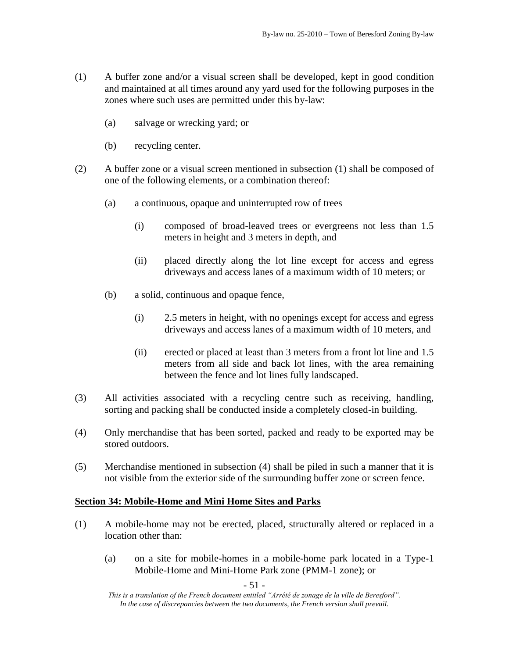- (1) A buffer zone and/or a visual screen shall be developed, kept in good condition and maintained at all times around any yard used for the following purposes in the zones where such uses are permitted under this by-law:
	- (a) salvage or wrecking yard; or
	- (b) recycling center.
- (2) A buffer zone or a visual screen mentioned in subsection (1) shall be composed of one of the following elements, or a combination thereof:
	- (a) a continuous, opaque and uninterrupted row of trees
		- (i) composed of broad-leaved trees or evergreens not less than 1.5 meters in height and 3 meters in depth, and
		- (ii) placed directly along the lot line except for access and egress driveways and access lanes of a maximum width of 10 meters; or
	- (b) a solid, continuous and opaque fence,
		- (i) 2.5 meters in height, with no openings except for access and egress driveways and access lanes of a maximum width of 10 meters, and
		- (ii) erected or placed at least than 3 meters from a front lot line and 1.5 meters from all side and back lot lines, with the area remaining between the fence and lot lines fully landscaped.
- (3) All activities associated with a recycling centre such as receiving, handling, sorting and packing shall be conducted inside a completely closed-in building.
- (4) Only merchandise that has been sorted, packed and ready to be exported may be stored outdoors.
- (5) Merchandise mentioned in subsection (4) shall be piled in such a manner that it is not visible from the exterior side of the surrounding buffer zone or screen fence.

#### **Section 34: Mobile-Home and Mini Home Sites and Parks**

- (1) A mobile-home may not be erected, placed, structurally altered or replaced in a location other than:
	- (a) on a site for mobile-homes in a mobile-home park located in a Type-1 Mobile-Home and Mini-Home Park zone (PMM-1 zone); or

- 51 -

*This is a translation of the French document entitled "Arrêté de zonage de la ville de Beresford". In the case of discrepancies between the two documents, the French version shall prevail.*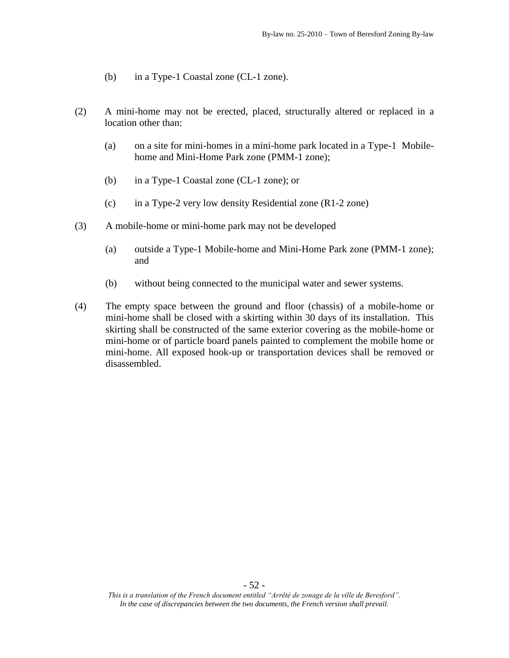- (b) in a Type-1 Coastal zone (CL-1 zone).
- (2) A mini-home may not be erected, placed, structurally altered or replaced in a location other than:
	- (a) on a site for mini-homes in a mini-home park located in a Type-1 Mobilehome and Mini-Home Park zone (PMM-1 zone);
	- (b) in a Type-1 Coastal zone (CL-1 zone); or
	- (c) in a Type-2 very low density Residential zone (R1-2 zone)
- (3) A mobile-home or mini-home park may not be developed
	- (a) outside a Type-1 Mobile-home and Mini-Home Park zone (PMM-1 zone); and
	- (b) without being connected to the municipal water and sewer systems.
- (4) The empty space between the ground and floor (chassis) of a mobile-home or mini-home shall be closed with a skirting within 30 days of its installation. This skirting shall be constructed of the same exterior covering as the mobile-home or mini-home or of particle board panels painted to complement the mobile home or mini-home. All exposed hook-up or transportation devices shall be removed or disassembled.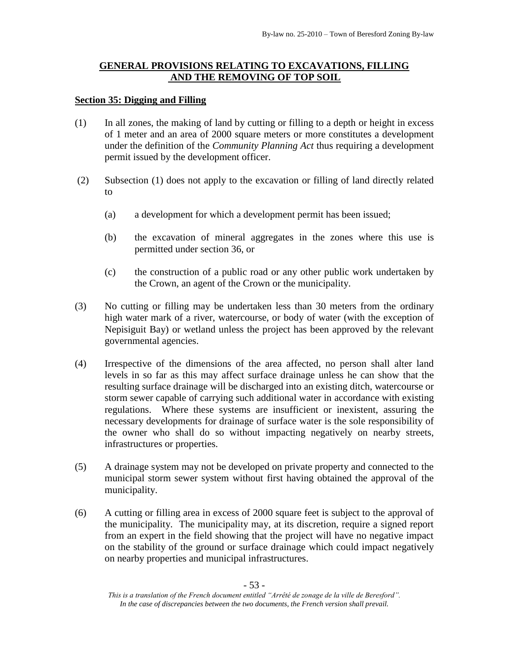# **GENERAL PROVISIONS RELATING TO EXCAVATIONS, FILLING AND THE REMOVING OF TOP SOIL**

## **Section 35: Digging and Filling**

- (1) In all zones, the making of land by cutting or filling to a depth or height in excess of 1 meter and an area of 2000 square meters or more constitutes a development under the definition of the *Community Planning Act* thus requiring a development permit issued by the development officer.
- (2) Subsection (1) does not apply to the excavation or filling of land directly related to
	- (a) a development for which a development permit has been issued;
	- (b) the excavation of mineral aggregates in the zones where this use is permitted under section 36, or
	- (c) the construction of a public road or any other public work undertaken by the Crown, an agent of the Crown or the municipality.
- (3) No cutting or filling may be undertaken less than 30 meters from the ordinary high water mark of a river, watercourse, or body of water (with the exception of Nepisiguit Bay) or wetland unless the project has been approved by the relevant governmental agencies.
- (4) Irrespective of the dimensions of the area affected, no person shall alter land levels in so far as this may affect surface drainage unless he can show that the resulting surface drainage will be discharged into an existing ditch, watercourse or storm sewer capable of carrying such additional water in accordance with existing regulations. Where these systems are insufficient or inexistent, assuring the necessary developments for drainage of surface water is the sole responsibility of the owner who shall do so without impacting negatively on nearby streets, infrastructures or properties.
- (5) A drainage system may not be developed on private property and connected to the municipal storm sewer system without first having obtained the approval of the municipality.
- (6) A cutting or filling area in excess of 2000 square feet is subject to the approval of the municipality. The municipality may, at its discretion, require a signed report from an expert in the field showing that the project will have no negative impact on the stability of the ground or surface drainage which could impact negatively on nearby properties and municipal infrastructures.

*This is a translation of the French document entitled "Arrêté de zonage de la ville de Beresford". In the case of discrepancies between the two documents, the French version shall prevail.*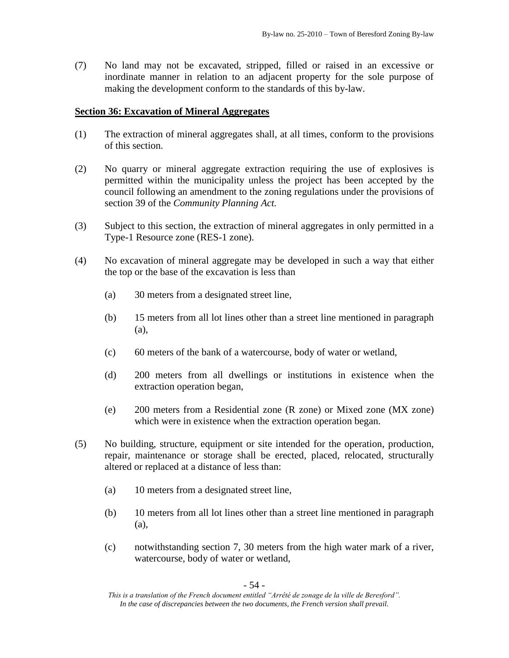(7) No land may not be excavated, stripped, filled or raised in an excessive or inordinate manner in relation to an adjacent property for the sole purpose of making the development conform to the standards of this by-law.

## **Section 36: Excavation of Mineral Aggregates**

- (1) The extraction of mineral aggregates shall, at all times, conform to the provisions of this section.
- (2) No quarry or mineral aggregate extraction requiring the use of explosives is permitted within the municipality unless the project has been accepted by the council following an amendment to the zoning regulations under the provisions of section 39 of the *Community Planning Act.*
- (3) Subject to this section, the extraction of mineral aggregates in only permitted in a Type-1 Resource zone (RES-1 zone).
- (4) No excavation of mineral aggregate may be developed in such a way that either the top or the base of the excavation is less than
	- (a) 30 meters from a designated street line,
	- (b) 15 meters from all lot lines other than a street line mentioned in paragraph (a),
	- (c) 60 meters of the bank of a watercourse, body of water or wetland,
	- (d) 200 meters from all dwellings or institutions in existence when the extraction operation began,
	- (e) 200 meters from a Residential zone (R zone) or Mixed zone (MX zone) which were in existence when the extraction operation began.
- (5) No building, structure, equipment or site intended for the operation, production, repair, maintenance or storage shall be erected, placed, relocated, structurally altered or replaced at a distance of less than:
	- (a) 10 meters from a designated street line,
	- (b) 10 meters from all lot lines other than a street line mentioned in paragraph (a),
	- (c) notwithstanding section 7, 30 meters from the high water mark of a river, watercourse, body of water or wetland,

- 54 -

*This is a translation of the French document entitled "Arrêté de zonage de la ville de Beresford". In the case of discrepancies between the two documents, the French version shall prevail.*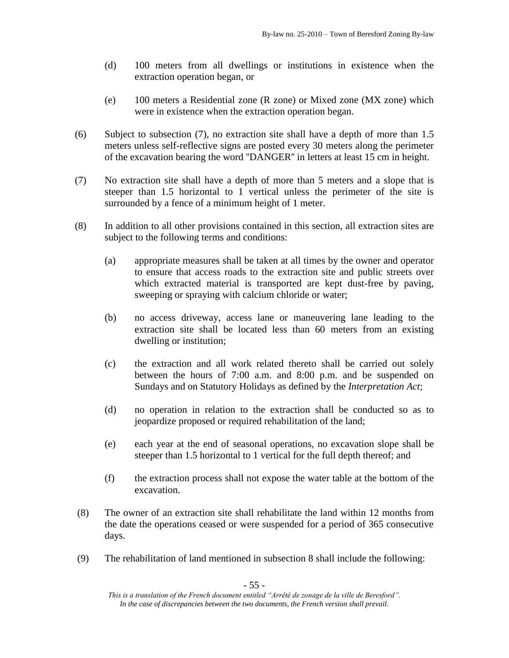- (d) 100 meters from all dwellings or institutions in existence when the extraction operation began, or
- (e) 100 meters a Residential zone (R zone) or Mixed zone (MX zone) which were in existence when the extraction operation began.
- (6) Subject to subsection (7), no extraction site shall have a depth of more than 1.5 meters unless self-reflective signs are posted every 30 meters along the perimeter of the excavation bearing the word ''DANGER'' in letters at least 15 cm in height.
- (7) No extraction site shall have a depth of more than 5 meters and a slope that is steeper than 1.5 horizontal to 1 vertical unless the perimeter of the site is surrounded by a fence of a minimum height of 1 meter.
- (8) In addition to all other provisions contained in this section, all extraction sites are subject to the following terms and conditions:
	- (a) appropriate measures shall be taken at all times by the owner and operator to ensure that access roads to the extraction site and public streets over which extracted material is transported are kept dust-free by paving, sweeping or spraying with calcium chloride or water;
	- (b) no access driveway, access lane or maneuvering lane leading to the extraction site shall be located less than 60 meters from an existing dwelling or institution;
	- (c) the extraction and all work related thereto shall be carried out solely between the hours of 7:00 a.m. and 8:00 p.m. and be suspended on Sundays and on Statutory Holidays as defined by the *Interpretation Act*;
	- (d) no operation in relation to the extraction shall be conducted so as to jeopardize proposed or required rehabilitation of the land;
	- (e) each year at the end of seasonal operations, no excavation slope shall be steeper than 1.5 horizontal to 1 vertical for the full depth thereof; and
	- (f) the extraction process shall not expose the water table at the bottom of the excavation.
- (8) The owner of an extraction site shall rehabilitate the land within 12 months from the date the operations ceased or were suspended for a period of 365 consecutive days.
- (9) The rehabilitation of land mentioned in subsection 8 shall include the following:

*This is a translation of the French document entitled "Arrêté de zonage de la ville de Beresford". In the case of discrepancies between the two documents, the French version shall prevail.*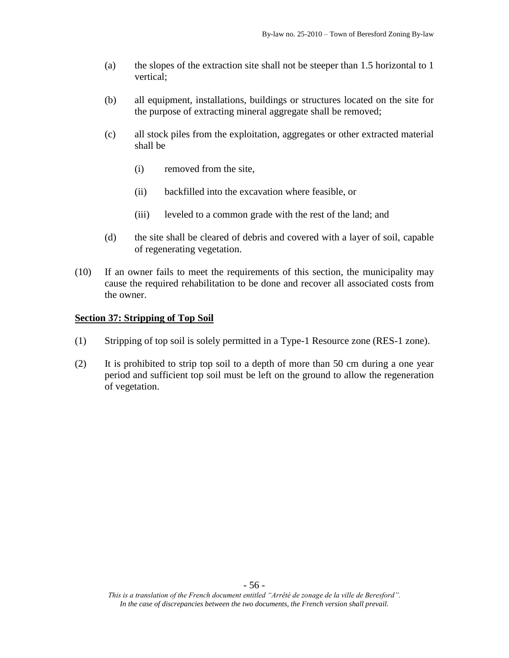- (a) the slopes of the extraction site shall not be steeper than 1.5 horizontal to 1 vertical;
- (b) all equipment, installations, buildings or structures located on the site for the purpose of extracting mineral aggregate shall be removed;
- (c) all stock piles from the exploitation, aggregates or other extracted material shall be
	- (i) removed from the site,
	- (ii) backfilled into the excavation where feasible, or
	- (iii) leveled to a common grade with the rest of the land; and
- (d) the site shall be cleared of debris and covered with a layer of soil, capable of regenerating vegetation.
- (10) If an owner fails to meet the requirements of this section, the municipality may cause the required rehabilitation to be done and recover all associated costs from the owner.

#### **Section 37: Stripping of Top Soil**

- (1) Stripping of top soil is solely permitted in a Type-1 Resource zone (RES-1 zone).
- (2) It is prohibited to strip top soil to a depth of more than 50 cm during a one year period and sufficient top soil must be left on the ground to allow the regeneration of vegetation.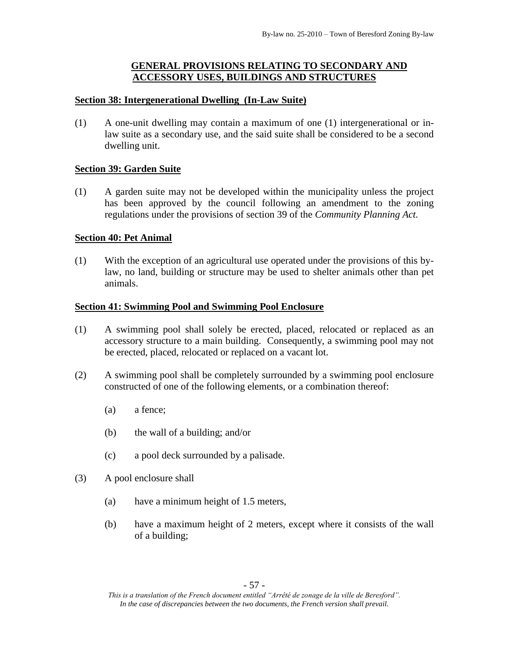# **GENERAL PROVISIONS RELATING TO SECONDARY AND ACCESSORY USES, BUILDINGS AND STRUCTURES**

## **Section 38: Intergenerational Dwelling (In-Law Suite)**

(1) A one-unit dwelling may contain a maximum of one (1) intergenerational or inlaw suite as a secondary use, and the said suite shall be considered to be a second dwelling unit.

# **Section 39: Garden Suite**

(1) A garden suite may not be developed within the municipality unless the project has been approved by the council following an amendment to the zoning regulations under the provisions of section 39 of the *Community Planning Act.*

## **Section 40: Pet Animal**

(1) With the exception of an agricultural use operated under the provisions of this bylaw, no land, building or structure may be used to shelter animals other than pet animals.

## **Section 41: Swimming Pool and Swimming Pool Enclosure**

- (1) A swimming pool shall solely be erected, placed, relocated or replaced as an accessory structure to a main building. Consequently, a swimming pool may not be erected, placed, relocated or replaced on a vacant lot.
- (2) A swimming pool shall be completely surrounded by a swimming pool enclosure constructed of one of the following elements, or a combination thereof:
	- (a) a fence;
	- (b) the wall of a building; and/or
	- (c) a pool deck surrounded by a palisade.
- (3) A pool enclosure shall
	- (a) have a minimum height of 1.5 meters,
	- (b) have a maximum height of 2 meters, except where it consists of the wall of a building;

*This is a translation of the French document entitled "Arrêté de zonage de la ville de Beresford". In the case of discrepancies between the two documents, the French version shall prevail.*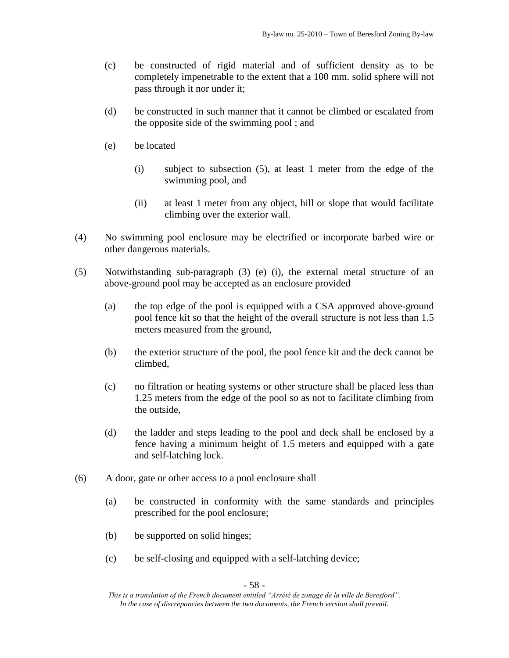- (c) be constructed of rigid material and of sufficient density as to be completely impenetrable to the extent that a 100 mm. solid sphere will not pass through it nor under it;
- (d) be constructed in such manner that it cannot be climbed or escalated from the opposite side of the swimming pool ; and
- (e) be located
	- (i) subject to subsection (5), at least 1 meter from the edge of the swimming pool, and
	- (ii) at least 1 meter from any object, hill or slope that would facilitate climbing over the exterior wall.
- (4) No swimming pool enclosure may be electrified or incorporate barbed wire or other dangerous materials.
- (5) Notwithstanding sub-paragraph (3) (e) (i), the external metal structure of an above-ground pool may be accepted as an enclosure provided
	- (a) the top edge of the pool is equipped with a CSA approved above-ground pool fence kit so that the height of the overall structure is not less than 1.5 meters measured from the ground,
	- (b) the exterior structure of the pool, the pool fence kit and the deck cannot be climbed,
	- (c) no filtration or heating systems or other structure shall be placed less than 1.25 meters from the edge of the pool so as not to facilitate climbing from the outside,
	- (d) the ladder and steps leading to the pool and deck shall be enclosed by a fence having a minimum height of 1.5 meters and equipped with a gate and self-latching lock.
- (6) A door, gate or other access to a pool enclosure shall
	- (a) be constructed in conformity with the same standards and principles prescribed for the pool enclosure;
	- (b) be supported on solid hinges;
	- (c) be self-closing and equipped with a self-latching device;

- 58 -

*This is a translation of the French document entitled "Arrêté de zonage de la ville de Beresford". In the case of discrepancies between the two documents, the French version shall prevail.*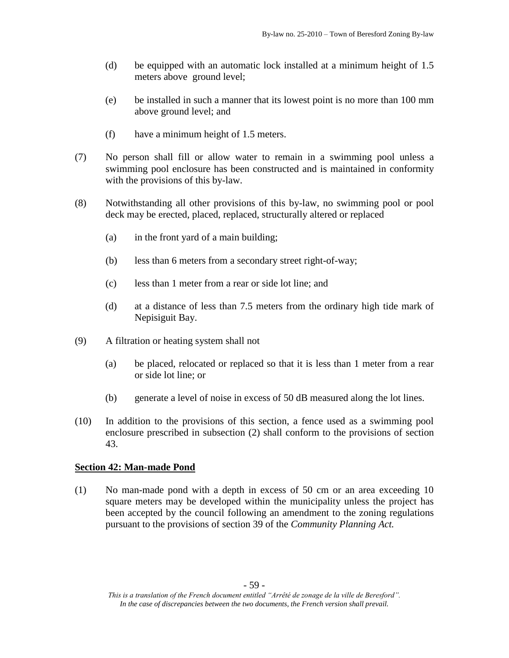- (d) be equipped with an automatic lock installed at a minimum height of 1.5 meters above ground level;
- (e) be installed in such a manner that its lowest point is no more than 100 mm above ground level; and
- (f) have a minimum height of 1.5 meters.
- (7) No person shall fill or allow water to remain in a swimming pool unless a swimming pool enclosure has been constructed and is maintained in conformity with the provisions of this by-law.
- (8) Notwithstanding all other provisions of this by-law, no swimming pool or pool deck may be erected, placed, replaced, structurally altered or replaced
	- (a) in the front yard of a main building;
	- (b) less than 6 meters from a secondary street right-of-way;
	- (c) less than 1 meter from a rear or side lot line; and
	- (d) at a distance of less than 7.5 meters from the ordinary high tide mark of Nepisiguit Bay.
- (9) A filtration or heating system shall not
	- (a) be placed, relocated or replaced so that it is less than 1 meter from a rear or side lot line; or
	- (b) generate a level of noise in excess of 50 dB measured along the lot lines.
- (10) In addition to the provisions of this section, a fence used as a swimming pool enclosure prescribed in subsection (2) shall conform to the provisions of section 43.

#### **Section 42: Man-made Pond**

(1) No man-made pond with a depth in excess of 50 cm or an area exceeding 10 square meters may be developed within the municipality unless the project has been accepted by the council following an amendment to the zoning regulations pursuant to the provisions of section 39 of the *Community Planning Act.*

*This is a translation of the French document entitled "Arrêté de zonage de la ville de Beresford". In the case of discrepancies between the two documents, the French version shall prevail.*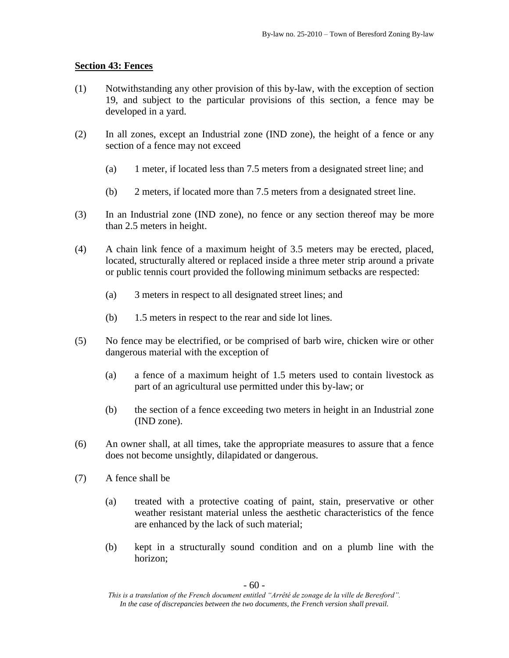# **Section 43: Fences**

- (1) Notwithstanding any other provision of this by-law, with the exception of section 19, and subject to the particular provisions of this section, a fence may be developed in a yard.
- (2) In all zones, except an Industrial zone (IND zone), the height of a fence or any section of a fence may not exceed
	- (a) 1 meter, if located less than 7.5 meters from a designated street line; and
	- (b) 2 meters, if located more than 7.5 meters from a designated street line.
- (3) In an Industrial zone (IND zone), no fence or any section thereof may be more than 2.5 meters in height.
- (4) A chain link fence of a maximum height of 3.5 meters may be erected, placed, located, structurally altered or replaced inside a three meter strip around a private or public tennis court provided the following minimum setbacks are respected:
	- (a) 3 meters in respect to all designated street lines; and
	- (b) 1.5 meters in respect to the rear and side lot lines.
- (5) No fence may be electrified, or be comprised of barb wire, chicken wire or other dangerous material with the exception of
	- (a) a fence of a maximum height of 1.5 meters used to contain livestock as part of an agricultural use permitted under this by-law; or
	- (b) the section of a fence exceeding two meters in height in an Industrial zone (IND zone).
- (6) An owner shall, at all times, take the appropriate measures to assure that a fence does not become unsightly, dilapidated or dangerous.
- (7) A fence shall be
	- (a) treated with a protective coating of paint, stain, preservative or other weather resistant material unless the aesthetic characteristics of the fence are enhanced by the lack of such material;
	- (b) kept in a structurally sound condition and on a plumb line with the horizon;

*This is a translation of the French document entitled "Arrêté de zonage de la ville de Beresford". In the case of discrepancies between the two documents, the French version shall prevail.*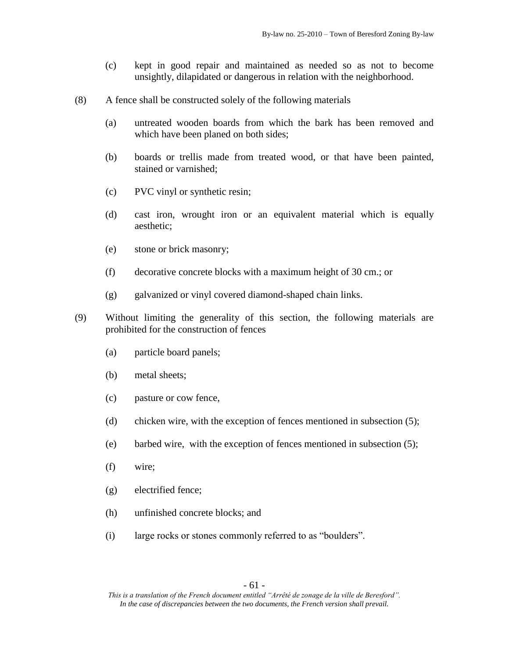- (c) kept in good repair and maintained as needed so as not to become unsightly, dilapidated or dangerous in relation with the neighborhood.
- (8) A fence shall be constructed solely of the following materials
	- (a) untreated wooden boards from which the bark has been removed and which have been planed on both sides;
	- (b) boards or trellis made from treated wood, or that have been painted, stained or varnished;
	- (c) PVC vinyl or synthetic resin;
	- (d) cast iron, wrought iron or an equivalent material which is equally aesthetic;
	- (e) stone or brick masonry;
	- (f) decorative concrete blocks with a maximum height of 30 cm.; or
	- (g) galvanized or vinyl covered diamond-shaped chain links.
- (9) Without limiting the generality of this section, the following materials are prohibited for the construction of fences
	- (a) particle board panels;
	- (b) metal sheets;
	- (c) pasture or cow fence,
	- (d) chicken wire, with the exception of fences mentioned in subsection (5);
	- (e) barbed wire, with the exception of fences mentioned in subsection (5);
	- (f) wire;
	- (g) electrified fence;
	- (h) unfinished concrete blocks; and
	- (i) large rocks or stones commonly referred to as "boulders".

*This is a translation of the French document entitled "Arrêté de zonage de la ville de Beresford". In the case of discrepancies between the two documents, the French version shall prevail.*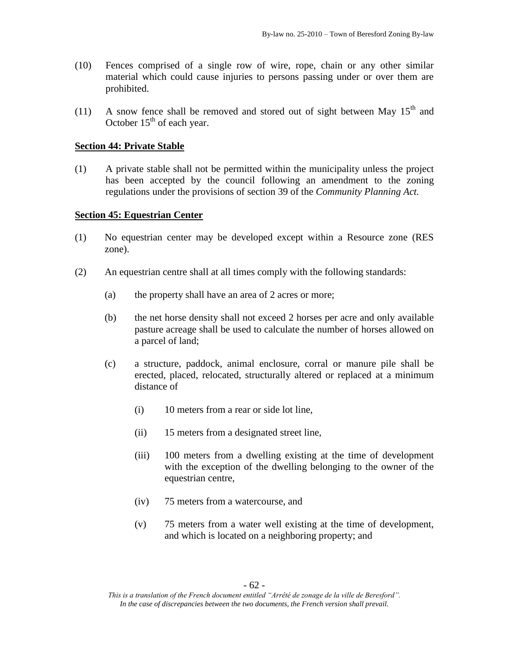- (10) Fences comprised of a single row of wire, rope, chain or any other similar material which could cause injuries to persons passing under or over them are prohibited.
- (11) A snow fence shall be removed and stored out of sight between May  $15<sup>th</sup>$  and October  $15<sup>th</sup>$  of each year.

#### **Section 44: Private Stable**

(1) A private stable shall not be permitted within the municipality unless the project has been accepted by the council following an amendment to the zoning regulations under the provisions of section 39 of the *Community Planning Act.*

#### **Section 45: Equestrian Center**

- (1) No equestrian center may be developed except within a Resource zone (RES zone).
- (2) An equestrian centre shall at all times comply with the following standards:
	- (a) the property shall have an area of 2 acres or more;
	- (b) the net horse density shall not exceed 2 horses per acre and only available pasture acreage shall be used to calculate the number of horses allowed on a parcel of land;
	- (c) a structure, paddock, animal enclosure, corral or manure pile shall be erected, placed, relocated, structurally altered or replaced at a minimum distance of
		- (i) 10 meters from a rear or side lot line,
		- (ii) 15 meters from a designated street line,
		- (iii) 100 meters from a dwelling existing at the time of development with the exception of the dwelling belonging to the owner of the equestrian centre,
		- (iv) 75 meters from a watercourse, and
		- (v) 75 meters from a water well existing at the time of development, and which is located on a neighboring property; and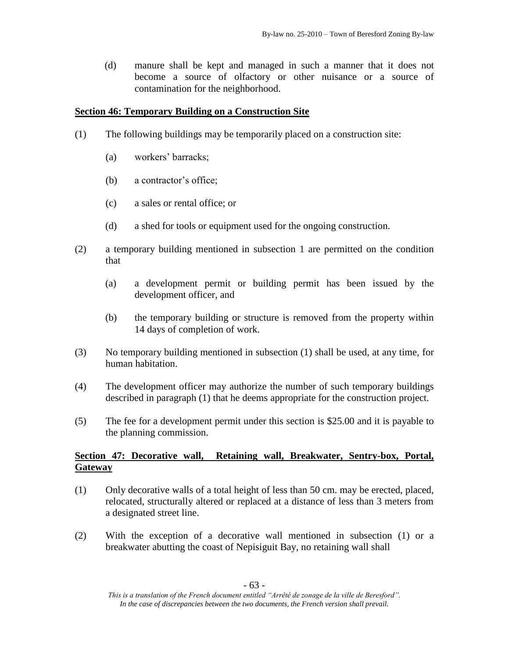(d) manure shall be kept and managed in such a manner that it does not become a source of olfactory or other nuisance or a source of contamination for the neighborhood.

## **Section 46: Temporary Building on a Construction Site**

- (1) The following buildings may be temporarily placed on a construction site:
	- (a) workers' barracks;
	- (b) a contractor's office;
	- (c) a sales or rental office; or
	- (d) a shed for tools or equipment used for the ongoing construction.
- (2) a temporary building mentioned in subsection 1 are permitted on the condition that
	- (a) a development permit or building permit has been issued by the development officer, and
	- (b) the temporary building or structure is removed from the property within 14 days of completion of work.
- (3) No temporary building mentioned in subsection (1) shall be used, at any time, for human habitation.
- (4) The development officer may authorize the number of such temporary buildings described in paragraph (1) that he deems appropriate for the construction project.
- (5) The fee for a development permit under this section is \$25.00 and it is payable to the planning commission.

# **Section 47: Decorative wall, Retaining wall, Breakwater, Sentry-box, Portal, Gateway**

- (1) Only decorative walls of a total height of less than 50 cm. may be erected, placed, relocated, structurally altered or replaced at a distance of less than 3 meters from a designated street line.
- (2) With the exception of a decorative wall mentioned in subsection (1) or a breakwater abutting the coast of Nepisiguit Bay, no retaining wall shall

*This is a translation of the French document entitled "Arrêté de zonage de la ville de Beresford". In the case of discrepancies between the two documents, the French version shall prevail.*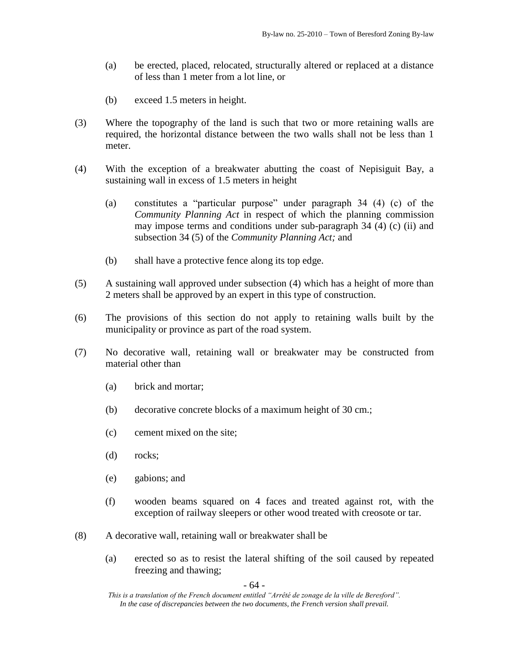- (a) be erected, placed, relocated, structurally altered or replaced at a distance of less than 1 meter from a lot line, or
- (b) exceed 1.5 meters in height.
- (3) Where the topography of the land is such that two or more retaining walls are required, the horizontal distance between the two walls shall not be less than 1 meter.
- (4) With the exception of a breakwater abutting the coast of Nepisiguit Bay, a sustaining wall in excess of 1.5 meters in height
	- (a) constitutes a "particular purpose" under paragraph 34 (4) (c) of the *Community Planning Act* in respect of which the planning commission may impose terms and conditions under sub-paragraph 34 (4) (c) (ii) and subsection 34 (5) of the *Community Planning Act;* and
	- (b) shall have a protective fence along its top edge.
- (5) A sustaining wall approved under subsection (4) which has a height of more than 2 meters shall be approved by an expert in this type of construction.
- (6) The provisions of this section do not apply to retaining walls built by the municipality or province as part of the road system.
- (7) No decorative wall, retaining wall or breakwater may be constructed from material other than
	- (a) brick and mortar;
	- (b) decorative concrete blocks of a maximum height of 30 cm.;
	- (c) cement mixed on the site;
	- (d) rocks;
	- (e) gabions; and
	- (f) wooden beams squared on 4 faces and treated against rot, with the exception of railway sleepers or other wood treated with creosote or tar.
- (8) A decorative wall, retaining wall or breakwater shall be
	- (a) erected so as to resist the lateral shifting of the soil caused by repeated freezing and thawing;

- 64 -

*This is a translation of the French document entitled "Arrêté de zonage de la ville de Beresford". In the case of discrepancies between the two documents, the French version shall prevail.*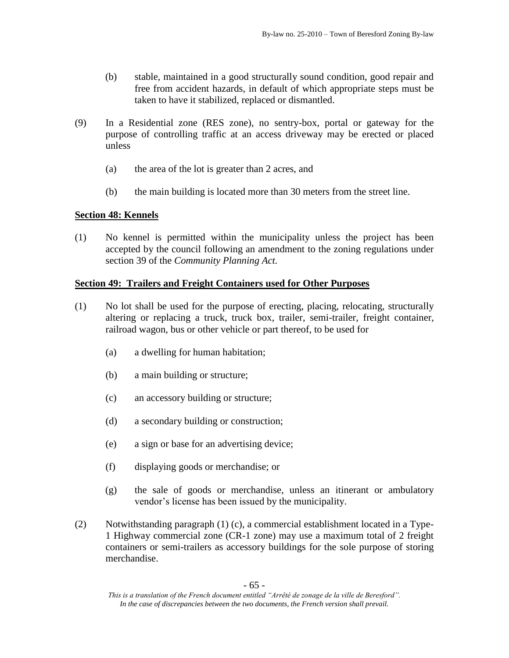- (b) stable, maintained in a good structurally sound condition, good repair and free from accident hazards, in default of which appropriate steps must be taken to have it stabilized, replaced or dismantled.
- (9) In a Residential zone (RES zone), no sentry-box, portal or gateway for the purpose of controlling traffic at an access driveway may be erected or placed unless
	- (a) the area of the lot is greater than 2 acres, and
	- (b) the main building is located more than 30 meters from the street line.

# **Section 48: Kennels**

(1) No kennel is permitted within the municipality unless the project has been accepted by the council following an amendment to the zoning regulations under section 39 of the *Community Planning Act.*

# **Section 49: Trailers and Freight Containers used for Other Purposes**

- (1) No lot shall be used for the purpose of erecting, placing, relocating, structurally altering or replacing a truck, truck box, trailer, semi-trailer, freight container, railroad wagon, bus or other vehicle or part thereof, to be used for
	- (a) a dwelling for human habitation;
	- (b) a main building or structure;
	- (c) an accessory building or structure;
	- (d) a secondary building or construction;
	- (e) a sign or base for an advertising device;
	- (f) displaying goods or merchandise; or
	- (g) the sale of goods or merchandise, unless an itinerant or ambulatory vendor's license has been issued by the municipality.
- (2) Notwithstanding paragraph (1) (c), a commercial establishment located in a Type-1 Highway commercial zone (CR-1 zone) may use a maximum total of 2 freight containers or semi-trailers as accessory buildings for the sole purpose of storing merchandise.

*This is a translation of the French document entitled "Arrêté de zonage de la ville de Beresford". In the case of discrepancies between the two documents, the French version shall prevail.*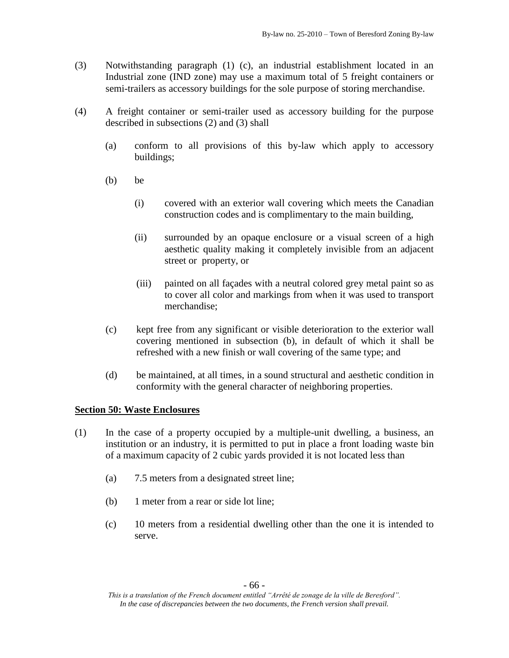- (3) Notwithstanding paragraph (1) (c), an industrial establishment located in an Industrial zone (IND zone) may use a maximum total of 5 freight containers or semi-trailers as accessory buildings for the sole purpose of storing merchandise.
- (4) A freight container or semi-trailer used as accessory building for the purpose described in subsections (2) and (3) shall
	- (a) conform to all provisions of this by-law which apply to accessory buildings;
	- (b) be
		- (i) covered with an exterior wall covering which meets the Canadian construction codes and is complimentary to the main building,
		- (ii) surrounded by an opaque enclosure or a visual screen of a high aesthetic quality making it completely invisible from an adjacent street or property, or
		- (iii) painted on all façades with a neutral colored grey metal paint so as to cover all color and markings from when it was used to transport merchandise;
	- (c) kept free from any significant or visible deterioration to the exterior wall covering mentioned in subsection (b), in default of which it shall be refreshed with a new finish or wall covering of the same type; and
	- (d) be maintained, at all times, in a sound structural and aesthetic condition in conformity with the general character of neighboring properties.

# **Section 50: Waste Enclosures**

- (1) In the case of a property occupied by a multiple-unit dwelling, a business, an institution or an industry, it is permitted to put in place a front loading waste bin of a maximum capacity of 2 cubic yards provided it is not located less than
	- (a) 7.5 meters from a designated street line;
	- (b) 1 meter from a rear or side lot line;
	- (c) 10 meters from a residential dwelling other than the one it is intended to serve.

*This is a translation of the French document entitled "Arrêté de zonage de la ville de Beresford". In the case of discrepancies between the two documents, the French version shall prevail.*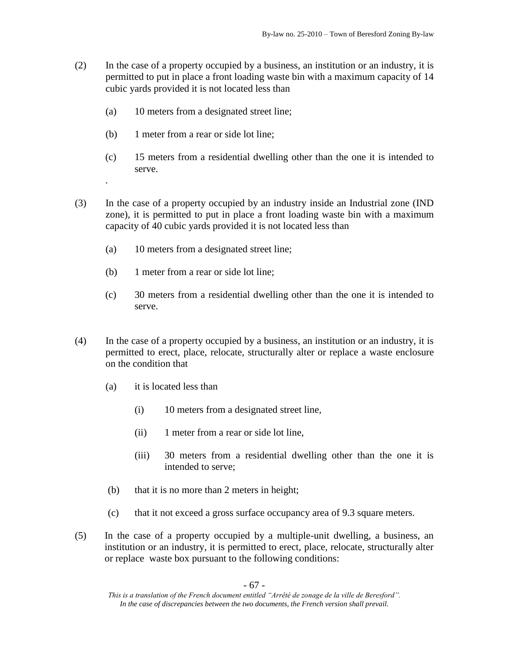- (2) In the case of a property occupied by a business, an institution or an industry, it is permitted to put in place a front loading waste bin with a maximum capacity of 14 cubic yards provided it is not located less than
	- (a) 10 meters from a designated street line;
	- (b) 1 meter from a rear or side lot line;

.

- (c) 15 meters from a residential dwelling other than the one it is intended to serve.
- (3) In the case of a property occupied by an industry inside an Industrial zone (IND zone), it is permitted to put in place a front loading waste bin with a maximum capacity of 40 cubic yards provided it is not located less than
	- (a) 10 meters from a designated street line;
	- (b) 1 meter from a rear or side lot line;
	- (c) 30 meters from a residential dwelling other than the one it is intended to serve.
- (4) In the case of a property occupied by a business, an institution or an industry, it is permitted to erect, place, relocate, structurally alter or replace a waste enclosure on the condition that
	- (a) it is located less than
		- (i) 10 meters from a designated street line,
		- (ii) 1 meter from a rear or side lot line,
		- (iii) 30 meters from a residential dwelling other than the one it is intended to serve;
	- (b) that it is no more than 2 meters in height;
	- (c) that it not exceed a gross surface occupancy area of 9.3 square meters.
- (5) In the case of a property occupied by a multiple-unit dwelling, a business, an institution or an industry, it is permitted to erect, place, relocate, structurally alter or replace waste box pursuant to the following conditions:

*This is a translation of the French document entitled "Arrêté de zonage de la ville de Beresford". In the case of discrepancies between the two documents, the French version shall prevail.*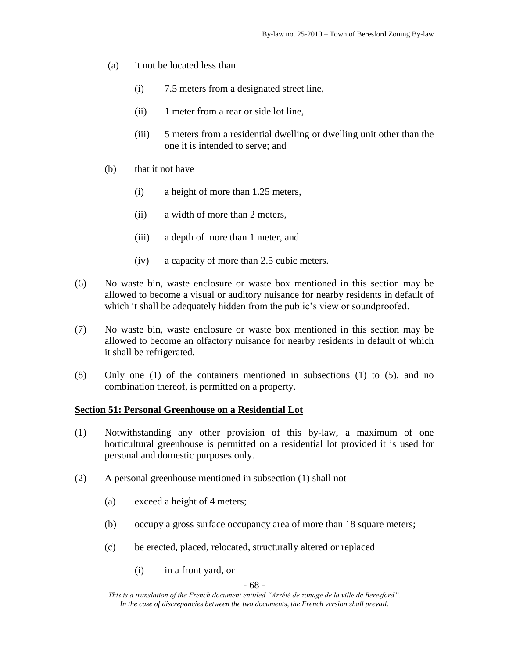- (a) it not be located less than
	- (i) 7.5 meters from a designated street line,
	- (ii) 1 meter from a rear or side lot line,
	- (iii) 5 meters from a residential dwelling or dwelling unit other than the one it is intended to serve; and
- (b) that it not have
	- (i) a height of more than 1.25 meters,
	- (ii) a width of more than 2 meters,
	- (iii) a depth of more than 1 meter, and
	- (iv) a capacity of more than 2.5 cubic meters.
- (6) No waste bin, waste enclosure or waste box mentioned in this section may be allowed to become a visual or auditory nuisance for nearby residents in default of which it shall be adequately hidden from the public's view or soundproofed.
- (7) No waste bin, waste enclosure or waste box mentioned in this section may be allowed to become an olfactory nuisance for nearby residents in default of which it shall be refrigerated.
- (8) Only one (1) of the containers mentioned in subsections (1) to (5), and no combination thereof, is permitted on a property.

# **Section 51: Personal Greenhouse on a Residential Lot**

- (1) Notwithstanding any other provision of this by-law, a maximum of one horticultural greenhouse is permitted on a residential lot provided it is used for personal and domestic purposes only.
- (2) A personal greenhouse mentioned in subsection (1) shall not
	- (a) exceed a height of 4 meters;
	- (b) occupy a gross surface occupancy area of more than 18 square meters;
	- (c) be erected, placed, relocated, structurally altered or replaced
		- (i) in a front yard, or

- 68 -

*This is a translation of the French document entitled "Arrêté de zonage de la ville de Beresford". In the case of discrepancies between the two documents, the French version shall prevail.*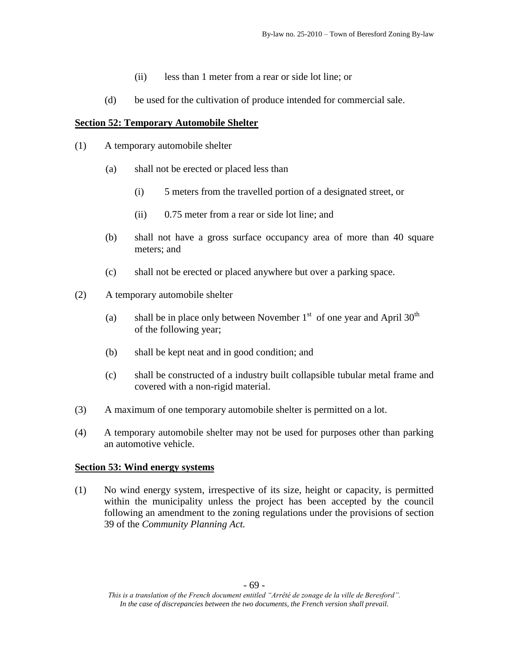- (ii) less than 1 meter from a rear or side lot line; or
- (d) be used for the cultivation of produce intended for commercial sale.

#### **Section 52: Temporary Automobile Shelter**

- (1) A temporary automobile shelter
	- (a) shall not be erected or placed less than
		- (i) 5 meters from the travelled portion of a designated street, or
		- (ii) 0.75 meter from a rear or side lot line; and
	- (b) shall not have a gross surface occupancy area of more than 40 square meters; and
	- (c) shall not be erected or placed anywhere but over a parking space.
- (2) A temporary automobile shelter
	- (a) shall be in place only between November  $1<sup>st</sup>$  of one year and April 30<sup>th</sup> of the following year;
	- (b) shall be kept neat and in good condition; and
	- (c) shall be constructed of a industry built collapsible tubular metal frame and covered with a non-rigid material.
- (3) A maximum of one temporary automobile shelter is permitted on a lot.
- (4) A temporary automobile shelter may not be used for purposes other than parking an automotive vehicle.

#### **Section 53: Wind energy systems**

(1) No wind energy system, irrespective of its size, height or capacity, is permitted within the municipality unless the project has been accepted by the council following an amendment to the zoning regulations under the provisions of section 39 of the *Community Planning Act.*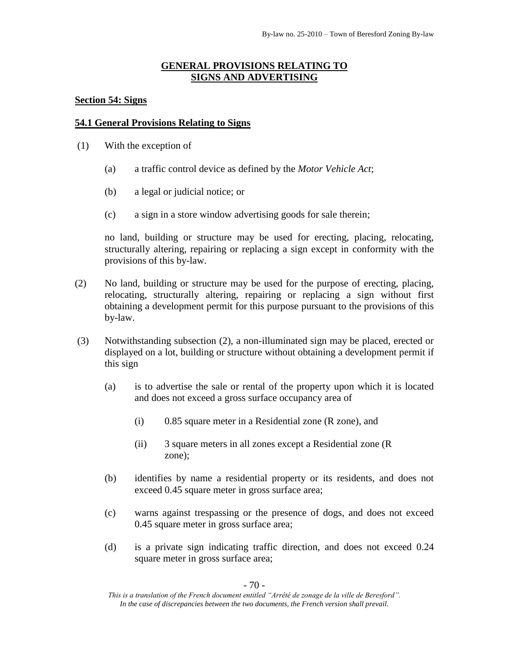# **GENERAL PROVISIONS RELATING TO SIGNS AND ADVERTISING**

#### **Section 54: Signs**

#### **54.1 General Provisions Relating to Signs**

- (1) With the exception of
	- (a) a traffic control device as defined by the *Motor Vehicle Act*;
	- (b) a legal or judicial notice; or
	- (c) a sign in a store window advertising goods for sale therein;

no land, building or structure may be used for erecting, placing, relocating, structurally altering, repairing or replacing a sign except in conformity with the provisions of this by-law.

- (2) No land, building or structure may be used for the purpose of erecting, placing, relocating, structurally altering, repairing or replacing a sign without first obtaining a development permit for this purpose pursuant to the provisions of this by-law.
- (3) Notwithstanding subsection (2), a non-illuminated sign may be placed, erected or displayed on a lot, building or structure without obtaining a development permit if this sign
	- (a) is to advertise the sale or rental of the property upon which it is located and does not exceed a gross surface occupancy area of
		- (i) 0.85 square meter in a Residential zone (R zone), and
		- (ii) 3 square meters in all zones except a Residential zone (R zone);
	- (b) identifies by name a residential property or its residents, and does not exceed 0.45 square meter in gross surface area;
	- (c) warns against trespassing or the presence of dogs, and does not exceed 0.45 square meter in gross surface area;
	- (d) is a private sign indicating traffic direction, and does not exceed 0.24 square meter in gross surface area;

- 70 -

*This is a translation of the French document entitled "Arrêté de zonage de la ville de Beresford". In the case of discrepancies between the two documents, the French version shall prevail.*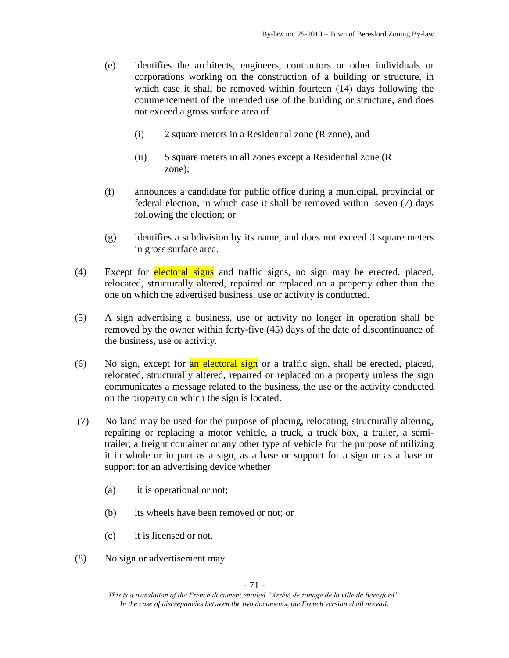- (e) identifies the architects, engineers, contractors or other individuals or corporations working on the construction of a building or structure, in which case it shall be removed within fourteen (14) days following the commencement of the intended use of the building or structure, and does not exceed a gross surface area of
	- (i) 2 square meters in a Residential zone (R zone), and
	- (ii) 5 square meters in all zones except a Residential zone (R zone);
- (f) announces a candidate for public office during a municipal, provincial or federal election, in which case it shall be removed within seven (7) days following the election; or
- (g) identifies a subdivision by its name, and does not exceed 3 square meters in gross surface area.
- (4) Except for electoral signs and traffic signs, no sign may be erected, placed, relocated, structurally altered, repaired or replaced on a property other than the one on which the advertised business, use or activity is conducted.
- (5) A sign advertising a business, use or activity no longer in operation shall be removed by the owner within forty-five (45) days of the date of discontinuance of the business, use or activity.
- (6) No sign, except for  $\frac{a_n}{b_n}$  electoral sign or a traffic sign, shall be erected, placed, relocated, structurally altered, repaired or replaced on a property unless the sign communicates a message related to the business, the use or the activity conducted on the property on which the sign is located.
- (7) No land may be used for the purpose of placing, relocating, structurally altering, repairing or replacing a motor vehicle, a truck, a truck box, a trailer, a semitrailer, a freight container or any other type of vehicle for the purpose of utilizing it in whole or in part as a sign, as a base or support for a sign or as a base or support for an advertising device whether
	- (a) it is operational or not;
	- (b) its wheels have been removed or not; or
	- (c) it is licensed or not.
- (8) No sign or advertisement may

- 71 -

*This is a translation of the French document entitled "Arrêté de zonage de la ville de Beresford". In the case of discrepancies between the two documents, the French version shall prevail.*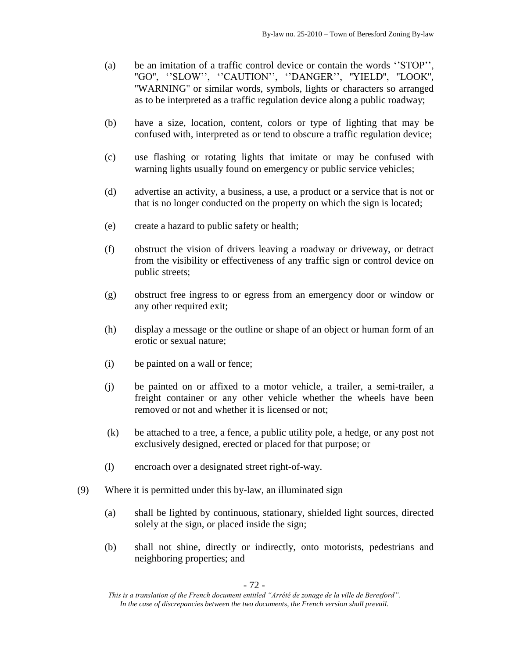- (a) be an imitation of a traffic control device or contain the words ''STOP'', "GO", "SLOW", "CAUTION", "DANGER", "YIELD", "LOOK", ''WARNING'' or similar words, symbols, lights or characters so arranged as to be interpreted as a traffic regulation device along a public roadway;
- (b) have a size, location, content, colors or type of lighting that may be confused with, interpreted as or tend to obscure a traffic regulation device;
- (c) use flashing or rotating lights that imitate or may be confused with warning lights usually found on emergency or public service vehicles;
- (d) advertise an activity, a business, a use, a product or a service that is not or that is no longer conducted on the property on which the sign is located;
- (e) create a hazard to public safety or health;
- (f) obstruct the vision of drivers leaving a roadway or driveway, or detract from the visibility or effectiveness of any traffic sign or control device on public streets;
- (g) obstruct free ingress to or egress from an emergency door or window or any other required exit;
- (h) display a message or the outline or shape of an object or human form of an erotic or sexual nature;
- (i) be painted on a wall or fence;
- (j) be painted on or affixed to a motor vehicle, a trailer, a semi-trailer, a freight container or any other vehicle whether the wheels have been removed or not and whether it is licensed or not;
- (k) be attached to a tree, a fence, a public utility pole, a hedge, or any post not exclusively designed, erected or placed for that purpose; or
- (l) encroach over a designated street right-of-way.
- (9) Where it is permitted under this by-law, an illuminated sign
	- (a) shall be lighted by continuous, stationary, shielded light sources, directed solely at the sign, or placed inside the sign;
	- (b) shall not shine, directly or indirectly, onto motorists, pedestrians and neighboring properties; and

- 72 -

*This is a translation of the French document entitled "Arrêté de zonage de la ville de Beresford". In the case of discrepancies between the two documents, the French version shall prevail.*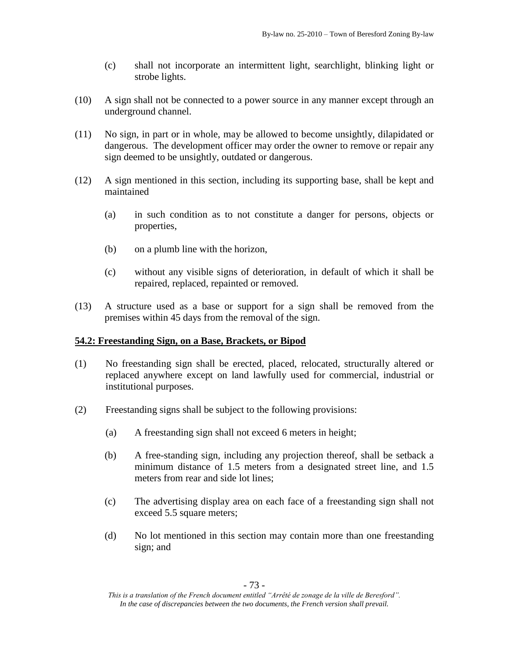- (c) shall not incorporate an intermittent light, searchlight, blinking light or strobe lights.
- (10) A sign shall not be connected to a power source in any manner except through an underground channel.
- (11) No sign, in part or in whole, may be allowed to become unsightly, dilapidated or dangerous. The development officer may order the owner to remove or repair any sign deemed to be unsightly, outdated or dangerous.
- (12) A sign mentioned in this section, including its supporting base, shall be kept and maintained
	- (a) in such condition as to not constitute a danger for persons, objects or properties,
	- (b) on a plumb line with the horizon,
	- (c) without any visible signs of deterioration, in default of which it shall be repaired, replaced, repainted or removed.
- (13) A structure used as a base or support for a sign shall be removed from the premises within 45 days from the removal of the sign.

# **54.2: Freestanding Sign, on a Base, Brackets, or Bipod**

- (1) No freestanding sign shall be erected, placed, relocated, structurally altered or replaced anywhere except on land lawfully used for commercial, industrial or institutional purposes.
- (2) Freestanding signs shall be subject to the following provisions:
	- (a) A freestanding sign shall not exceed 6 meters in height;
	- (b) A free-standing sign, including any projection thereof, shall be setback a minimum distance of 1.5 meters from a designated street line, and 1.5 meters from rear and side lot lines;
	- (c) The advertising display area on each face of a freestanding sign shall not exceed 5.5 square meters;
	- (d) No lot mentioned in this section may contain more than one freestanding sign; and

*This is a translation of the French document entitled "Arrêté de zonage de la ville de Beresford". In the case of discrepancies between the two documents, the French version shall prevail.*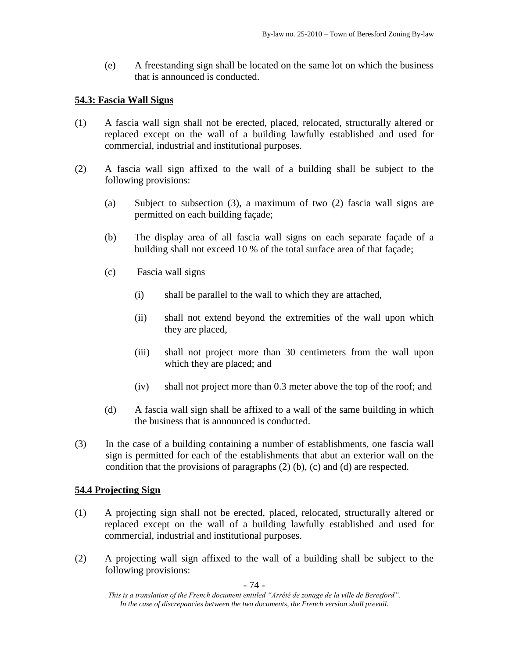(e) A freestanding sign shall be located on the same lot on which the business that is announced is conducted.

# **54.3: Fascia Wall Signs**

- (1) A fascia wall sign shall not be erected, placed, relocated, structurally altered or replaced except on the wall of a building lawfully established and used for commercial, industrial and institutional purposes.
- (2) A fascia wall sign affixed to the wall of a building shall be subject to the following provisions:
	- (a) Subject to subsection (3), a maximum of two (2) fascia wall signs are permitted on each building façade;
	- (b) The display area of all fascia wall signs on each separate façade of a building shall not exceed 10 % of the total surface area of that façade;
	- (c) Fascia wall signs
		- (i) shall be parallel to the wall to which they are attached,
		- (ii) shall not extend beyond the extremities of the wall upon which they are placed,
		- (iii) shall not project more than 30 centimeters from the wall upon which they are placed; and
		- (iv) shall not project more than 0.3 meter above the top of the roof; and
	- (d) A fascia wall sign shall be affixed to a wall of the same building in which the business that is announced is conducted.
- (3) In the case of a building containing a number of establishments, one fascia wall sign is permitted for each of the establishments that abut an exterior wall on the condition that the provisions of paragraphs (2) (b), (c) and (d) are respected.

# **54.4 Projecting Sign**

- (1) A projecting sign shall not be erected, placed, relocated, structurally altered or replaced except on the wall of a building lawfully established and used for commercial, industrial and institutional purposes.
- (2) A projecting wall sign affixed to the wall of a building shall be subject to the following provisions:

*This is a translation of the French document entitled "Arrêté de zonage de la ville de Beresford". In the case of discrepancies between the two documents, the French version shall prevail.*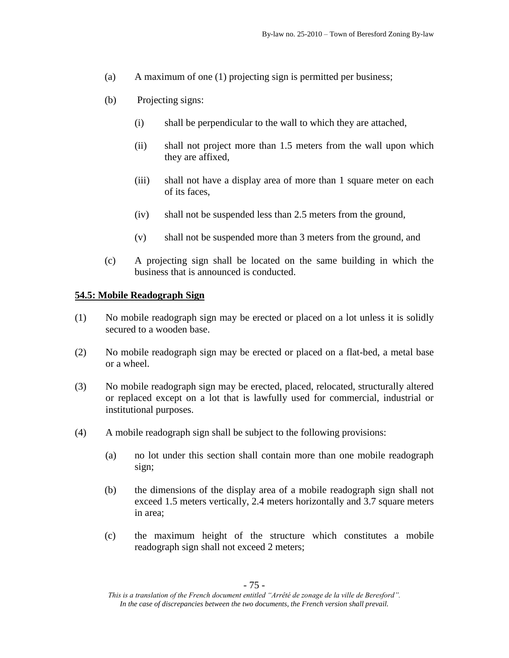- (a) A maximum of one (1) projecting sign is permitted per business;
- (b) Projecting signs:
	- (i) shall be perpendicular to the wall to which they are attached,
	- (ii) shall not project more than 1.5 meters from the wall upon which they are affixed,
	- (iii) shall not have a display area of more than 1 square meter on each of its faces,
	- (iv) shall not be suspended less than 2.5 meters from the ground,
	- (v) shall not be suspended more than 3 meters from the ground, and
- (c) A projecting sign shall be located on the same building in which the business that is announced is conducted.

#### **54.5: Mobile Readograph Sign**

- (1) No mobile readograph sign may be erected or placed on a lot unless it is solidly secured to a wooden base.
- (2) No mobile readograph sign may be erected or placed on a flat-bed, a metal base or a wheel.
- (3) No mobile readograph sign may be erected, placed, relocated, structurally altered or replaced except on a lot that is lawfully used for commercial, industrial or institutional purposes.
- (4) A mobile readograph sign shall be subject to the following provisions:
	- (a) no lot under this section shall contain more than one mobile readograph sign;
	- (b) the dimensions of the display area of a mobile readograph sign shall not exceed 1.5 meters vertically, 2.4 meters horizontally and 3.7 square meters in area;
	- (c) the maximum height of the structure which constitutes a mobile readograph sign shall not exceed 2 meters;

*This is a translation of the French document entitled "Arrêté de zonage de la ville de Beresford". In the case of discrepancies between the two documents, the French version shall prevail.*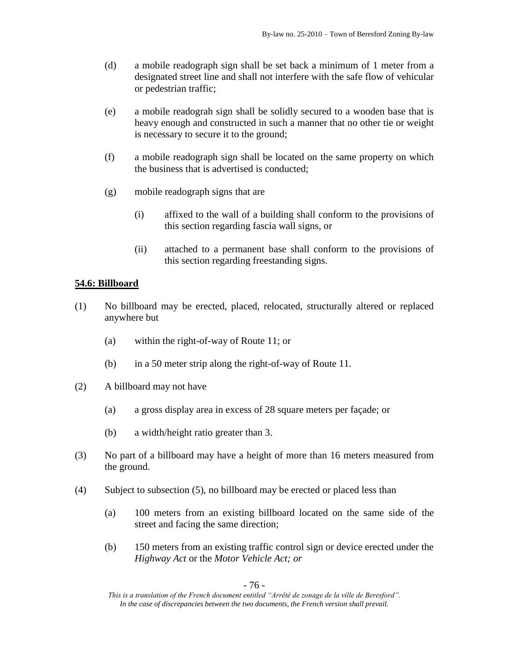- (d) a mobile readograph sign shall be set back a minimum of 1 meter from a designated street line and shall not interfere with the safe flow of vehicular or pedestrian traffic;
- (e) a mobile readograh sign shall be solidly secured to a wooden base that is heavy enough and constructed in such a manner that no other tie or weight is necessary to secure it to the ground;
- (f) a mobile readograph sign shall be located on the same property on which the business that is advertised is conducted;
- (g) mobile readograph signs that are
	- (i) affixed to the wall of a building shall conform to the provisions of this section regarding fascia wall signs, or
	- (ii) attached to a permanent base shall conform to the provisions of this section regarding freestanding signs.

### **54.6: Billboard**

- (1) No billboard may be erected, placed, relocated, structurally altered or replaced anywhere but
	- (a) within the right-of-way of Route 11; or
	- (b) in a 50 meter strip along the right-of-way of Route 11.
- (2) A billboard may not have
	- (a) a gross display area in excess of 28 square meters per façade; or
	- (b) a width/height ratio greater than 3.
- (3) No part of a billboard may have a height of more than 16 meters measured from the ground.
- (4) Subject to subsection (5), no billboard may be erected or placed less than
	- (a) 100 meters from an existing billboard located on the same side of the street and facing the same direction;
	- (b) 150 meters from an existing traffic control sign or device erected under the *Highway Act* or the *Motor Vehicle Act; or*

*This is a translation of the French document entitled "Arrêté de zonage de la ville de Beresford". In the case of discrepancies between the two documents, the French version shall prevail.*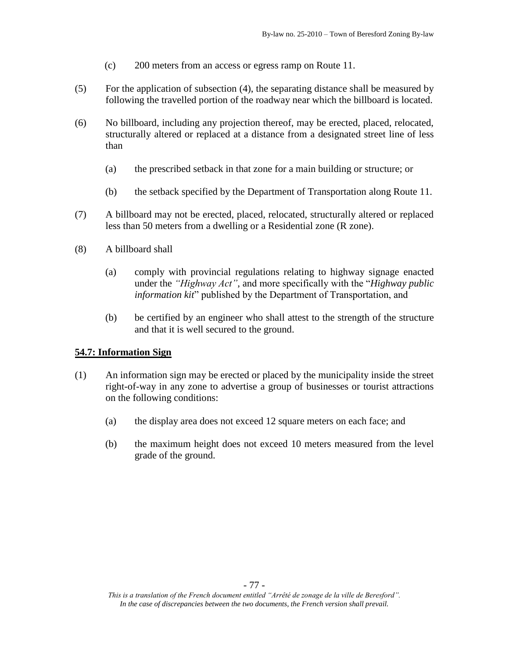- (c) 200 meters from an access or egress ramp on Route 11.
- (5) For the application of subsection (4), the separating distance shall be measured by following the travelled portion of the roadway near which the billboard is located.
- (6) No billboard, including any projection thereof, may be erected, placed, relocated, structurally altered or replaced at a distance from a designated street line of less than
	- (a) the prescribed setback in that zone for a main building or structure; or
	- (b) the setback specified by the Department of Transportation along Route 11.
- (7) A billboard may not be erected, placed, relocated, structurally altered or replaced less than 50 meters from a dwelling or a Residential zone (R zone).
- (8) A billboard shall
	- (a) comply with provincial regulations relating to highway signage enacted under the *"Highway Act"*, and more specifically with the "*Highway public information kit*" published by the Department of Transportation, and
	- (b) be certified by an engineer who shall attest to the strength of the structure and that it is well secured to the ground.

# **54.7: Information Sign**

- (1) An information sign may be erected or placed by the municipality inside the street right-of-way in any zone to advertise a group of businesses or tourist attractions on the following conditions:
	- (a) the display area does not exceed 12 square meters on each face; and
	- (b) the maximum height does not exceed 10 meters measured from the level grade of the ground.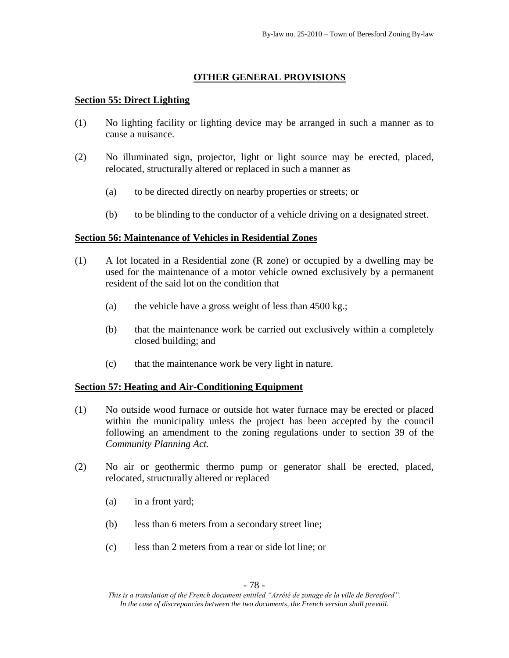# **OTHER GENERAL PROVISIONS**

### **Section 55: Direct Lighting**

- (1) No lighting facility or lighting device may be arranged in such a manner as to cause a nuisance.
- (2) No illuminated sign, projector, light or light source may be erected, placed, relocated, structurally altered or replaced in such a manner as
	- (a) to be directed directly on nearby properties or streets; or
	- (b) to be blinding to the conductor of a vehicle driving on a designated street.

### **Section 56: Maintenance of Vehicles in Residential Zones**

- (1) A lot located in a Residential zone (R zone) or occupied by a dwelling may be used for the maintenance of a motor vehicle owned exclusively by a permanent resident of the said lot on the condition that
	- (a) the vehicle have a gross weight of less than 4500 kg.;
	- (b) that the maintenance work be carried out exclusively within a completely closed building; and
	- (c) that the maintenance work be very light in nature.

### **Section 57: Heating and Air-Conditioning Equipment**

- (1) No outside wood furnace or outside hot water furnace may be erected or placed within the municipality unless the project has been accepted by the council following an amendment to the zoning regulations under to section 39 of the *Community Planning Act.*
- (2) No air or geothermic thermo pump or generator shall be erected, placed, relocated, structurally altered or replaced
	- (a) in a front yard;
	- (b) less than 6 meters from a secondary street line;
	- (c) less than 2 meters from a rear or side lot line; or

*This is a translation of the French document entitled "Arrêté de zonage de la ville de Beresford". In the case of discrepancies between the two documents, the French version shall prevail.*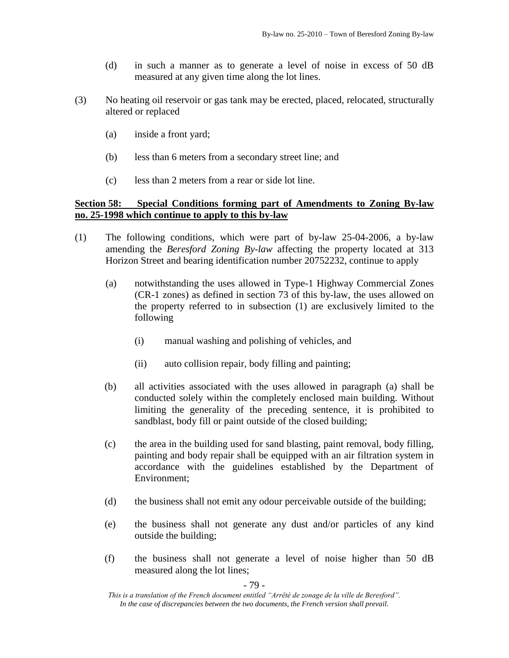- (d) in such a manner as to generate a level of noise in excess of 50 dB measured at any given time along the lot lines.
- (3) No heating oil reservoir or gas tank may be erected, placed, relocated, structurally altered or replaced
	- (a) inside a front yard;
	- (b) less than 6 meters from a secondary street line; and
	- (c) less than 2 meters from a rear or side lot line.

# **Section 58: Special Conditions forming part of Amendments to Zoning By-law no. 25-1998 which continue to apply to this by-law**

- (1) The following conditions, which were part of by-law 25-04-2006, a by-law amending the *Beresford Zoning By-law* affecting the property located at 313 Horizon Street and bearing identification number 20752232, continue to apply
	- (a) notwithstanding the uses allowed in Type-1 Highway Commercial Zones (CR-1 zones) as defined in section 73 of this by-law, the uses allowed on the property referred to in subsection (1) are exclusively limited to the following
		- (i) manual washing and polishing of vehicles, and
		- (ii) auto collision repair, body filling and painting;
	- (b) all activities associated with the uses allowed in paragraph (a) shall be conducted solely within the completely enclosed main building. Without limiting the generality of the preceding sentence, it is prohibited to sandblast, body fill or paint outside of the closed building;
	- (c) the area in the building used for sand blasting, paint removal, body filling, painting and body repair shall be equipped with an air filtration system in accordance with the guidelines established by the Department of Environment;
	- (d) the business shall not emit any odour perceivable outside of the building;
	- (e) the business shall not generate any dust and/or particles of any kind outside the building;
	- (f) the business shall not generate a level of noise higher than 50 dB measured along the lot lines;

- 79 -

*This is a translation of the French document entitled "Arrêté de zonage de la ville de Beresford". In the case of discrepancies between the two documents, the French version shall prevail.*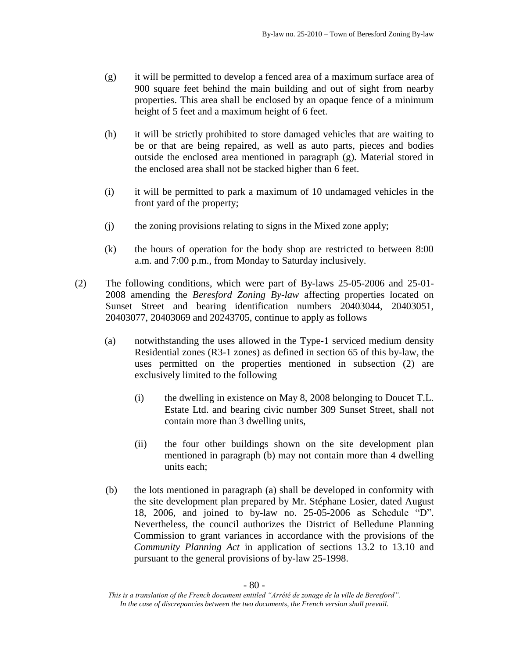- (g) it will be permitted to develop a fenced area of a maximum surface area of 900 square feet behind the main building and out of sight from nearby properties. This area shall be enclosed by an opaque fence of a minimum height of 5 feet and a maximum height of 6 feet.
- (h) it will be strictly prohibited to store damaged vehicles that are waiting to be or that are being repaired, as well as auto parts, pieces and bodies outside the enclosed area mentioned in paragraph (g). Material stored in the enclosed area shall not be stacked higher than 6 feet.
- (i) it will be permitted to park a maximum of 10 undamaged vehicles in the front yard of the property;
- (j) the zoning provisions relating to signs in the Mixed zone apply;
- (k) the hours of operation for the body shop are restricted to between 8:00 a.m. and 7:00 p.m., from Monday to Saturday inclusively.
- (2) The following conditions, which were part of By-laws 25-05-2006 and 25-01- 2008 amending the *Beresford Zoning By-law* affecting properties located on Sunset Street and bearing identification numbers 20403044, 20403051, 20403077, 20403069 and 20243705, continue to apply as follows
	- (a) notwithstanding the uses allowed in the Type-1 serviced medium density Residential zones (R3-1 zones) as defined in section 65 of this by-law, the uses permitted on the properties mentioned in subsection (2) are exclusively limited to the following
		- (i) the dwelling in existence on May 8, 2008 belonging to Doucet T.L. Estate Ltd. and bearing civic number 309 Sunset Street, shall not contain more than 3 dwelling units,
		- (ii) the four other buildings shown on the site development plan mentioned in paragraph (b) may not contain more than 4 dwelling units each;
	- (b) the lots mentioned in paragraph (a) shall be developed in conformity with the site development plan prepared by Mr. Stéphane Losier, dated August 18, 2006, and joined to by-law no. 25-05-2006 as Schedule "D". Nevertheless, the council authorizes the District of Belledune Planning Commission to grant variances in accordance with the provisions of the *Community Planning Act* in application of sections 13.2 to 13.10 and pursuant to the general provisions of by-law 25-1998.

*This is a translation of the French document entitled "Arrêté de zonage de la ville de Beresford". In the case of discrepancies between the two documents, the French version shall prevail.*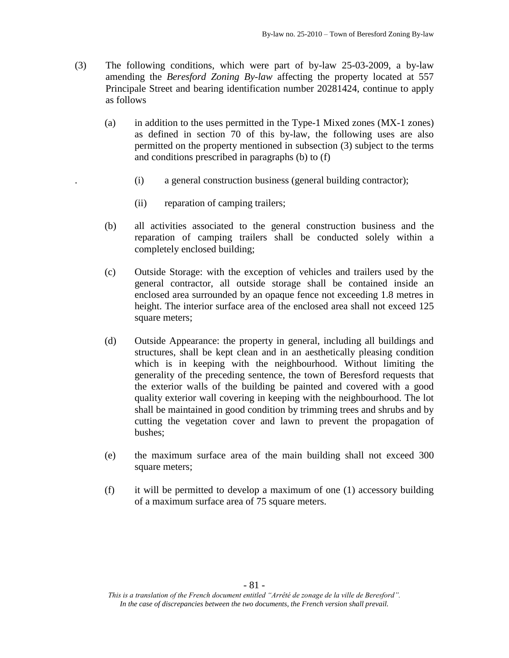- (3) The following conditions, which were part of by-law 25-03-2009, a by-law amending the *Beresford Zoning By-law* affecting the property located at 557 Principale Street and bearing identification number 20281424, continue to apply as follows
	- (a) in addition to the uses permitted in the Type-1 Mixed zones (MX-1 zones) as defined in section 70 of this by-law, the following uses are also permitted on the property mentioned in subsection (3) subject to the terms and conditions prescribed in paragraphs (b) to (f)
		- . (i) a general construction business (general building contractor);
		- (ii) reparation of camping trailers;
	- (b) all activities associated to the general construction business and the reparation of camping trailers shall be conducted solely within a completely enclosed building;
	- (c) Outside Storage: with the exception of vehicles and trailers used by the general contractor, all outside storage shall be contained inside an enclosed area surrounded by an opaque fence not exceeding 1.8 metres in height. The interior surface area of the enclosed area shall not exceed 125 square meters;
	- (d) Outside Appearance: the property in general, including all buildings and structures, shall be kept clean and in an aesthetically pleasing condition which is in keeping with the neighbourhood. Without limiting the generality of the preceding sentence, the town of Beresford requests that the exterior walls of the building be painted and covered with a good quality exterior wall covering in keeping with the neighbourhood. The lot shall be maintained in good condition by trimming trees and shrubs and by cutting the vegetation cover and lawn to prevent the propagation of bushes;
	- (e) the maximum surface area of the main building shall not exceed 300 square meters;
	- (f) it will be permitted to develop a maximum of one (1) accessory building of a maximum surface area of 75 square meters.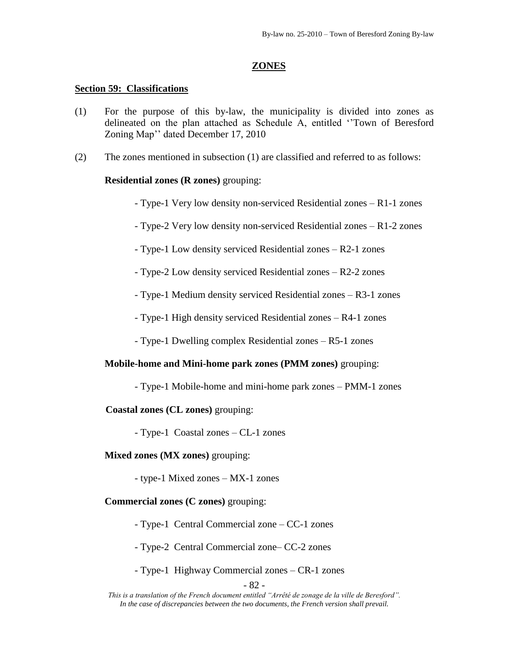#### **ZONES**

#### **Section 59: Classifications**

- (1) For the purpose of this by-law, the municipality is divided into zones as delineated on the plan attached as Schedule A, entitled ''Town of Beresford Zoning Map'' dated December 17, 2010
- (2) The zones mentioned in subsection (1) are classified and referred to as follows:

### **Residential zones (R zones)** grouping:

- Type-1 Very low density non-serviced Residential zones – R1-1 zones

- Type-2 Very low density non-serviced Residential zones – R1-2 zones

- Type-1 Low density serviced Residential zones – R2-1 zones

- Type-2 Low density serviced Residential zones – R2-2 zones

- Type-1 Medium density serviced Residential zones – R3-1 zones

- Type-1 High density serviced Residential zones – R4-1 zones

- Type-1 Dwelling complex Residential zones – R5-1 zones

### **Mobile-home and Mini-home park zones (PMM zones)** grouping:

- Type-1 Mobile-home and mini-home park zones – PMM-1 zones

**Coastal zones (CL zones)** grouping:

- Type-1 Coastal zones – CL-1 zones

### **Mixed zones (MX zones)** grouping:

- type-1 Mixed zones – MX-1 zones

**Commercial zones (C zones)** grouping:

- Type-1 Central Commercial zone – CC-1 zones

- Type-2 Central Commercial zone– CC-2 zones

- Type-1 Highway Commercial zones – CR-1 zones

- 82 -

*This is a translation of the French document entitled "Arrêté de zonage de la ville de Beresford". In the case of discrepancies between the two documents, the French version shall prevail.*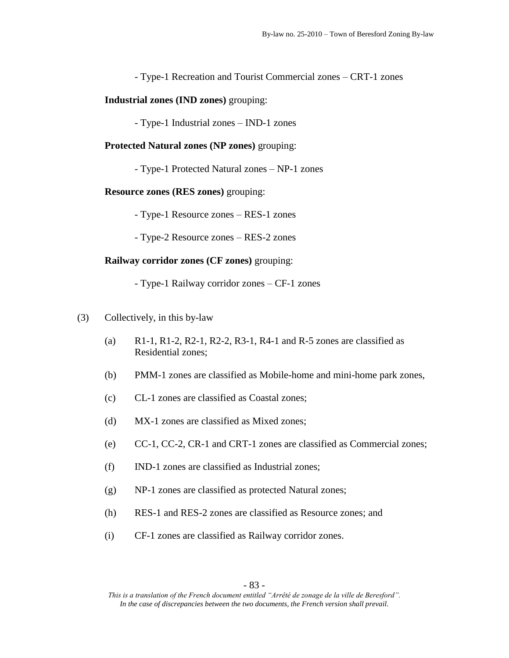- Type-1 Recreation and Tourist Commercial zones – CRT-1 zones

**Industrial zones (IND zones)** grouping:

- Type-1 Industrial zones – IND-1 zones

**Protected Natural zones (NP zones)** grouping:

- Type-1 Protected Natural zones – NP-1 zones

**Resource zones (RES zones)** grouping:

- Type-1 Resource zones – RES-1 zones

- Type-2 Resource zones – RES-2 zones

#### **Railway corridor zones (CF zones)** grouping:

- Type-1 Railway corridor zones – CF-1 zones

- (3) Collectively, in this by-law
	- (a) R1-1, R1-2, R2-1, R2-2, R3-1, R4-1 and R-5 zones are classified as Residential zones;
	- (b) PMM-1 zones are classified as Mobile-home and mini-home park zones,
	- (c) CL-1 zones are classified as Coastal zones;
	- (d) MX-1 zones are classified as Mixed zones;
	- (e) CC-1, CC-2, CR-1 and CRT-1 zones are classified as Commercial zones;
	- (f) IND-1 zones are classified as Industrial zones;
	- (g) NP-1 zones are classified as protected Natural zones;
	- (h) RES-1 and RES-2 zones are classified as Resource zones; and
	- (i) CF-1 zones are classified as Railway corridor zones.

*This is a translation of the French document entitled "Arrêté de zonage de la ville de Beresford". In the case of discrepancies between the two documents, the French version shall prevail.*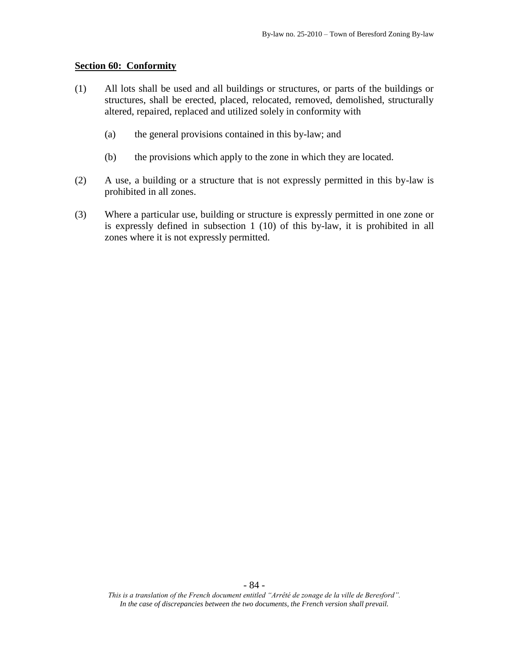#### **Section 60: Conformity**

- (1) All lots shall be used and all buildings or structures, or parts of the buildings or structures, shall be erected, placed, relocated, removed, demolished, structurally altered, repaired, replaced and utilized solely in conformity with
	- (a) the general provisions contained in this by-law; and
	- (b) the provisions which apply to the zone in which they are located.
- (2) A use, a building or a structure that is not expressly permitted in this by-law is prohibited in all zones.
- (3) Where a particular use, building or structure is expressly permitted in one zone or is expressly defined in subsection 1 (10) of this by-law, it is prohibited in all zones where it is not expressly permitted.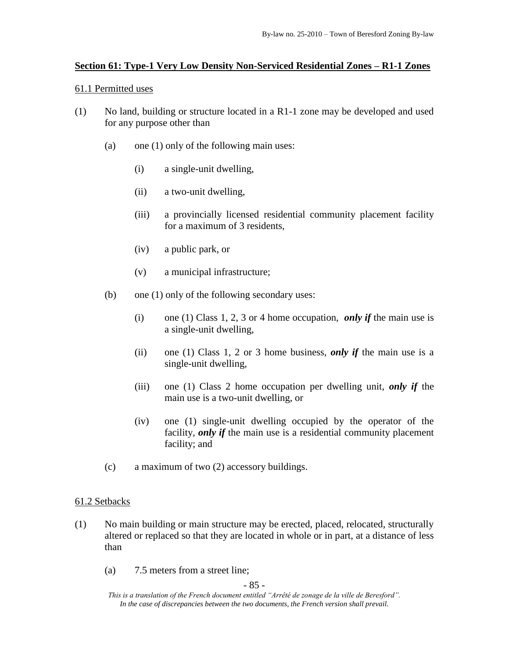# **Section 61: Type-1 Very Low Density Non-Serviced Residential Zones – R1-1 Zones**

### 61.1 Permitted uses

- (1) No land, building or structure located in a R1-1 zone may be developed and used for any purpose other than
	- (a) one (1) only of the following main uses:
		- (i) a single-unit dwelling,
		- (ii) a two-unit dwelling,
		- (iii) a provincially licensed residential community placement facility for a maximum of 3 residents,
		- (iv) a public park, or
		- (v) a municipal infrastructure;
	- (b) one (1) only of the following secondary uses:
		- (i) one (1) Class 1, 2, 3 or 4 home occupation, *only if* the main use is a single-unit dwelling,
		- (ii) one (1) Class 1, 2 or 3 home business, *only if* the main use is a single-unit dwelling,
		- (iii) one (1) Class 2 home occupation per dwelling unit, *only if* the main use is a two-unit dwelling, or
		- (iv) one (1) single-unit dwelling occupied by the operator of the facility, *only if* the main use is a residential community placement facility; and
	- (c) a maximum of two (2) accessory buildings.

# 61.2 Setbacks

- (1) No main building or main structure may be erected, placed, relocated, structurally altered or replaced so that they are located in whole or in part, at a distance of less than
	- (a) 7.5 meters from a street line;

- 85 -

*This is a translation of the French document entitled "Arrêté de zonage de la ville de Beresford". In the case of discrepancies between the two documents, the French version shall prevail.*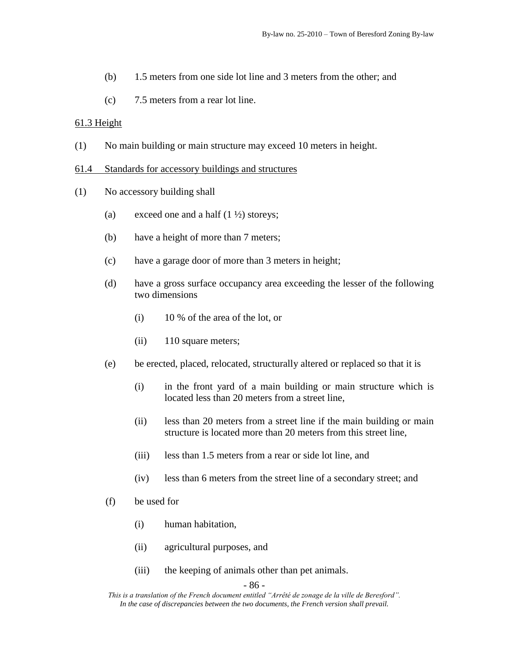- (b) 1.5 meters from one side lot line and 3 meters from the other; and
- (c) 7.5 meters from a rear lot line.

### 61.3 Height

(1) No main building or main structure may exceed 10 meters in height.

#### 61.4 Standards for accessory buildings and structures

- (1) No accessory building shall
	- (a) exceed one and a half  $(1 \frac{1}{2})$  storeys;
	- (b) have a height of more than 7 meters;
	- (c) have a garage door of more than 3 meters in height;
	- (d) have a gross surface occupancy area exceeding the lesser of the following two dimensions
		- (i) 10 % of the area of the lot, or
		- (ii) 110 square meters;
	- (e) be erected, placed, relocated, structurally altered or replaced so that it is
		- (i) in the front yard of a main building or main structure which is located less than 20 meters from a street line,
		- (ii) less than 20 meters from a street line if the main building or main structure is located more than 20 meters from this street line,
		- (iii) less than 1.5 meters from a rear or side lot line, and
		- (iv) less than 6 meters from the street line of a secondary street; and
	- (f) be used for
		- (i) human habitation,
		- (ii) agricultural purposes, and
		- (iii) the keeping of animals other than pet animals.

- 86 -

*This is a translation of the French document entitled "Arrêté de zonage de la ville de Beresford". In the case of discrepancies between the two documents, the French version shall prevail.*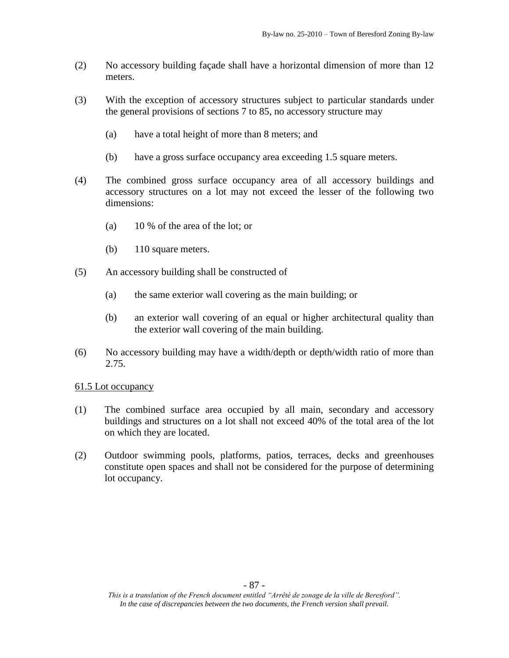- (2) No accessory building façade shall have a horizontal dimension of more than 12 meters.
- (3) With the exception of accessory structures subject to particular standards under the general provisions of sections 7 to 85, no accessory structure may
	- (a) have a total height of more than 8 meters; and
	- (b) have a gross surface occupancy area exceeding 1.5 square meters.
- (4) The combined gross surface occupancy area of all accessory buildings and accessory structures on a lot may not exceed the lesser of the following two dimensions:
	- (a) 10 % of the area of the lot; or
	- (b) 110 square meters.
- (5) An accessory building shall be constructed of
	- (a) the same exterior wall covering as the main building; or
	- (b) an exterior wall covering of an equal or higher architectural quality than the exterior wall covering of the main building.
- (6) No accessory building may have a width/depth or depth/width ratio of more than 2.75.

- (1) The combined surface area occupied by all main, secondary and accessory buildings and structures on a lot shall not exceed 40% of the total area of the lot on which they are located.
- (2) Outdoor swimming pools, platforms, patios, terraces, decks and greenhouses constitute open spaces and shall not be considered for the purpose of determining lot occupancy.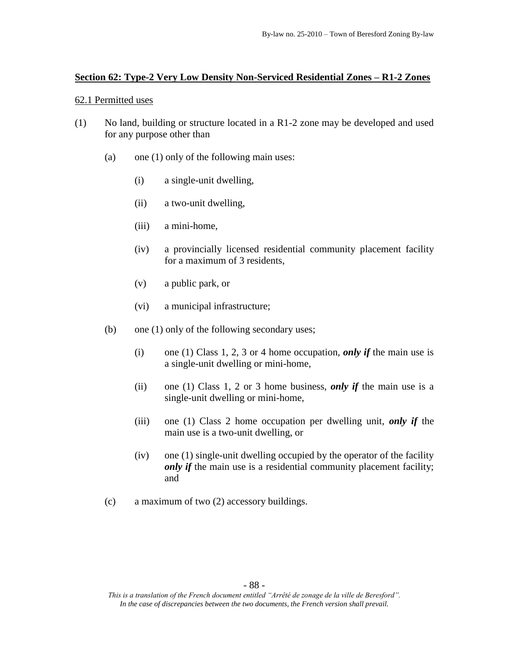### **Section 62: Type-2 Very Low Density Non-Serviced Residential Zones – R1-2 Zones**

### 62.1 Permitted uses

- (1) No land, building or structure located in a R1-2 zone may be developed and used for any purpose other than
	- (a) one (1) only of the following main uses:
		- (i) a single-unit dwelling,
		- (ii) a two-unit dwelling,
		- (iii) a mini-home,
		- (iv) a provincially licensed residential community placement facility for a maximum of 3 residents,
		- (v) a public park, or
		- (vi) a municipal infrastructure;
	- (b) one (1) only of the following secondary uses;
		- (i) one (1) Class 1, 2, 3 or 4 home occupation, *only if* the main use is a single-unit dwelling or mini-home,
		- (ii) one (1) Class 1, 2 or 3 home business, *only if* the main use is a single-unit dwelling or mini-home,
		- (iii) one (1) Class 2 home occupation per dwelling unit, *only if* the main use is a two-unit dwelling, or
		- (iv) one (1) single-unit dwelling occupied by the operator of the facility *only if* the main use is a residential community placement facility; and
	- (c) a maximum of two (2) accessory buildings.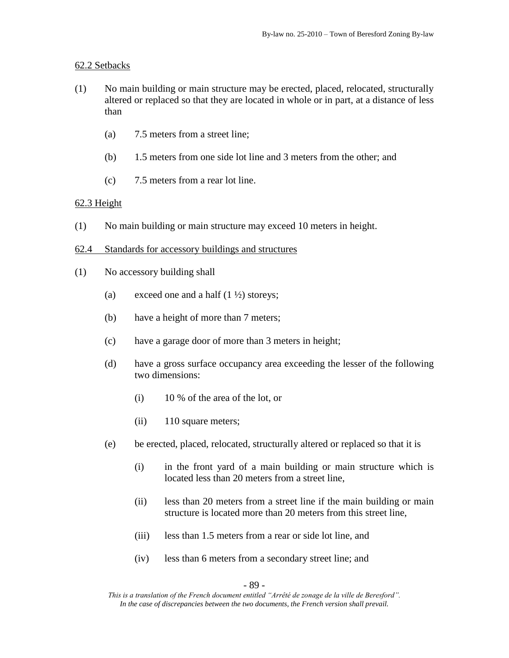### 62.2 Setbacks

- (1) No main building or main structure may be erected, placed, relocated, structurally altered or replaced so that they are located in whole or in part, at a distance of less than
	- (a) 7.5 meters from a street line;
	- (b) 1.5 meters from one side lot line and 3 meters from the other; and
	- (c) 7.5 meters from a rear lot line.

# 62.3 Height

- (1) No main building or main structure may exceed 10 meters in height.
- 62.4 Standards for accessory buildings and structures
- (1) No accessory building shall
	- (a) exceed one and a half  $(1 \frac{1}{2})$  storeys;
	- (b) have a height of more than 7 meters;
	- (c) have a garage door of more than 3 meters in height;
	- (d) have a gross surface occupancy area exceeding the lesser of the following two dimensions:
		- (i) 10 % of the area of the lot, or
		- (ii) 110 square meters;
	- (e) be erected, placed, relocated, structurally altered or replaced so that it is
		- (i) in the front yard of a main building or main structure which is located less than 20 meters from a street line,
		- (ii) less than 20 meters from a street line if the main building or main structure is located more than 20 meters from this street line,
		- (iii) less than 1.5 meters from a rear or side lot line, and
		- (iv) less than 6 meters from a secondary street line; and

- 89 -

*This is a translation of the French document entitled "Arrêté de zonage de la ville de Beresford". In the case of discrepancies between the two documents, the French version shall prevail.*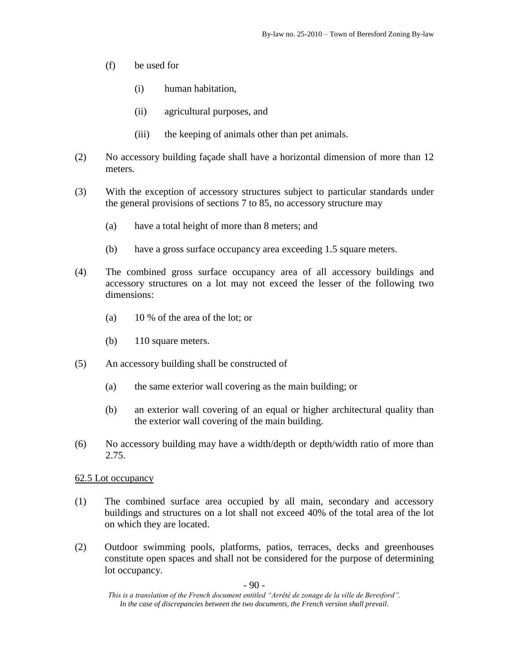- (f) be used for
	- (i) human habitation,
	- (ii) agricultural purposes, and
	- (iii) the keeping of animals other than pet animals.
- (2) No accessory building façade shall have a horizontal dimension of more than 12 meters.
- (3) With the exception of accessory structures subject to particular standards under the general provisions of sections 7 to 85, no accessory structure may
	- (a) have a total height of more than 8 meters; and
	- (b) have a gross surface occupancy area exceeding 1.5 square meters.
- (4) The combined gross surface occupancy area of all accessory buildings and accessory structures on a lot may not exceed the lesser of the following two dimensions:
	- (a) 10 % of the area of the lot; or
	- (b) 110 square meters.
- (5) An accessory building shall be constructed of
	- (a) the same exterior wall covering as the main building; or
	- (b) an exterior wall covering of an equal or higher architectural quality than the exterior wall covering of the main building.
- (6) No accessory building may have a width/depth or depth/width ratio of more than 2.75.

- (1) The combined surface area occupied by all main, secondary and accessory buildings and structures on a lot shall not exceed 40% of the total area of the lot on which they are located.
- (2) Outdoor swimming pools, platforms, patios, terraces, decks and greenhouses constitute open spaces and shall not be considered for the purpose of determining lot occupancy.

*This is a translation of the French document entitled "Arrêté de zonage de la ville de Beresford". In the case of discrepancies between the two documents, the French version shall prevail.*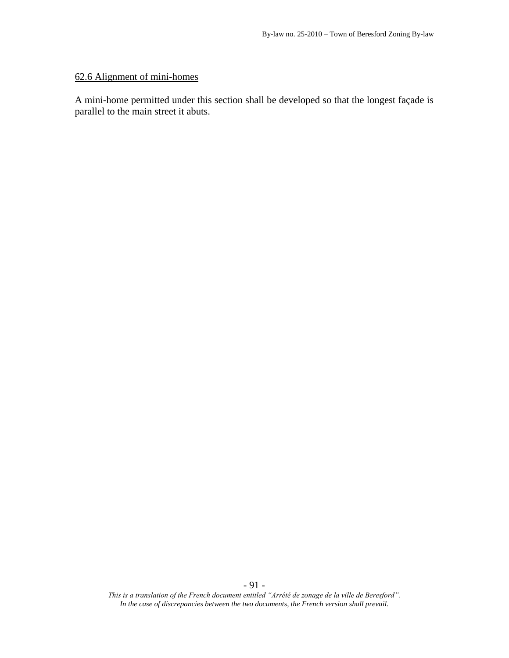# 62.6 Alignment of mini-homes

A mini-home permitted under this section shall be developed so that the longest façade is parallel to the main street it abuts.

*This is a translation of the French document entitled "Arrêté de zonage de la ville de Beresford". In the case of discrepancies between the two documents, the French version shall prevail.*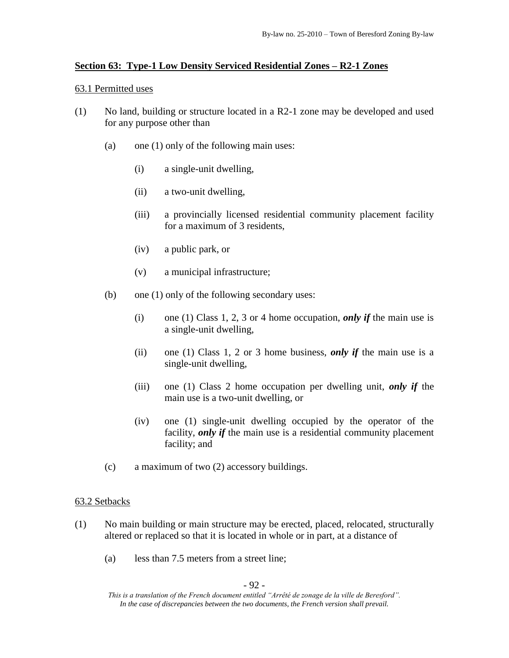# **Section 63: Type-1 Low Density Serviced Residential Zones – R2-1 Zones**

### 63.1 Permitted uses

- (1) No land, building or structure located in a R2-1 zone may be developed and used for any purpose other than
	- (a) one (1) only of the following main uses:
		- (i) a single-unit dwelling,
		- (ii) a two-unit dwelling,
		- (iii) a provincially licensed residential community placement facility for a maximum of 3 residents,
		- (iv) a public park, or
		- (v) a municipal infrastructure;
	- (b) one (1) only of the following secondary uses:
		- (i) one (1) Class 1, 2, 3 or 4 home occupation, *only if* the main use is a single-unit dwelling,
		- (ii) one (1) Class 1, 2 or 3 home business, *only if* the main use is a single-unit dwelling,
		- (iii) one (1) Class 2 home occupation per dwelling unit, *only if* the main use is a two-unit dwelling, or
		- (iv) one (1) single-unit dwelling occupied by the operator of the facility, *only if* the main use is a residential community placement facility; and
	- (c) a maximum of two (2) accessory buildings.

# 63.2 Setbacks

- (1) No main building or main structure may be erected, placed, relocated, structurally altered or replaced so that it is located in whole or in part, at a distance of
	- (a) less than 7.5 meters from a street line;

*This is a translation of the French document entitled "Arrêté de zonage de la ville de Beresford". In the case of discrepancies between the two documents, the French version shall prevail.*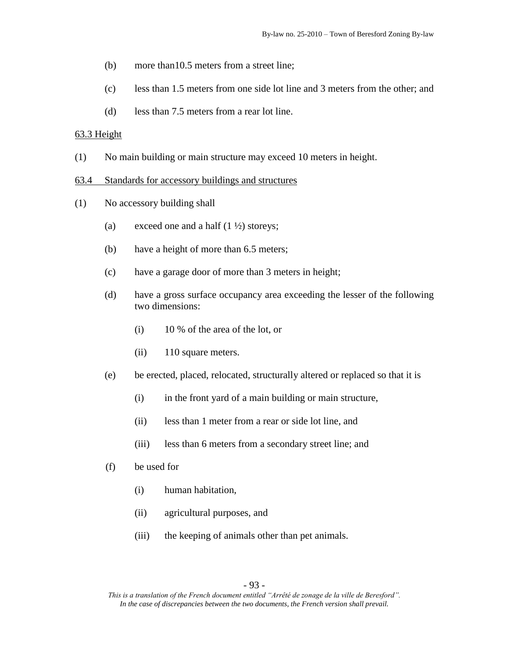- (b) more than10.5 meters from a street line;
- (c) less than 1.5 meters from one side lot line and 3 meters from the other; and
- (d) less than 7.5 meters from a rear lot line.

### 63.3 Height

(1) No main building or main structure may exceed 10 meters in height.

#### 63.4 Standards for accessory buildings and structures

- (1) No accessory building shall
	- (a) exceed one and a half  $(1 \frac{1}{2})$  storeys;
	- (b) have a height of more than 6.5 meters;
	- (c) have a garage door of more than 3 meters in height;
	- (d) have a gross surface occupancy area exceeding the lesser of the following two dimensions:
		- (i) 10 % of the area of the lot, or
		- (ii) 110 square meters.
	- (e) be erected, placed, relocated, structurally altered or replaced so that it is
		- (i) in the front yard of a main building or main structure,
		- (ii) less than 1 meter from a rear or side lot line, and
		- (iii) less than 6 meters from a secondary street line; and
	- (f) be used for
		- (i) human habitation,
		- (ii) agricultural purposes, and
		- (iii) the keeping of animals other than pet animals.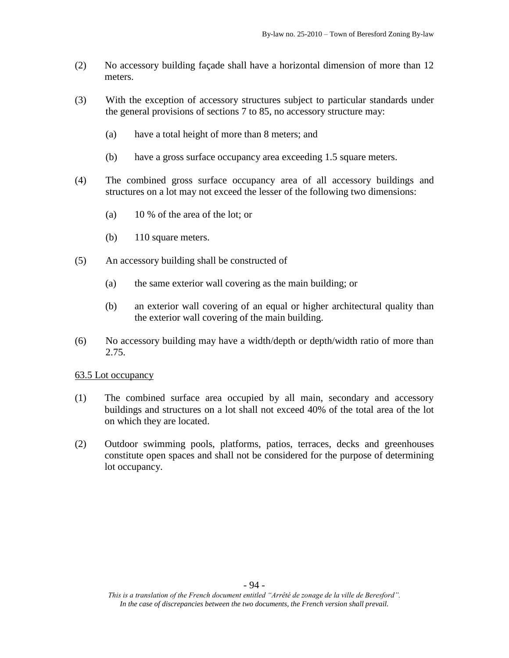- (2) No accessory building façade shall have a horizontal dimension of more than 12 meters.
- (3) With the exception of accessory structures subject to particular standards under the general provisions of sections 7 to 85, no accessory structure may:
	- (a) have a total height of more than 8 meters; and
	- (b) have a gross surface occupancy area exceeding 1.5 square meters.
- (4) The combined gross surface occupancy area of all accessory buildings and structures on a lot may not exceed the lesser of the following two dimensions:
	- (a) 10 % of the area of the lot; or
	- (b) 110 square meters.
- (5) An accessory building shall be constructed of
	- (a) the same exterior wall covering as the main building; or
	- (b) an exterior wall covering of an equal or higher architectural quality than the exterior wall covering of the main building.
- (6) No accessory building may have a width/depth or depth/width ratio of more than 2.75.

- (1) The combined surface area occupied by all main, secondary and accessory buildings and structures on a lot shall not exceed 40% of the total area of the lot on which they are located.
- (2) Outdoor swimming pools, platforms, patios, terraces, decks and greenhouses constitute open spaces and shall not be considered for the purpose of determining lot occupancy.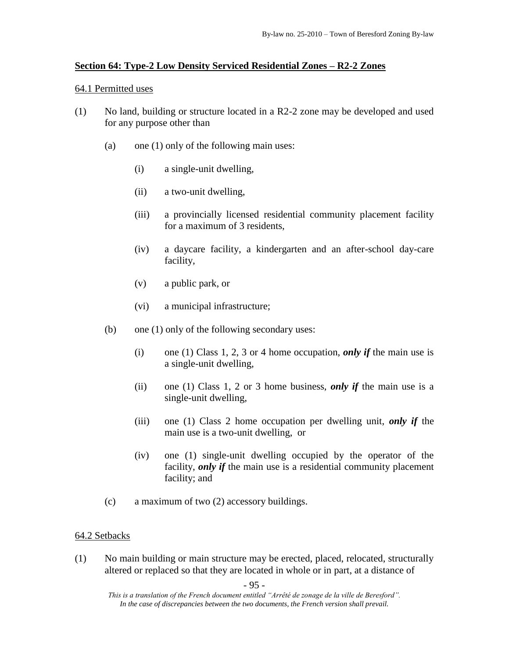# **Section 64: Type-2 Low Density Serviced Residential Zones – R2-2 Zones**

### 64.1 Permitted uses

- (1) No land, building or structure located in a R2-2 zone may be developed and used for any purpose other than
	- (a) one (1) only of the following main uses:
		- (i) a single-unit dwelling,
		- (ii) a two-unit dwelling,
		- (iii) a provincially licensed residential community placement facility for a maximum of 3 residents,
		- (iv) a daycare facility, a kindergarten and an after-school day-care facility,
		- (v) a public park, or
		- (vi) a municipal infrastructure;
	- (b) one (1) only of the following secondary uses:
		- (i) one (1) Class 1, 2, 3 or 4 home occupation, *only if* the main use is a single-unit dwelling,
		- (ii) one (1) Class 1, 2 or 3 home business, *only if* the main use is a single-unit dwelling,
		- (iii) one (1) Class 2 home occupation per dwelling unit, *only if* the main use is a two-unit dwelling, or
		- (iv) one (1) single-unit dwelling occupied by the operator of the facility, *only if* the main use is a residential community placement facility; and
	- (c) a maximum of two (2) accessory buildings.

# 64.2 Setbacks

(1) No main building or main structure may be erected, placed, relocated, structurally altered or replaced so that they are located in whole or in part, at a distance of

*This is a translation of the French document entitled "Arrêté de zonage de la ville de Beresford". In the case of discrepancies between the two documents, the French version shall prevail.*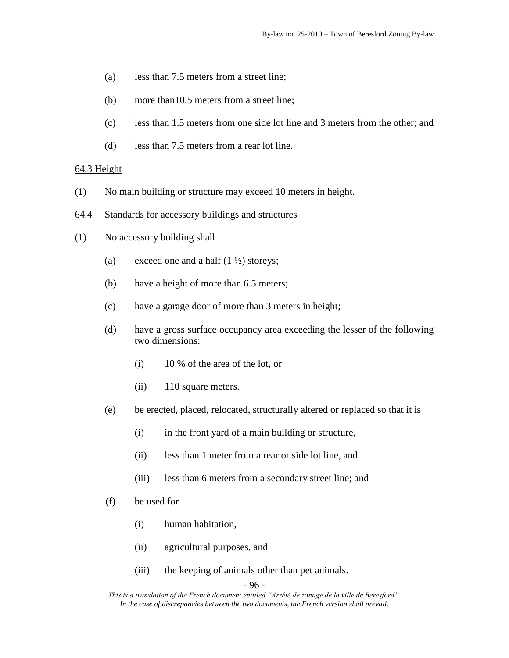- (a) less than 7.5 meters from a street line;
- (b) more than10.5 meters from a street line;
- (c) less than 1.5 meters from one side lot line and 3 meters from the other; and
- (d) less than 7.5 meters from a rear lot line.

#### $64.3$  Height

- (1) No main building or structure may exceed 10 meters in height.
- 64.4 Standards for accessory buildings and structures
- (1) No accessory building shall
	- (a) exceed one and a half  $(1 \frac{1}{2})$  storeys;
	- (b) have a height of more than 6.5 meters;
	- (c) have a garage door of more than 3 meters in height;
	- (d) have a gross surface occupancy area exceeding the lesser of the following two dimensions:
		- (i) 10 % of the area of the lot, or
		- (ii) 110 square meters.
	- (e) be erected, placed, relocated, structurally altered or replaced so that it is
		- (i) in the front yard of a main building or structure,
		- (ii) less than 1 meter from a rear or side lot line, and
		- (iii) less than 6 meters from a secondary street line; and
	- (f) be used for
		- (i) human habitation,
		- (ii) agricultural purposes, and
		- (iii) the keeping of animals other than pet animals.

```
- 96 -
```
*This is a translation of the French document entitled "Arrêté de zonage de la ville de Beresford". In the case of discrepancies between the two documents, the French version shall prevail.*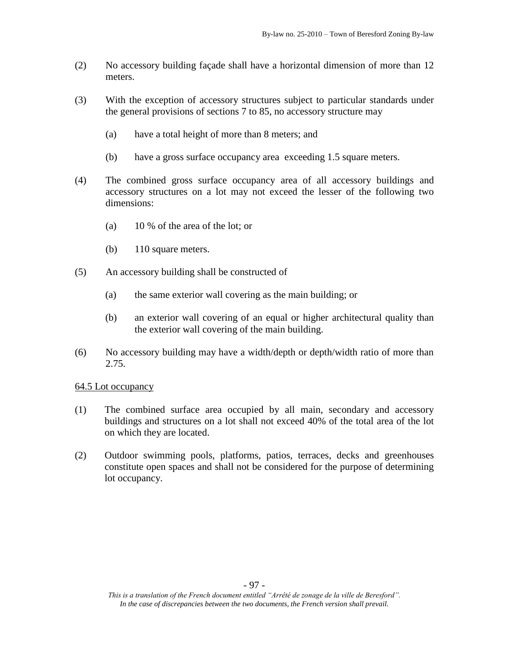- (2) No accessory building façade shall have a horizontal dimension of more than 12 meters.
- (3) With the exception of accessory structures subject to particular standards under the general provisions of sections 7 to 85, no accessory structure may
	- (a) have a total height of more than 8 meters; and
	- (b) have a gross surface occupancy area exceeding 1.5 square meters.
- (4) The combined gross surface occupancy area of all accessory buildings and accessory structures on a lot may not exceed the lesser of the following two dimensions:
	- (a) 10 % of the area of the lot; or
	- (b) 110 square meters.
- (5) An accessory building shall be constructed of
	- (a) the same exterior wall covering as the main building; or
	- (b) an exterior wall covering of an equal or higher architectural quality than the exterior wall covering of the main building.
- (6) No accessory building may have a width/depth or depth/width ratio of more than 2.75.

- (1) The combined surface area occupied by all main, secondary and accessory buildings and structures on a lot shall not exceed 40% of the total area of the lot on which they are located.
- (2) Outdoor swimming pools, platforms, patios, terraces, decks and greenhouses constitute open spaces and shall not be considered for the purpose of determining lot occupancy.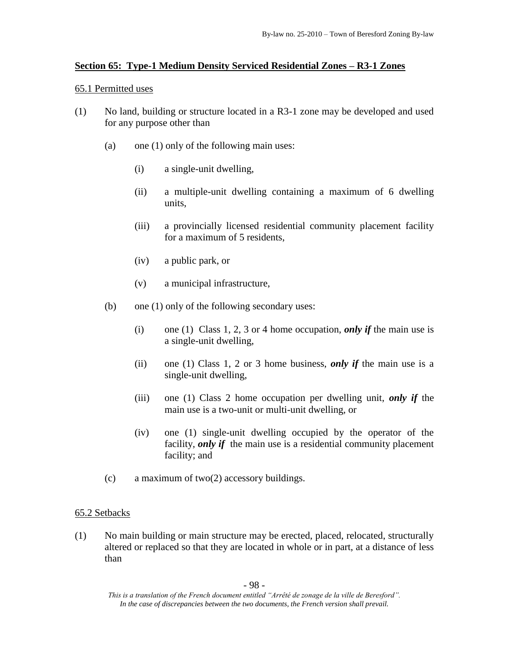# **Section 65: Type-1 Medium Density Serviced Residential Zones – R3-1 Zones**

### 65.1 Permitted uses

- (1) No land, building or structure located in a R3-1 zone may be developed and used for any purpose other than
	- (a) one (1) only of the following main uses:
		- (i) a single-unit dwelling,
		- (ii) a multiple-unit dwelling containing a maximum of 6 dwelling units,
		- (iii) a provincially licensed residential community placement facility for a maximum of 5 residents,
		- (iv) a public park, or
		- (v) a municipal infrastructure,
	- (b) one (1) only of the following secondary uses:
		- (i) one (1) Class 1, 2, 3 or 4 home occupation, *only if* the main use is a single-unit dwelling,
		- (ii) one (1) Class 1, 2 or 3 home business, *only if* the main use is a single-unit dwelling,
		- (iii) one (1) Class 2 home occupation per dwelling unit, *only if* the main use is a two-unit or multi-unit dwelling, or
		- (iv) one (1) single-unit dwelling occupied by the operator of the facility, *only if* the main use is a residential community placement facility; and
	- (c) a maximum of two(2) accessory buildings.

# 65.2 Setbacks

(1) No main building or main structure may be erected, placed, relocated, structurally altered or replaced so that they are located in whole or in part, at a distance of less than

*This is a translation of the French document entitled "Arrêté de zonage de la ville de Beresford". In the case of discrepancies between the two documents, the French version shall prevail.*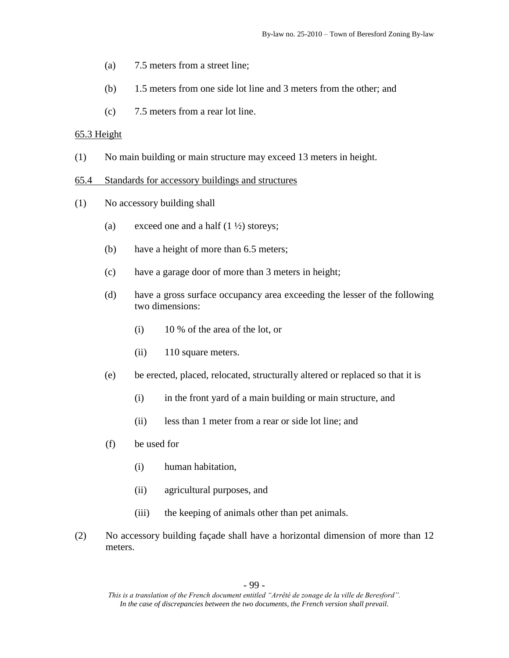- (a) 7.5 meters from a street line;
- (b) 1.5 meters from one side lot line and 3 meters from the other; and
- (c) 7.5 meters from a rear lot line.

### 65.3 Height

(1) No main building or main structure may exceed 13 meters in height.

#### 65.4 Standards for accessory buildings and structures

- (1) No accessory building shall
	- (a) exceed one and a half  $(1 \frac{1}{2})$  storeys;
	- (b) have a height of more than 6.5 meters;
	- (c) have a garage door of more than 3 meters in height;
	- (d) have a gross surface occupancy area exceeding the lesser of the following two dimensions:
		- (i) 10 % of the area of the lot, or
		- (ii) 110 square meters.
	- (e) be erected, placed, relocated, structurally altered or replaced so that it is
		- (i) in the front yard of a main building or main structure, and
		- (ii) less than 1 meter from a rear or side lot line; and
	- (f) be used for
		- (i) human habitation,
		- (ii) agricultural purposes, and
		- (iii) the keeping of animals other than pet animals.
- (2) No accessory building façade shall have a horizontal dimension of more than 12 meters.

*This is a translation of the French document entitled "Arrêté de zonage de la ville de Beresford". In the case of discrepancies between the two documents, the French version shall prevail.*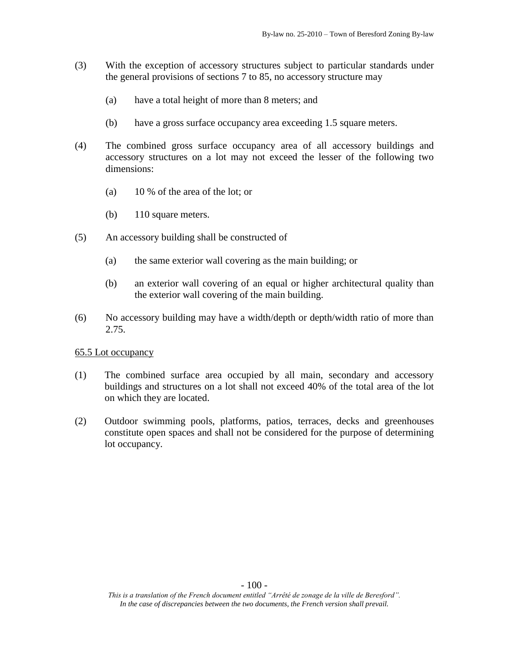- (3) With the exception of accessory structures subject to particular standards under the general provisions of sections 7 to 85, no accessory structure may
	- (a) have a total height of more than 8 meters; and
	- (b) have a gross surface occupancy area exceeding 1.5 square meters.
- (4) The combined gross surface occupancy area of all accessory buildings and accessory structures on a lot may not exceed the lesser of the following two dimensions:
	- (a) 10 % of the area of the lot; or
	- (b) 110 square meters.
- (5) An accessory building shall be constructed of
	- (a) the same exterior wall covering as the main building; or
	- (b) an exterior wall covering of an equal or higher architectural quality than the exterior wall covering of the main building.
- (6) No accessory building may have a width/depth or depth/width ratio of more than 2.75.

- (1) The combined surface area occupied by all main, secondary and accessory buildings and structures on a lot shall not exceed 40% of the total area of the lot on which they are located.
- (2) Outdoor swimming pools, platforms, patios, terraces, decks and greenhouses constitute open spaces and shall not be considered for the purpose of determining lot occupancy.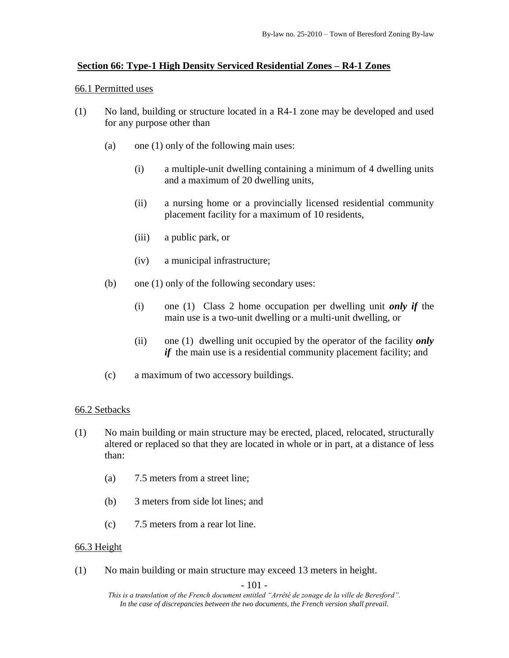# **Section 66: Type-1 High Density Serviced Residential Zones – R4-1 Zones**

### 66.1 Permitted uses

- (1) No land, building or structure located in a R4-1 zone may be developed and used for any purpose other than
	- (a) one (1) only of the following main uses:
		- (i) a multiple-unit dwelling containing a minimum of 4 dwelling units and a maximum of 20 dwelling units,
		- (ii) a nursing home or a provincially licensed residential community placement facility for a maximum of 10 residents,
		- (iii) a public park, or
		- (iv) a municipal infrastructure;
	- (b) one (1) only of the following secondary uses:
		- (i) one (1) Class 2 home occupation per dwelling unit *only if* the main use is a two-unit dwelling or a multi-unit dwelling, or
		- (ii) one (1) dwelling unit occupied by the operator of the facility *only if* the main use is a residential community placement facility; and
	- (c) a maximum of two accessory buildings.

# 66.2 Setbacks

- (1) No main building or main structure may be erected, placed, relocated, structurally altered or replaced so that they are located in whole or in part, at a distance of less than:
	- (a) 7.5 meters from a street line;
	- (b) 3 meters from side lot lines; and
	- (c) 7.5 meters from a rear lot line.

# 66.3 Height

(1) No main building or main structure may exceed 13 meters in height.

- 101 -

*This is a translation of the French document entitled "Arrêté de zonage de la ville de Beresford". In the case of discrepancies between the two documents, the French version shall prevail.*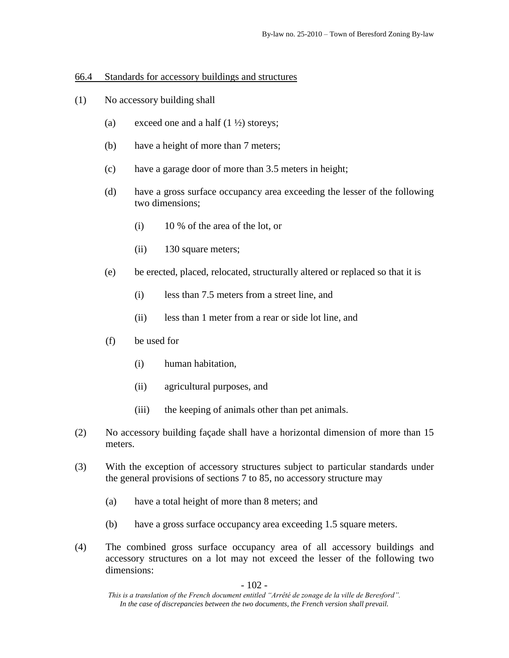### 66.4 Standards for accessory buildings and structures

- (1) No accessory building shall
	- (a) exceed one and a half  $(1 \frac{1}{2})$  storeys;
	- (b) have a height of more than 7 meters;
	- (c) have a garage door of more than 3.5 meters in height;
	- (d) have a gross surface occupancy area exceeding the lesser of the following two dimensions;
		- (i) 10 % of the area of the lot, or
		- (ii) 130 square meters;
	- (e) be erected, placed, relocated, structurally altered or replaced so that it is
		- (i) less than 7.5 meters from a street line, and
		- (ii) less than 1 meter from a rear or side lot line, and
	- (f) be used for
		- (i) human habitation,
		- (ii) agricultural purposes, and
		- (iii) the keeping of animals other than pet animals.
- (2) No accessory building façade shall have a horizontal dimension of more than 15 meters.
- (3) With the exception of accessory structures subject to particular standards under the general provisions of sections 7 to 85, no accessory structure may
	- (a) have a total height of more than 8 meters; and
	- (b) have a gross surface occupancy area exceeding 1.5 square meters.
- (4) The combined gross surface occupancy area of all accessory buildings and accessory structures on a lot may not exceed the lesser of the following two dimensions:

- 102 -

*This is a translation of the French document entitled "Arrêté de zonage de la ville de Beresford". In the case of discrepancies between the two documents, the French version shall prevail.*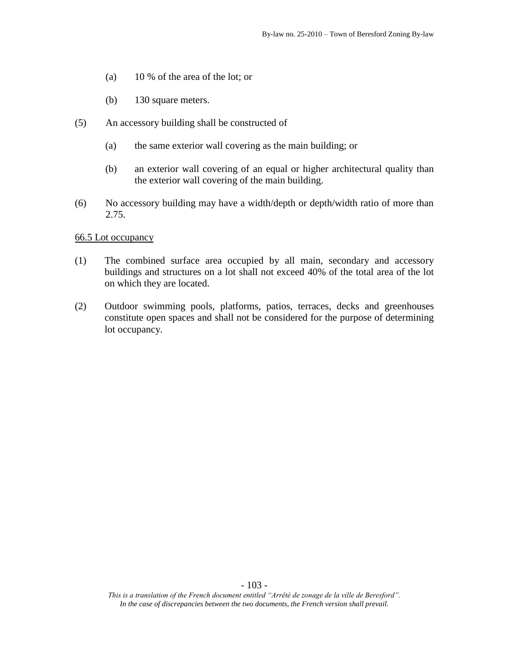- (a) 10 % of the area of the lot; or
- (b) 130 square meters.
- (5) An accessory building shall be constructed of
	- (a) the same exterior wall covering as the main building; or
	- (b) an exterior wall covering of an equal or higher architectural quality than the exterior wall covering of the main building.
- (6) No accessory building may have a width/depth or depth/width ratio of more than 2.75.

- (1) The combined surface area occupied by all main, secondary and accessory buildings and structures on a lot shall not exceed 40% of the total area of the lot on which they are located.
- (2) Outdoor swimming pools, platforms, patios, terraces, decks and greenhouses constitute open spaces and shall not be considered for the purpose of determining lot occupancy.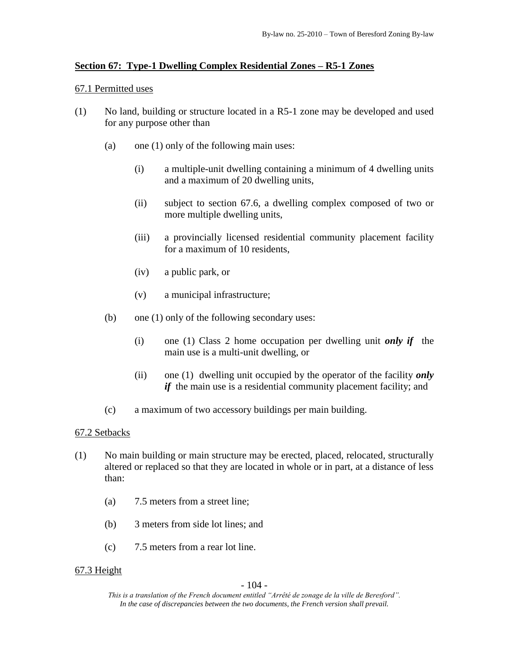# **Section 67: Type-1 Dwelling Complex Residential Zones – R5-1 Zones**

### 67.1 Permitted uses

- (1) No land, building or structure located in a R5-1 zone may be developed and used for any purpose other than
	- (a) one (1) only of the following main uses:
		- (i) a multiple-unit dwelling containing a minimum of 4 dwelling units and a maximum of 20 dwelling units,
		- (ii) subject to section 67.6, a dwelling complex composed of two or more multiple dwelling units,
		- (iii) a provincially licensed residential community placement facility for a maximum of 10 residents,
		- (iv) a public park, or
		- (v) a municipal infrastructure;
	- (b) one (1) only of the following secondary uses:
		- (i) one (1) Class 2 home occupation per dwelling unit *only if* the main use is a multi-unit dwelling, or
		- (ii) one (1) dwelling unit occupied by the operator of the facility *only if* the main use is a residential community placement facility; and
	- (c) a maximum of two accessory buildings per main building.

# 67.2 Setbacks

- (1) No main building or main structure may be erected, placed, relocated, structurally altered or replaced so that they are located in whole or in part, at a distance of less than:
	- (a) 7.5 meters from a street line;
	- (b) 3 meters from side lot lines; and
	- (c) 7.5 meters from a rear lot line.

# 67.3 Height

# - 104 -

*This is a translation of the French document entitled "Arrêté de zonage de la ville de Beresford". In the case of discrepancies between the two documents, the French version shall prevail.*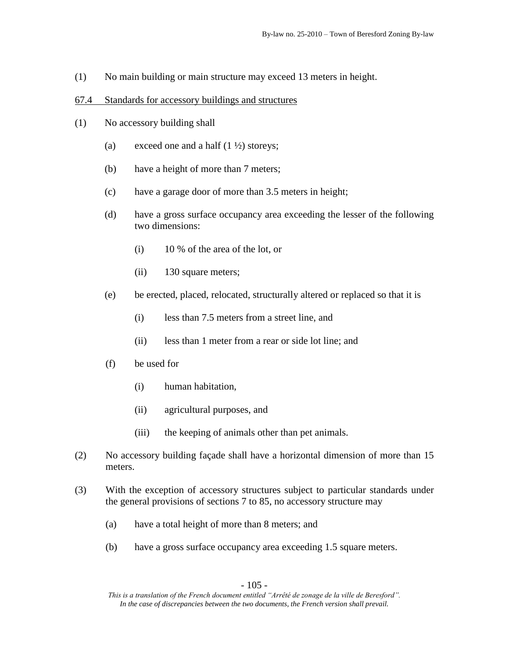(1) No main building or main structure may exceed 13 meters in height.

### 67.4 Standards for accessory buildings and structures

- (1) No accessory building shall
	- (a) exceed one and a half  $(1 \frac{1}{2})$  storeys;
	- (b) have a height of more than 7 meters;
	- (c) have a garage door of more than 3.5 meters in height;
	- (d) have a gross surface occupancy area exceeding the lesser of the following two dimensions:
		- (i) 10 % of the area of the lot, or
		- (ii) 130 square meters;
	- (e) be erected, placed, relocated, structurally altered or replaced so that it is
		- (i) less than 7.5 meters from a street line, and
		- (ii) less than 1 meter from a rear or side lot line; and
	- (f) be used for
		- (i) human habitation,
		- (ii) agricultural purposes, and
		- (iii) the keeping of animals other than pet animals.
- (2) No accessory building façade shall have a horizontal dimension of more than 15 meters.
- (3) With the exception of accessory structures subject to particular standards under the general provisions of sections 7 to 85, no accessory structure may
	- (a) have a total height of more than 8 meters; and
	- (b) have a gross surface occupancy area exceeding 1.5 square meters.

*This is a translation of the French document entitled "Arrêté de zonage de la ville de Beresford". In the case of discrepancies between the two documents, the French version shall prevail.*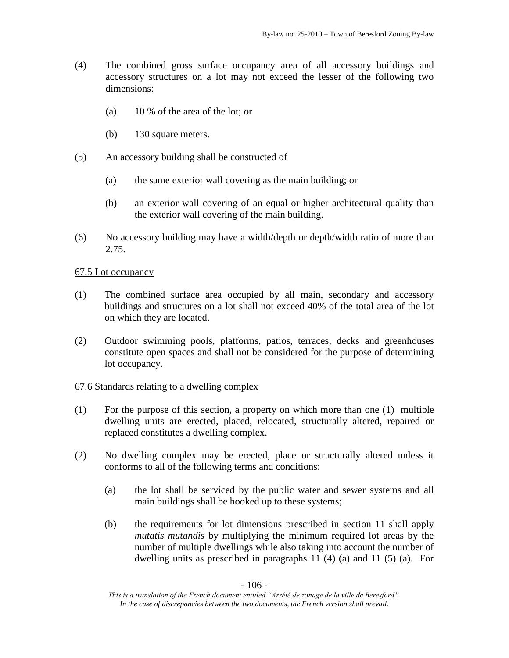- (4) The combined gross surface occupancy area of all accessory buildings and accessory structures on a lot may not exceed the lesser of the following two dimensions:
	- (a) 10 % of the area of the lot; or
	- (b) 130 square meters.
- (5) An accessory building shall be constructed of
	- (a) the same exterior wall covering as the main building; or
	- (b) an exterior wall covering of an equal or higher architectural quality than the exterior wall covering of the main building.
- (6) No accessory building may have a width/depth or depth/width ratio of more than 2.75.

- (1) The combined surface area occupied by all main, secondary and accessory buildings and structures on a lot shall not exceed 40% of the total area of the lot on which they are located.
- (2) Outdoor swimming pools, platforms, patios, terraces, decks and greenhouses constitute open spaces and shall not be considered for the purpose of determining lot occupancy.

# 67.6 Standards relating to a dwelling complex

- (1) For the purpose of this section, a property on which more than one (1) multiple dwelling units are erected, placed, relocated, structurally altered, repaired or replaced constitutes a dwelling complex.
- (2) No dwelling complex may be erected, place or structurally altered unless it conforms to all of the following terms and conditions:
	- (a) the lot shall be serviced by the public water and sewer systems and all main buildings shall be hooked up to these systems;
	- (b) the requirements for lot dimensions prescribed in section 11 shall apply *mutatis mutandis* by multiplying the minimum required lot areas by the number of multiple dwellings while also taking into account the number of dwelling units as prescribed in paragraphs 11 (4) (a) and 11 (5) (a). For

*This is a translation of the French document entitled "Arrêté de zonage de la ville de Beresford". In the case of discrepancies between the two documents, the French version shall prevail.*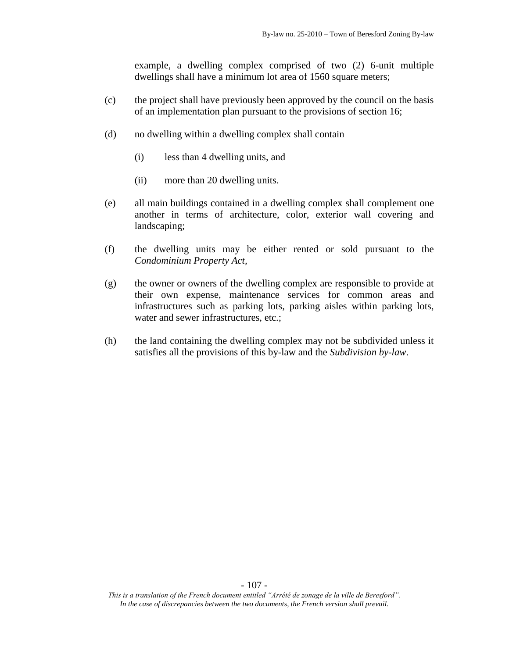example, a dwelling complex comprised of two (2) 6-unit multiple dwellings shall have a minimum lot area of 1560 square meters;

- (c) the project shall have previously been approved by the council on the basis of an implementation plan pursuant to the provisions of section 16;
- (d) no dwelling within a dwelling complex shall contain
	- (i) less than 4 dwelling units, and
	- (ii) more than 20 dwelling units.
- (e) all main buildings contained in a dwelling complex shall complement one another in terms of architecture, color, exterior wall covering and landscaping;
- (f) the dwelling units may be either rented or sold pursuant to the *Condominium Property Act,*
- (g) the owner or owners of the dwelling complex are responsible to provide at their own expense, maintenance services for common areas and infrastructures such as parking lots, parking aisles within parking lots, water and sewer infrastructures, etc.;
- (h) the land containing the dwelling complex may not be subdivided unless it satisfies all the provisions of this by-law and the *Subdivision by-law*.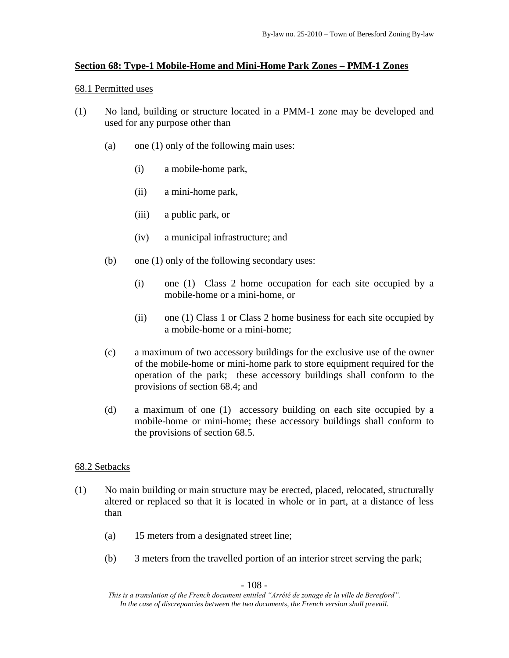# **Section 68: Type-1 Mobile-Home and Mini-Home Park Zones – PMM-1 Zones**

### 68.1 Permitted uses

- (1) No land, building or structure located in a PMM-1 zone may be developed and used for any purpose other than
	- (a) one (1) only of the following main uses:
		- (i) a mobile-home park,
		- (ii) a mini-home park,
		- (iii) a public park, or
		- (iv) a municipal infrastructure; and
	- (b) one (1) only of the following secondary uses:
		- (i) one (1) Class 2 home occupation for each site occupied by a mobile-home or a mini-home, or
		- (ii) one (1) Class 1 or Class 2 home business for each site occupied by a mobile-home or a mini-home;
	- (c) a maximum of two accessory buildings for the exclusive use of the owner of the mobile-home or mini-home park to store equipment required for the operation of the park; these accessory buildings shall conform to the provisions of section 68.4; and
	- (d) a maximum of one (1) accessory building on each site occupied by a mobile-home or mini-home; these accessory buildings shall conform to the provisions of section 68.5.

# 68.2 Setbacks

- (1) No main building or main structure may be erected, placed, relocated, structurally altered or replaced so that it is located in whole or in part, at a distance of less than
	- (a) 15 meters from a designated street line;
	- (b) 3 meters from the travelled portion of an interior street serving the park;

- 108 -

*This is a translation of the French document entitled "Arrêté de zonage de la ville de Beresford". In the case of discrepancies between the two documents, the French version shall prevail.*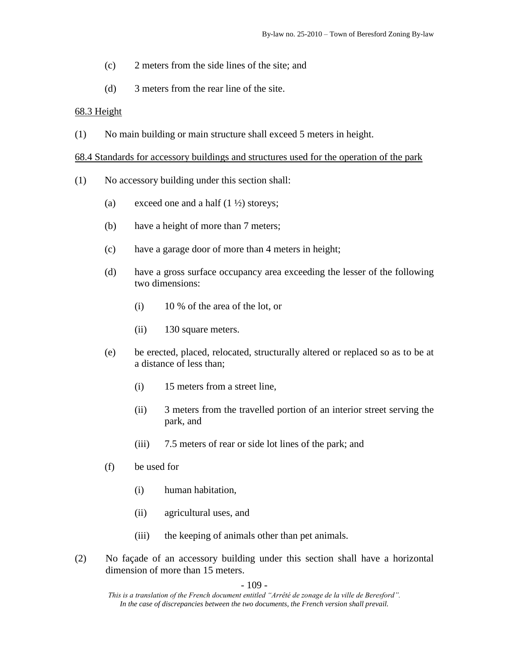- (c) 2 meters from the side lines of the site; and
- (d) 3 meters from the rear line of the site.

## 68.3 Height

(1) No main building or main structure shall exceed 5 meters in height.

## 68.4 Standards for accessory buildings and structures used for the operation of the park

- (1) No accessory building under this section shall:
	- (a) exceed one and a half  $(1 \frac{1}{2})$  storeys;
	- (b) have a height of more than 7 meters;
	- (c) have a garage door of more than 4 meters in height;
	- (d) have a gross surface occupancy area exceeding the lesser of the following two dimensions:
		- (i) 10 % of the area of the lot, or
		- (ii) 130 square meters.
	- (e) be erected, placed, relocated, structurally altered or replaced so as to be at a distance of less than;
		- (i) 15 meters from a street line,
		- (ii) 3 meters from the travelled portion of an interior street serving the park, and
		- (iii) 7.5 meters of rear or side lot lines of the park; and
	- (f) be used for
		- (i) human habitation,
		- (ii) agricultural uses, and
		- (iii) the keeping of animals other than pet animals.
- (2) No façade of an accessory building under this section shall have a horizontal dimension of more than 15 meters.

- 109 -

*This is a translation of the French document entitled "Arrêté de zonage de la ville de Beresford". In the case of discrepancies between the two documents, the French version shall prevail.*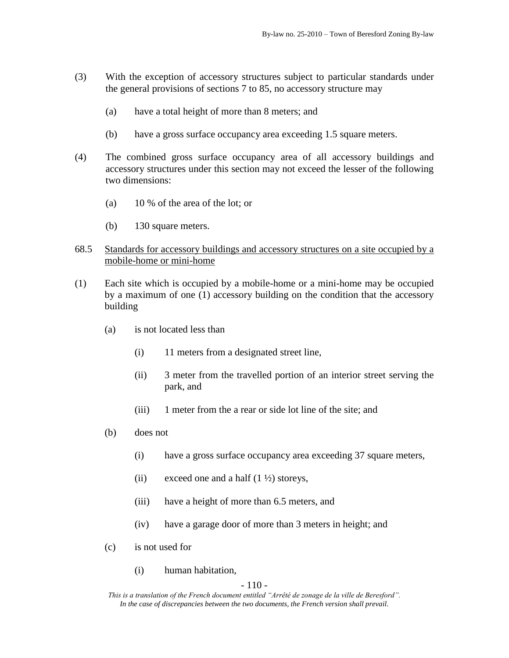- (3) With the exception of accessory structures subject to particular standards under the general provisions of sections 7 to 85, no accessory structure may
	- (a) have a total height of more than 8 meters; and
	- (b) have a gross surface occupancy area exceeding 1.5 square meters.
- (4) The combined gross surface occupancy area of all accessory buildings and accessory structures under this section may not exceed the lesser of the following two dimensions:
	- (a) 10 % of the area of the lot; or
	- (b) 130 square meters.
- 68.5 Standards for accessory buildings and accessory structures on a site occupied by a mobile-home or mini-home
- (1) Each site which is occupied by a mobile-home or a mini-home may be occupied by a maximum of one (1) accessory building on the condition that the accessory building
	- (a) is not located less than
		- (i) 11 meters from a designated street line,
		- (ii) 3 meter from the travelled portion of an interior street serving the park, and
		- (iii) 1 meter from the a rear or side lot line of the site; and
	- (b) does not
		- (i) have a gross surface occupancy area exceeding 37 square meters,
		- (ii) exceed one and a half  $(1 \frac{1}{2})$  storeys,
		- (iii) have a height of more than 6.5 meters, and
		- (iv) have a garage door of more than 3 meters in height; and
	- (c) is not used for
		- (i) human habitation,

#### $-110-$

*This is a translation of the French document entitled "Arrêté de zonage de la ville de Beresford". In the case of discrepancies between the two documents, the French version shall prevail.*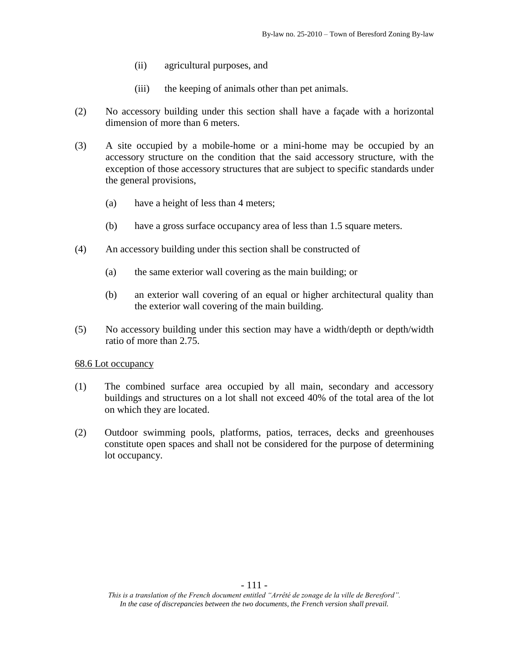- (ii) agricultural purposes, and
- (iii) the keeping of animals other than pet animals.
- (2) No accessory building under this section shall have a façade with a horizontal dimension of more than 6 meters.
- (3) A site occupied by a mobile-home or a mini-home may be occupied by an accessory structure on the condition that the said accessory structure, with the exception of those accessory structures that are subject to specific standards under the general provisions,
	- (a) have a height of less than 4 meters;
	- (b) have a gross surface occupancy area of less than 1.5 square meters.
- (4) An accessory building under this section shall be constructed of
	- (a) the same exterior wall covering as the main building; or
	- (b) an exterior wall covering of an equal or higher architectural quality than the exterior wall covering of the main building.
- (5) No accessory building under this section may have a width/depth or depth/width ratio of more than 2.75.

- (1) The combined surface area occupied by all main, secondary and accessory buildings and structures on a lot shall not exceed 40% of the total area of the lot on which they are located.
- (2) Outdoor swimming pools, platforms, patios, terraces, decks and greenhouses constitute open spaces and shall not be considered for the purpose of determining lot occupancy.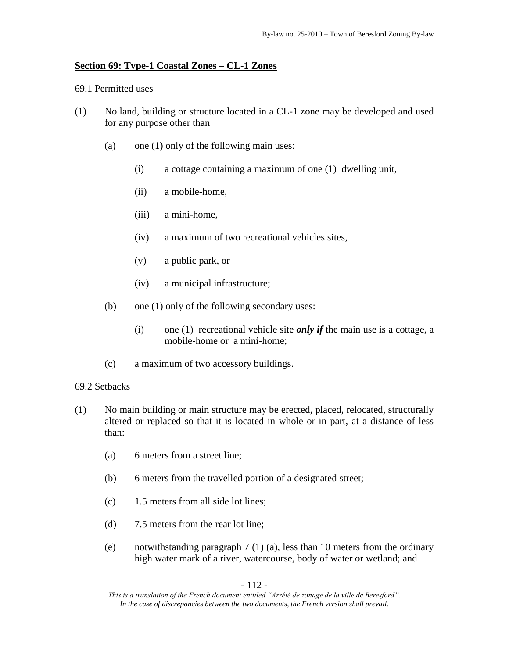# **Section 69: Type-1 Coastal Zones – CL-1 Zones**

## 69.1 Permitted uses

- (1) No land, building or structure located in a CL-1 zone may be developed and used for any purpose other than
	- (a) one (1) only of the following main uses:
		- (i) a cottage containing a maximum of one (1) dwelling unit,
		- (ii) a mobile-home,
		- (iii) a mini-home,
		- (iv) a maximum of two recreational vehicles sites,
		- (v) a public park, or
		- (iv) a municipal infrastructure;
	- (b) one (1) only of the following secondary uses:
		- (i) one (1) recreational vehicle site *only if* the main use is a cottage, a mobile-home or a mini-home;
	- (c) a maximum of two accessory buildings.

# 69.2 Setbacks

- (1) No main building or main structure may be erected, placed, relocated, structurally altered or replaced so that it is located in whole or in part, at a distance of less than:
	- (a) 6 meters from a street line;
	- (b) 6 meters from the travelled portion of a designated street;
	- (c) 1.5 meters from all side lot lines;
	- (d) 7.5 meters from the rear lot line;
	- (e) notwithstanding paragraph 7 (1) (a), less than 10 meters from the ordinary high water mark of a river, watercourse, body of water or wetland; and

- 112 -

*This is a translation of the French document entitled "Arrêté de zonage de la ville de Beresford". In the case of discrepancies between the two documents, the French version shall prevail.*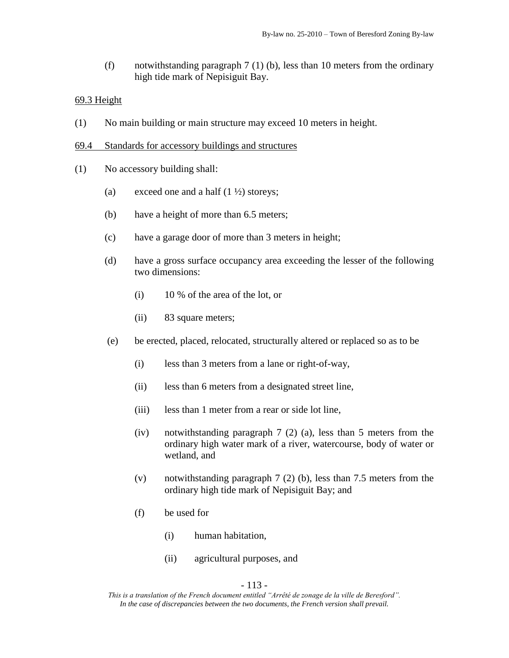(f) notwithstanding paragraph 7 (1) (b), less than 10 meters from the ordinary high tide mark of Nepisiguit Bay.

## 69.3 Height

- (1) No main building or main structure may exceed 10 meters in height.
- 69.4 Standards for accessory buildings and structures
- (1) No accessory building shall:
	- (a) exceed one and a half  $(1 \frac{1}{2})$  storeys;
	- (b) have a height of more than 6.5 meters;
	- (c) have a garage door of more than 3 meters in height;
	- (d) have a gross surface occupancy area exceeding the lesser of the following two dimensions:
		- (i) 10 % of the area of the lot, or
		- (ii) 83 square meters;
	- (e) be erected, placed, relocated, structurally altered or replaced so as to be
		- (i) less than 3 meters from a lane or right-of-way,
		- (ii) less than 6 meters from a designated street line,
		- (iii) less than 1 meter from a rear or side lot line,
		- (iv) notwithstanding paragraph 7 (2) (a), less than 5 meters from the ordinary high water mark of a river, watercourse, body of water or wetland, and
		- (v) notwithstanding paragraph 7 (2) (b), less than 7.5 meters from the ordinary high tide mark of Nepisiguit Bay; and
		- (f) be used for
			- (i) human habitation,
			- (ii) agricultural purposes, and

*This is a translation of the French document entitled "Arrêté de zonage de la ville de Beresford". In the case of discrepancies between the two documents, the French version shall prevail.*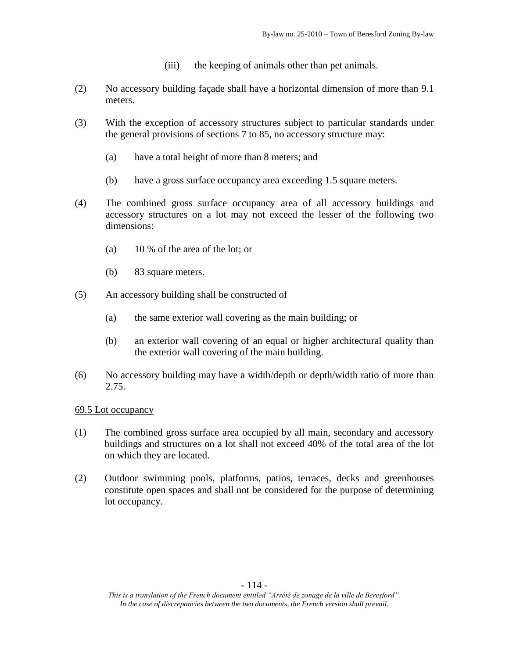- (iii) the keeping of animals other than pet animals.
- (2) No accessory building façade shall have a horizontal dimension of more than 9.1 meters.
- (3) With the exception of accessory structures subject to particular standards under the general provisions of sections 7 to 85, no accessory structure may:
	- (a) have a total height of more than 8 meters; and
	- (b) have a gross surface occupancy area exceeding 1.5 square meters.
- (4) The combined gross surface occupancy area of all accessory buildings and accessory structures on a lot may not exceed the lesser of the following two dimensions:
	- (a) 10 % of the area of the lot; or
	- (b) 83 square meters.
- (5) An accessory building shall be constructed of
	- (a) the same exterior wall covering as the main building; or
	- (b) an exterior wall covering of an equal or higher architectural quality than the exterior wall covering of the main building.
- (6) No accessory building may have a width/depth or depth/width ratio of more than 2.75.

- (1) The combined gross surface area occupied by all main, secondary and accessory buildings and structures on a lot shall not exceed 40% of the total area of the lot on which they are located.
- (2) Outdoor swimming pools, platforms, patios, terraces, decks and greenhouses constitute open spaces and shall not be considered for the purpose of determining lot occupancy.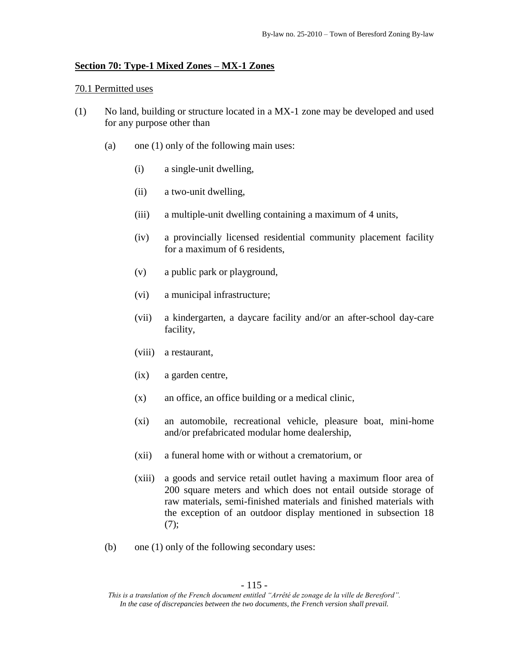### **Section 70: Type-1 Mixed Zones – MX-1 Zones**

#### 70.1 Permitted uses

- (1) No land, building or structure located in a MX-1 zone may be developed and used for any purpose other than
	- (a) one (1) only of the following main uses:
		- (i) a single-unit dwelling,
		- (ii) a two-unit dwelling,
		- (iii) a multiple-unit dwelling containing a maximum of 4 units,
		- (iv) a provincially licensed residential community placement facility for a maximum of 6 residents,
		- (v) a public park or playground,
		- (vi) a municipal infrastructure;
		- (vii) a kindergarten, a daycare facility and/or an after-school day-care facility,
		- (viii) a restaurant,
		- (ix) a garden centre,
		- (x) an office, an office building or a medical clinic,
		- (xi) an automobile, recreational vehicle, pleasure boat, mini-home and/or prefabricated modular home dealership,
		- (xii) a funeral home with or without a crematorium, or
		- (xiii) a goods and service retail outlet having a maximum floor area of 200 square meters and which does not entail outside storage of raw materials, semi-finished materials and finished materials with the exception of an outdoor display mentioned in subsection 18 (7);
	- (b) one (1) only of the following secondary uses:

*This is a translation of the French document entitled "Arrêté de zonage de la ville de Beresford". In the case of discrepancies between the two documents, the French version shall prevail.*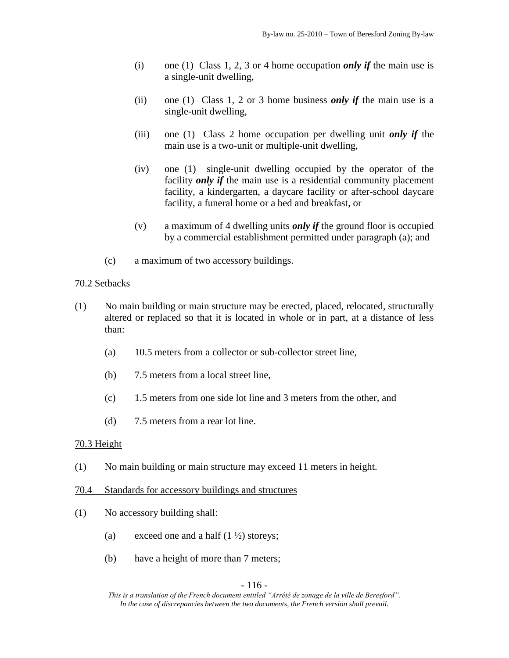- (i) one (1) Class 1, 2, 3 or 4 home occupation *only if* the main use is a single-unit dwelling,
- (ii) one (1) Class 1, 2 or 3 home business *only if* the main use is a single-unit dwelling,
- (iii) one (1) Class 2 home occupation per dwelling unit *only if* the main use is a two-unit or multiple-unit dwelling,
- (iv) one (1) single-unit dwelling occupied by the operator of the facility *only if* the main use is a residential community placement facility, a kindergarten, a daycare facility or after-school daycare facility, a funeral home or a bed and breakfast, or
- (v) a maximum of 4 dwelling units *only if* the ground floor is occupied by a commercial establishment permitted under paragraph (a); and
- (c) a maximum of two accessory buildings.

# 70.2 Setbacks

- (1) No main building or main structure may be erected, placed, relocated, structurally altered or replaced so that it is located in whole or in part, at a distance of less than:
	- (a) 10.5 meters from a collector or sub-collector street line,
	- (b) 7.5 meters from a local street line,
	- (c) 1.5 meters from one side lot line and 3 meters from the other, and
	- (d) 7.5 meters from a rear lot line.

# 70.3 Height

(1) No main building or main structure may exceed 11 meters in height.

# 70.4 Standards for accessory buildings and structures

- (1) No accessory building shall:
	- (a) exceed one and a half  $(1 \frac{1}{2})$  storeys;
	- (b) have a height of more than 7 meters;

## - 116 -

*This is a translation of the French document entitled "Arrêté de zonage de la ville de Beresford". In the case of discrepancies between the two documents, the French version shall prevail.*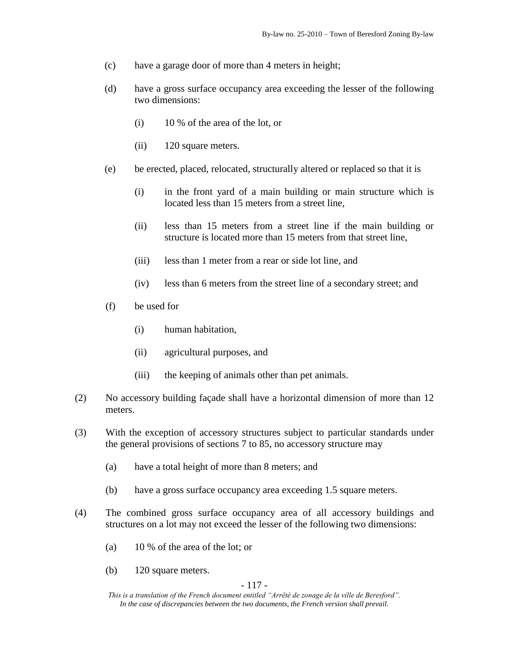- (c) have a garage door of more than 4 meters in height;
- (d) have a gross surface occupancy area exceeding the lesser of the following two dimensions:
	- (i) 10 % of the area of the lot, or
	- (ii) 120 square meters.
- (e) be erected, placed, relocated, structurally altered or replaced so that it is
	- (i) in the front yard of a main building or main structure which is located less than 15 meters from a street line,
	- (ii) less than 15 meters from a street line if the main building or structure is located more than 15 meters from that street line,
	- (iii) less than 1 meter from a rear or side lot line, and
	- (iv) less than 6 meters from the street line of a secondary street; and
- (f) be used for
	- (i) human habitation,
	- (ii) agricultural purposes, and
	- (iii) the keeping of animals other than pet animals.
- (2) No accessory building façade shall have a horizontal dimension of more than 12 meters.
- (3) With the exception of accessory structures subject to particular standards under the general provisions of sections 7 to 85, no accessory structure may
	- (a) have a total height of more than 8 meters; and
	- (b) have a gross surface occupancy area exceeding 1.5 square meters.
- (4) The combined gross surface occupancy area of all accessory buildings and structures on a lot may not exceed the lesser of the following two dimensions:
	- (a) 10 % of the area of the lot; or
	- (b) 120 square meters.

#### - 117 -

*This is a translation of the French document entitled "Arrêté de zonage de la ville de Beresford". In the case of discrepancies between the two documents, the French version shall prevail.*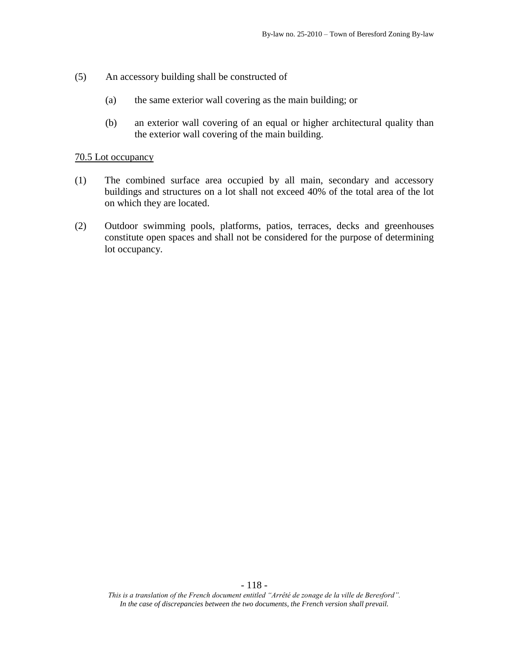- (5) An accessory building shall be constructed of
	- (a) the same exterior wall covering as the main building; or
	- (b) an exterior wall covering of an equal or higher architectural quality than the exterior wall covering of the main building.

- (1) The combined surface area occupied by all main, secondary and accessory buildings and structures on a lot shall not exceed 40% of the total area of the lot on which they are located.
- (2) Outdoor swimming pools, platforms, patios, terraces, decks and greenhouses constitute open spaces and shall not be considered for the purpose of determining lot occupancy.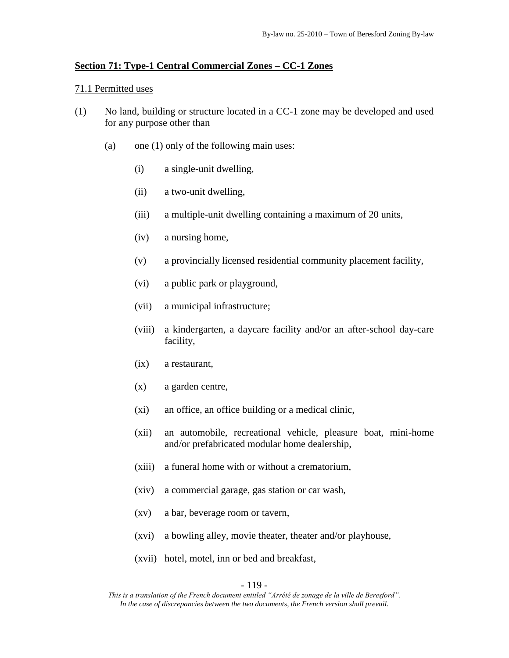#### **Section 71: Type-1 Central Commercial Zones – CC-1 Zones**

#### 71.1 Permitted uses

- (1) No land, building or structure located in a CC-1 zone may be developed and used for any purpose other than
	- (a) one (1) only of the following main uses:
		- (i) a single-unit dwelling,
		- (ii) a two-unit dwelling,
		- (iii) a multiple-unit dwelling containing a maximum of 20 units,
		- (iv) a nursing home,
		- (v) a provincially licensed residential community placement facility,
		- (vi) a public park or playground,
		- (vii) a municipal infrastructure;
		- (viii) a kindergarten, a daycare facility and/or an after-school day-care facility,
		- (ix) a restaurant,
		- (x) a garden centre,
		- (xi) an office, an office building or a medical clinic,
		- (xii) an automobile, recreational vehicle, pleasure boat, mini-home and/or prefabricated modular home dealership,
		- (xiii) a funeral home with or without a crematorium,
		- (xiv) a commercial garage, gas station or car wash,
		- (xv) a bar, beverage room or tavern,
		- (xvi) a bowling alley, movie theater, theater and/or playhouse,
		- (xvii) hotel, motel, inn or bed and breakfast,

#### - 119 -

*This is a translation of the French document entitled "Arrêté de zonage de la ville de Beresford". In the case of discrepancies between the two documents, the French version shall prevail.*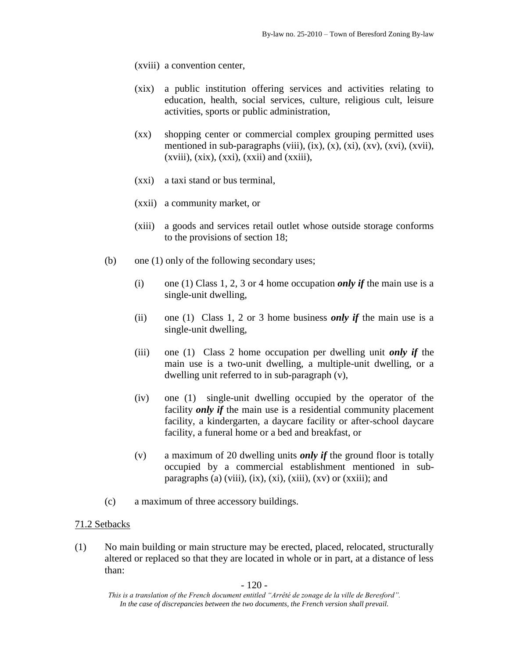(xviii) a convention center,

- (xix) a public institution offering services and activities relating to education, health, social services, culture, religious cult, leisure activities, sports or public administration,
- (xx) shopping center or commercial complex grouping permitted uses mentioned in sub-paragraphs (viii),  $(ix)$ ,  $(x)$ ,  $(xi)$ ,  $(xv)$ ,  $(xvi)$ ,  $(xvii)$ ,  $(xviii)$ ,  $(xix)$ ,  $(xxi)$ ,  $(xxii)$  and  $(xxiii)$ ,
- (xxi) a taxi stand or bus terminal,
- (xxii) a community market, or
- (xiii) a goods and services retail outlet whose outside storage conforms to the provisions of section 18;
- (b) one (1) only of the following secondary uses;
	- (i) one (1) Class 1, 2, 3 or 4 home occupation *only if* the main use is a single-unit dwelling,
	- (ii) one (1) Class 1, 2 or 3 home business *only if* the main use is a single-unit dwelling,
	- (iii) one (1) Class 2 home occupation per dwelling unit *only if* the main use is a two-unit dwelling, a multiple-unit dwelling, or a dwelling unit referred to in sub-paragraph (v),
	- (iv) one (1) single-unit dwelling occupied by the operator of the facility *only if* the main use is a residential community placement facility, a kindergarten, a daycare facility or after-school daycare facility, a funeral home or a bed and breakfast, or
	- (v) a maximum of 20 dwelling units *only if* the ground floor is totally occupied by a commercial establishment mentioned in subparagraphs (a) (viii),  $(ix)$ ,  $(xi)$ ,  $(xii)$ ,  $(xv)$  or  $(xxiii)$ ; and
- (c) a maximum of three accessory buildings.

### 71.2 Setbacks

(1) No main building or main structure may be erected, placed, relocated, structurally altered or replaced so that they are located in whole or in part, at a distance of less than:

*This is a translation of the French document entitled "Arrêté de zonage de la ville de Beresford". In the case of discrepancies between the two documents, the French version shall prevail.*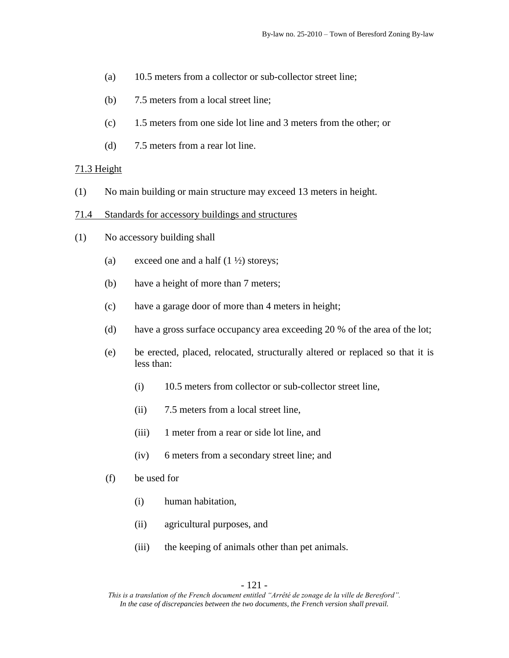- (a) 10.5 meters from a collector or sub-collector street line;
- (b) 7.5 meters from a local street line;
- (c) 1.5 meters from one side lot line and 3 meters from the other; or
- (d) 7.5 meters from a rear lot line.

#### 71.3 Height

- (1) No main building or main structure may exceed 13 meters in height.
- 71.4 Standards for accessory buildings and structures
- (1) No accessory building shall
	- (a) exceed one and a half  $(1 \frac{1}{2})$  storeys;
	- (b) have a height of more than 7 meters;
	- (c) have a garage door of more than 4 meters in height;
	- (d) have a gross surface occupancy area exceeding 20 % of the area of the lot;
	- (e) be erected, placed, relocated, structurally altered or replaced so that it is less than:
		- (i) 10.5 meters from collector or sub-collector street line,
		- (ii) 7.5 meters from a local street line,
		- (iii) 1 meter from a rear or side lot line, and
		- (iv) 6 meters from a secondary street line; and
	- (f) be used for
		- (i) human habitation,
		- (ii) agricultural purposes, and
		- (iii) the keeping of animals other than pet animals.

*This is a translation of the French document entitled "Arrêté de zonage de la ville de Beresford". In the case of discrepancies between the two documents, the French version shall prevail.*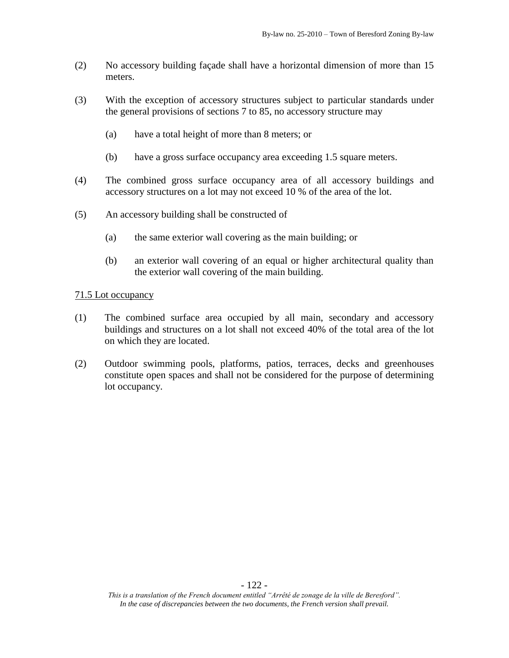- (2) No accessory building façade shall have a horizontal dimension of more than 15 meters.
- (3) With the exception of accessory structures subject to particular standards under the general provisions of sections 7 to 85, no accessory structure may
	- (a) have a total height of more than 8 meters; or
	- (b) have a gross surface occupancy area exceeding 1.5 square meters.
- (4) The combined gross surface occupancy area of all accessory buildings and accessory structures on a lot may not exceed 10 % of the area of the lot.
- (5) An accessory building shall be constructed of
	- (a) the same exterior wall covering as the main building; or
	- (b) an exterior wall covering of an equal or higher architectural quality than the exterior wall covering of the main building.

- (1) The combined surface area occupied by all main, secondary and accessory buildings and structures on a lot shall not exceed 40% of the total area of the lot on which they are located.
- (2) Outdoor swimming pools, platforms, patios, terraces, decks and greenhouses constitute open spaces and shall not be considered for the purpose of determining lot occupancy.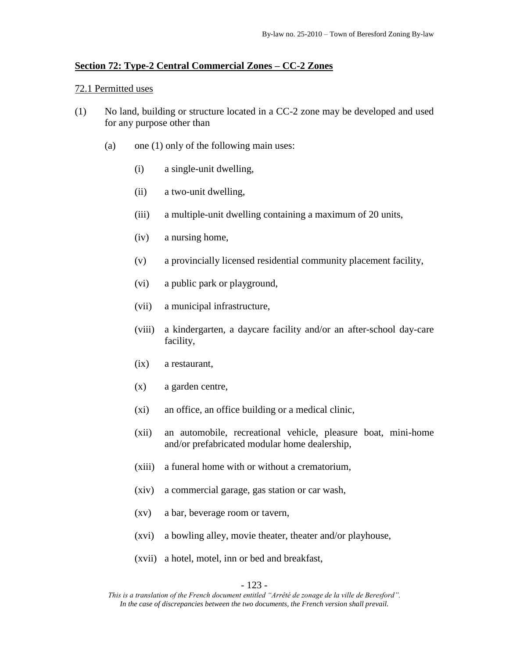#### **Section 72: Type-2 Central Commercial Zones – CC-2 Zones**

#### 72.1 Permitted uses

- (1) No land, building or structure located in a CC-2 zone may be developed and used for any purpose other than
	- (a) one (1) only of the following main uses:
		- (i) a single-unit dwelling,
		- (ii) a two-unit dwelling,
		- (iii) a multiple-unit dwelling containing a maximum of 20 units,
		- (iv) a nursing home,
		- (v) a provincially licensed residential community placement facility,
		- (vi) a public park or playground,
		- (vii) a municipal infrastructure,
		- (viii) a kindergarten, a daycare facility and/or an after-school day-care facility,
		- (ix) a restaurant,
		- (x) a garden centre,
		- (xi) an office, an office building or a medical clinic,
		- (xii) an automobile, recreational vehicle, pleasure boat, mini-home and/or prefabricated modular home dealership,
		- (xiii) a funeral home with or without a crematorium,
		- (xiv) a commercial garage, gas station or car wash,
		- (xv) a bar, beverage room or tavern,
		- (xvi) a bowling alley, movie theater, theater and/or playhouse,
		- (xvii) a hotel, motel, inn or bed and breakfast,

#### - 123 -

*This is a translation of the French document entitled "Arrêté de zonage de la ville de Beresford". In the case of discrepancies between the two documents, the French version shall prevail.*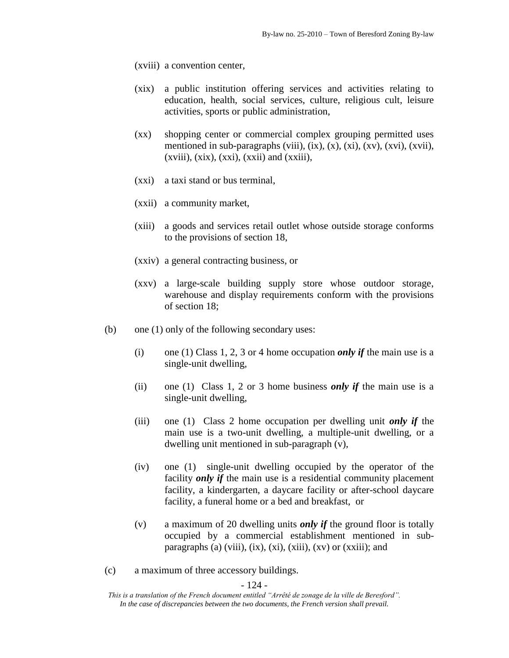(xviii) a convention center,

- (xix) a public institution offering services and activities relating to education, health, social services, culture, religious cult, leisure activities, sports or public administration,
- (xx) shopping center or commercial complex grouping permitted uses mentioned in sub-paragraphs (viii),  $(ix)$ ,  $(x)$ ,  $(xi)$ ,  $(xv)$ ,  $(xvi)$ ,  $(xvii)$ ,  $(xviii)$ ,  $(xix)$ ,  $(xxi)$ ,  $(xxii)$  and  $(xxiii)$ ,
- (xxi) a taxi stand or bus terminal,
- (xxii) a community market,
- (xiii) a goods and services retail outlet whose outside storage conforms to the provisions of section 18,
- (xxiv) a general contracting business, or
- (xxv) a large-scale building supply store whose outdoor storage, warehouse and display requirements conform with the provisions of section 18;
- (b) one (1) only of the following secondary uses:
	- (i) one (1) Class 1, 2, 3 or 4 home occupation *only if* the main use is a single-unit dwelling,
	- (ii) one (1) Class 1, 2 or 3 home business *only if* the main use is a single-unit dwelling,
	- (iii) one (1) Class 2 home occupation per dwelling unit *only if* the main use is a two-unit dwelling, a multiple-unit dwelling, or a dwelling unit mentioned in sub-paragraph (v),
	- (iv) one (1) single-unit dwelling occupied by the operator of the facility *only if* the main use is a residential community placement facility, a kindergarten, a daycare facility or after-school daycare facility, a funeral home or a bed and breakfast, or
	- (v) a maximum of 20 dwelling units *only if* the ground floor is totally occupied by a commercial establishment mentioned in subparagraphs (a) (viii), (ix), (xi), (xiii), (xv) or (xxiii); and
- (c) a maximum of three accessory buildings.

- 124 -

*This is a translation of the French document entitled "Arrêté de zonage de la ville de Beresford". In the case of discrepancies between the two documents, the French version shall prevail.*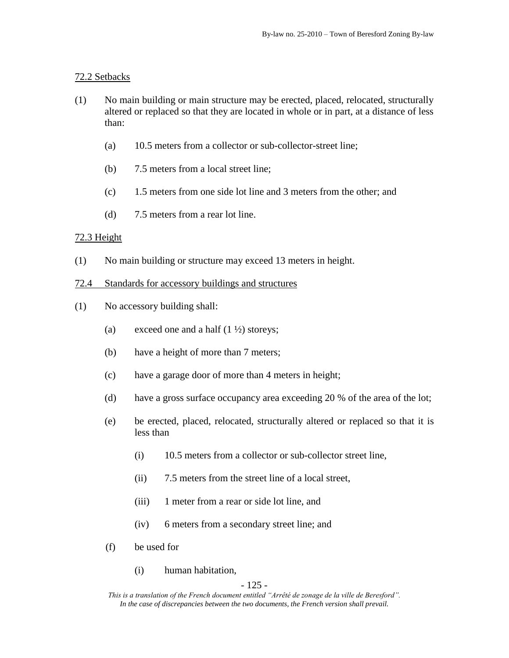## 72.2 Setbacks

- (1) No main building or main structure may be erected, placed, relocated, structurally altered or replaced so that they are located in whole or in part, at a distance of less than:
	- (a) 10.5 meters from a collector or sub-collector-street line;
	- (b) 7.5 meters from a local street line;
	- (c) 1.5 meters from one side lot line and 3 meters from the other; and
	- (d) 7.5 meters from a rear lot line.

### 72.3 Height

(1) No main building or structure may exceed 13 meters in height.

### 72.4 Standards for accessory buildings and structures

- (1) No accessory building shall:
	- (a) exceed one and a half  $(1 \frac{1}{2})$  storeys;
	- (b) have a height of more than 7 meters;
	- (c) have a garage door of more than 4 meters in height;
	- (d) have a gross surface occupancy area exceeding 20 % of the area of the lot;
	- (e) be erected, placed, relocated, structurally altered or replaced so that it is less than
		- (i) 10.5 meters from a collector or sub-collector street line,
		- (ii) 7.5 meters from the street line of a local street,
		- (iii) 1 meter from a rear or side lot line, and
		- (iv) 6 meters from a secondary street line; and
	- (f) be used for
		- (i) human habitation,

#### - 125 -

*This is a translation of the French document entitled "Arrêté de zonage de la ville de Beresford". In the case of discrepancies between the two documents, the French version shall prevail.*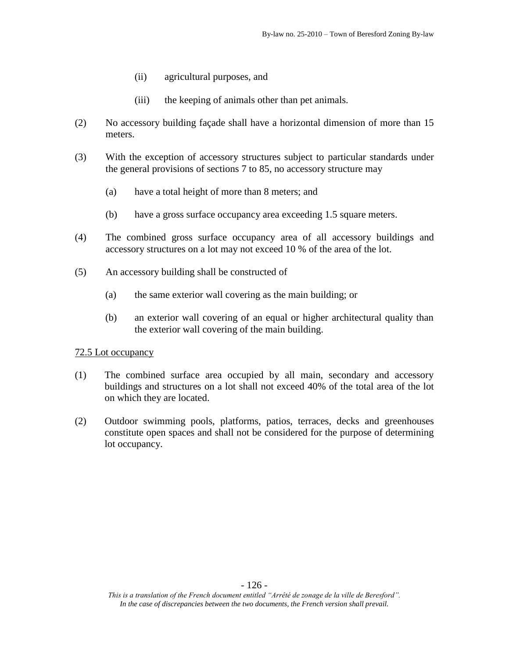- (ii) agricultural purposes, and
- (iii) the keeping of animals other than pet animals.
- (2) No accessory building façade shall have a horizontal dimension of more than 15 meters.
- (3) With the exception of accessory structures subject to particular standards under the general provisions of sections 7 to 85, no accessory structure may
	- (a) have a total height of more than 8 meters; and
	- (b) have a gross surface occupancy area exceeding 1.5 square meters.
- (4) The combined gross surface occupancy area of all accessory buildings and accessory structures on a lot may not exceed 10 % of the area of the lot.
- (5) An accessory building shall be constructed of
	- (a) the same exterior wall covering as the main building; or
	- (b) an exterior wall covering of an equal or higher architectural quality than the exterior wall covering of the main building.

- (1) The combined surface area occupied by all main, secondary and accessory buildings and structures on a lot shall not exceed 40% of the total area of the lot on which they are located.
- (2) Outdoor swimming pools, platforms, patios, terraces, decks and greenhouses constitute open spaces and shall not be considered for the purpose of determining lot occupancy.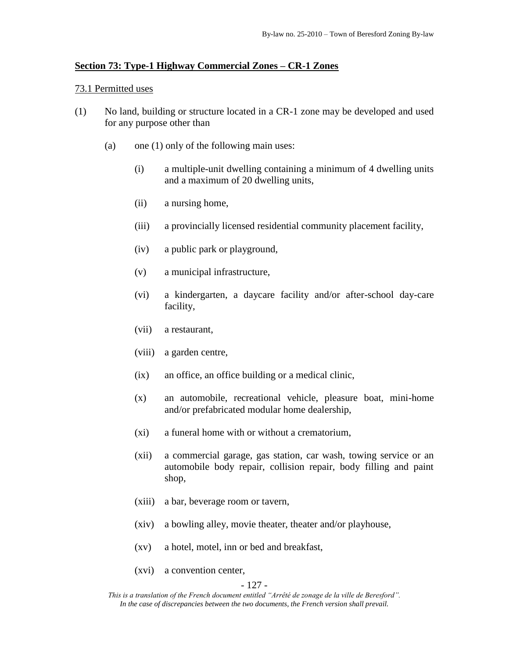#### **Section 73: Type-1 Highway Commercial Zones – CR-1 Zones**

#### 73.1 Permitted uses

- (1) No land, building or structure located in a CR-1 zone may be developed and used for any purpose other than
	- (a) one (1) only of the following main uses:
		- (i) a multiple-unit dwelling containing a minimum of 4 dwelling units and a maximum of 20 dwelling units,
		- (ii) a nursing home,
		- (iii) a provincially licensed residential community placement facility,
		- (iv) a public park or playground,
		- (v) a municipal infrastructure,
		- (vi) a kindergarten, a daycare facility and/or after-school day-care facility,
		- (vii) a restaurant,
		- (viii) a garden centre,
		- (ix) an office, an office building or a medical clinic,
		- (x) an automobile, recreational vehicle, pleasure boat, mini-home and/or prefabricated modular home dealership,
		- (xi) a funeral home with or without a crematorium,
		- (xii) a commercial garage, gas station, car wash, towing service or an automobile body repair, collision repair, body filling and paint shop,
		- (xiii) a bar, beverage room or tavern,
		- (xiv) a bowling alley, movie theater, theater and/or playhouse,
		- (xv) a hotel, motel, inn or bed and breakfast,
		- (xvi) a convention center,

#### - 127 -

*This is a translation of the French document entitled "Arrêté de zonage de la ville de Beresford". In the case of discrepancies between the two documents, the French version shall prevail.*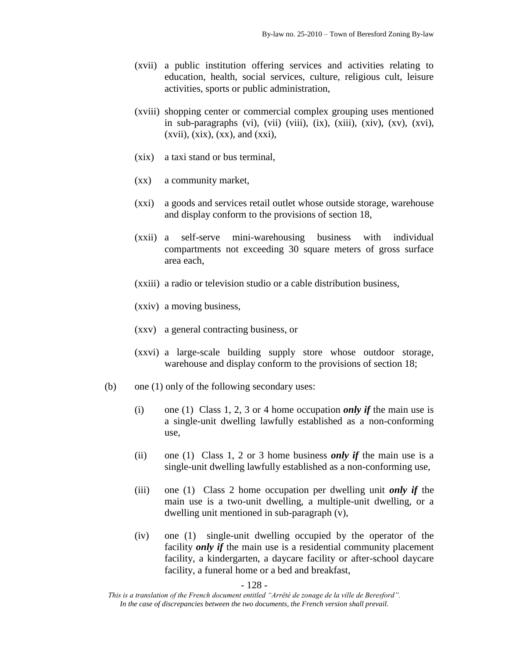- (xvii) a public institution offering services and activities relating to education, health, social services, culture, religious cult, leisure activities, sports or public administration,
- (xviii) shopping center or commercial complex grouping uses mentioned in sub-paragraphs (vi), (vii) (viii), (ix), (xiii), (xiv), (xv), (xvi),  $(xvii)$ ,  $(xix)$ ,  $(xx)$ , and  $(xxi)$ ,
- (xix) a taxi stand or bus terminal,
- (xx) a community market,
- (xxi) a goods and services retail outlet whose outside storage, warehouse and display conform to the provisions of section 18,
- (xxii) a self-serve mini-warehousing business with individual compartments not exceeding 30 square meters of gross surface area each,
- (xxiii) a radio or television studio or a cable distribution business,
- (xxiv) a moving business,
- (xxv) a general contracting business, or
- (xxvi) a large-scale building supply store whose outdoor storage, warehouse and display conform to the provisions of section 18;
- (b) one (1) only of the following secondary uses:
	- (i) one (1) Class 1, 2, 3 or 4 home occupation *only if* the main use is a single-unit dwelling lawfully established as a non-conforming use,
	- (ii) one (1) Class 1, 2 or 3 home business *only if* the main use is a single-unit dwelling lawfully established as a non-conforming use,
	- (iii) one (1) Class 2 home occupation per dwelling unit *only if* the main use is a two-unit dwelling, a multiple-unit dwelling, or a dwelling unit mentioned in sub-paragraph (v),
	- (iv) one (1) single-unit dwelling occupied by the operator of the facility *only if* the main use is a residential community placement facility, a kindergarten, a daycare facility or after-school daycare facility, a funeral home or a bed and breakfast,

- 128 -

*This is a translation of the French document entitled "Arrêté de zonage de la ville de Beresford". In the case of discrepancies between the two documents, the French version shall prevail.*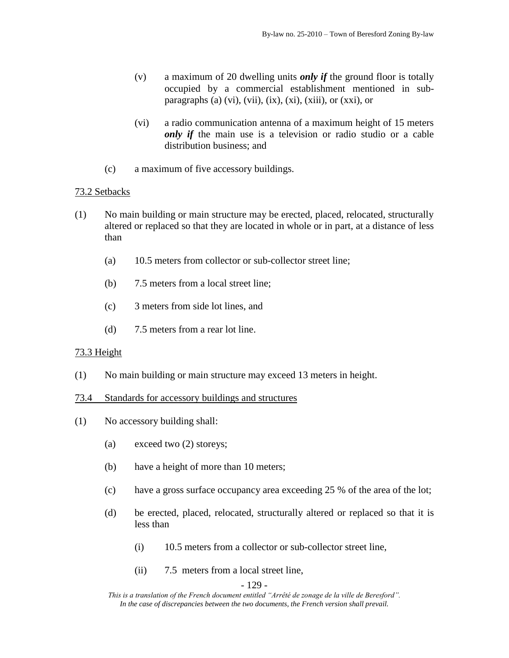- (v) a maximum of 20 dwelling units *only if* the ground floor is totally occupied by a commercial establishment mentioned in subparagraphs (a) (vi), (vii), (ix), (xi), (xiii), or (xxi), or
- (vi) a radio communication antenna of a maximum height of 15 meters *only if* the main use is a television or radio studio or a cable distribution business; and
- (c) a maximum of five accessory buildings.

# 73.2 Setbacks

- (1) No main building or main structure may be erected, placed, relocated, structurally altered or replaced so that they are located in whole or in part, at a distance of less than
	- (a) 10.5 meters from collector or sub-collector street line;
	- (b) 7.5 meters from a local street line;
	- (c) 3 meters from side lot lines, and
	- (d) 7.5 meters from a rear lot line.

# 73.3 Height

(1) No main building or main structure may exceed 13 meters in height.

# 73.4 Standards for accessory buildings and structures

- (1) No accessory building shall:
	- (a) exceed two (2) storeys;
	- (b) have a height of more than 10 meters;
	- (c) have a gross surface occupancy area exceeding 25 % of the area of the lot;
	- (d) be erected, placed, relocated, structurally altered or replaced so that it is less than
		- (i) 10.5 meters from a collector or sub-collector street line,
		- (ii) 7.5 meters from a local street line,

## - 129 -

*This is a translation of the French document entitled "Arrêté de zonage de la ville de Beresford". In the case of discrepancies between the two documents, the French version shall prevail.*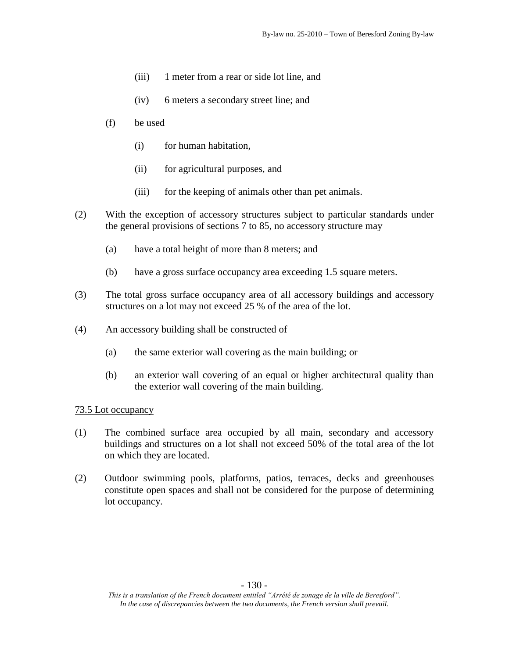- (iii) 1 meter from a rear or side lot line, and
- (iv) 6 meters a secondary street line; and
- (f) be used
	- (i) for human habitation,
	- (ii) for agricultural purposes, and
	- (iii) for the keeping of animals other than pet animals.
- (2) With the exception of accessory structures subject to particular standards under the general provisions of sections 7 to 85, no accessory structure may
	- (a) have a total height of more than 8 meters; and
	- (b) have a gross surface occupancy area exceeding 1.5 square meters.
- (3) The total gross surface occupancy area of all accessory buildings and accessory structures on a lot may not exceed 25 % of the area of the lot.
- (4) An accessory building shall be constructed of
	- (a) the same exterior wall covering as the main building; or
	- (b) an exterior wall covering of an equal or higher architectural quality than the exterior wall covering of the main building.

- (1) The combined surface area occupied by all main, secondary and accessory buildings and structures on a lot shall not exceed 50% of the total area of the lot on which they are located.
- (2) Outdoor swimming pools, platforms, patios, terraces, decks and greenhouses constitute open spaces and shall not be considered for the purpose of determining lot occupancy.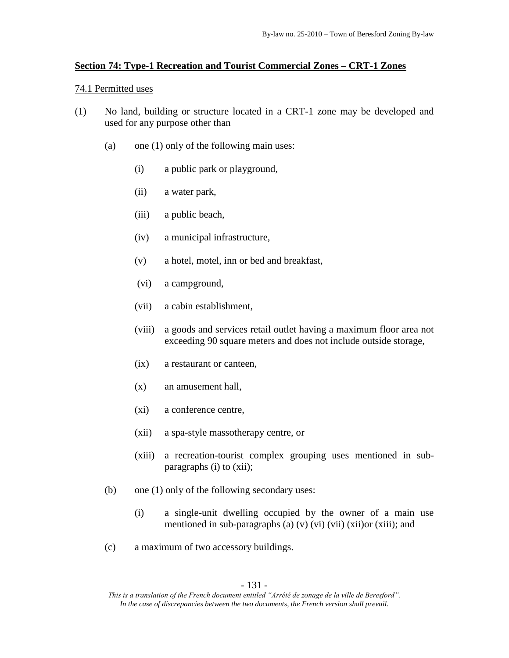### **Section 74: Type-1 Recreation and Tourist Commercial Zones – CRT-1 Zones**

#### 74.1 Permitted uses

- (1) No land, building or structure located in a CRT-1 zone may be developed and used for any purpose other than
	- (a) one (1) only of the following main uses:
		- (i) a public park or playground,
		- (ii) a water park,
		- (iii) a public beach,
		- (iv) a municipal infrastructure,
		- (v) a hotel, motel, inn or bed and breakfast,
		- (vi) a campground,
		- (vii) a cabin establishment,
		- (viii) a goods and services retail outlet having a maximum floor area not exceeding 90 square meters and does not include outside storage,
		- (ix) a restaurant or canteen,
		- (x) an amusement hall,
		- (xi) a conference centre,
		- (xii) a spa-style massotherapy centre, or
		- (xiii) a recreation-tourist complex grouping uses mentioned in subparagraphs (i) to (xii);
	- (b) one (1) only of the following secondary uses:
		- (i) a single-unit dwelling occupied by the owner of a main use mentioned in sub-paragraphs (a)  $(v)$   $(vi)$   $(vii)$   $(xii)$   $(xiii)$ ; and
	- (c) a maximum of two accessory buildings.

*This is a translation of the French document entitled "Arrêté de zonage de la ville de Beresford". In the case of discrepancies between the two documents, the French version shall prevail.*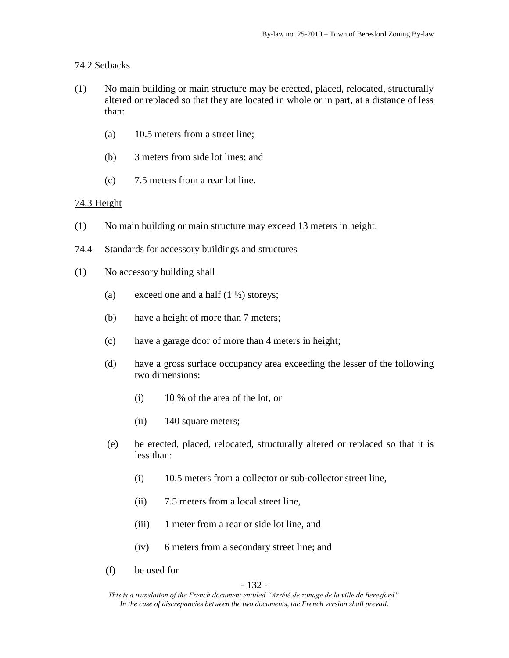# 74.2 Setbacks

- (1) No main building or main structure may be erected, placed, relocated, structurally altered or replaced so that they are located in whole or in part, at a distance of less than:
	- (a) 10.5 meters from a street line;
	- (b) 3 meters from side lot lines; and
	- (c) 7.5 meters from a rear lot line.

# 74.3 Height

- (1) No main building or main structure may exceed 13 meters in height.
- 74.4 Standards for accessory buildings and structures
- (1) No accessory building shall
	- (a) exceed one and a half  $(1 \frac{1}{2})$  storeys;
	- (b) have a height of more than 7 meters;
	- (c) have a garage door of more than 4 meters in height;
	- (d) have a gross surface occupancy area exceeding the lesser of the following two dimensions:
		- (i) 10 % of the area of the lot, or
		- (ii) 140 square meters;
	- (e) be erected, placed, relocated, structurally altered or replaced so that it is less than:
		- (i) 10.5 meters from a collector or sub-collector street line,
		- (ii) 7.5 meters from a local street line,
		- (iii) 1 meter from a rear or side lot line, and
		- (iv) 6 meters from a secondary street line; and
	- (f) be used for

- 132 -

*This is a translation of the French document entitled "Arrêté de zonage de la ville de Beresford". In the case of discrepancies between the two documents, the French version shall prevail.*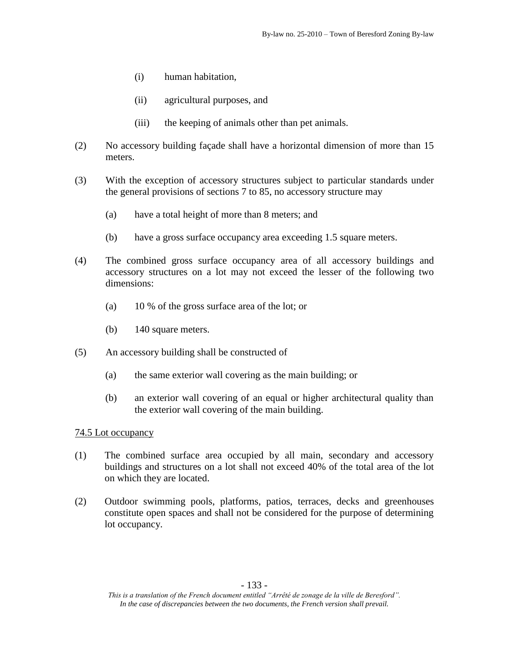- (i) human habitation,
- (ii) agricultural purposes, and
- (iii) the keeping of animals other than pet animals.
- (2) No accessory building façade shall have a horizontal dimension of more than 15 meters.
- (3) With the exception of accessory structures subject to particular standards under the general provisions of sections 7 to 85, no accessory structure may
	- (a) have a total height of more than 8 meters; and
	- (b) have a gross surface occupancy area exceeding 1.5 square meters.
- (4) The combined gross surface occupancy area of all accessory buildings and accessory structures on a lot may not exceed the lesser of the following two dimensions:
	- (a) 10 % of the gross surface area of the lot; or
	- (b) 140 square meters.
- (5) An accessory building shall be constructed of
	- (a) the same exterior wall covering as the main building; or
	- (b) an exterior wall covering of an equal or higher architectural quality than the exterior wall covering of the main building.

- (1) The combined surface area occupied by all main, secondary and accessory buildings and structures on a lot shall not exceed 40% of the total area of the lot on which they are located.
- (2) Outdoor swimming pools, platforms, patios, terraces, decks and greenhouses constitute open spaces and shall not be considered for the purpose of determining lot occupancy.

*This is a translation of the French document entitled "Arrêté de zonage de la ville de Beresford". In the case of discrepancies between the two documents, the French version shall prevail.*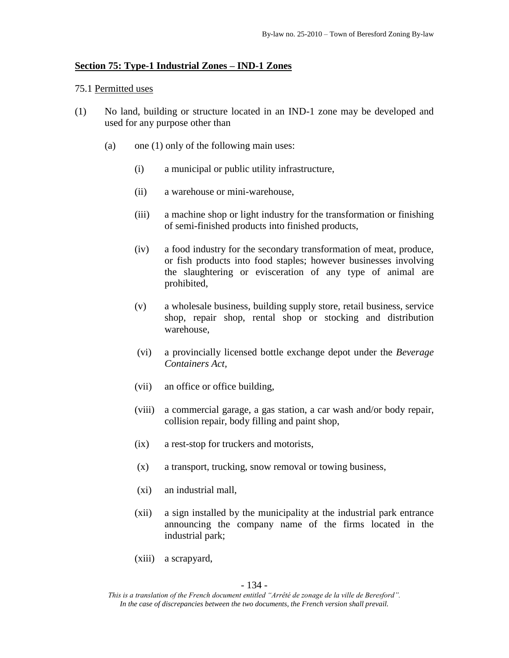### **Section 75: Type-1 Industrial Zones – IND-1 Zones**

### 75.1 Permitted uses

- (1) No land, building or structure located in an IND-1 zone may be developed and used for any purpose other than
	- (a) one (1) only of the following main uses:
		- (i) a municipal or public utility infrastructure,
		- (ii) a warehouse or mini-warehouse,
		- (iii) a machine shop or light industry for the transformation or finishing of semi-finished products into finished products,
		- (iv) a food industry for the secondary transformation of meat, produce, or fish products into food staples; however businesses involving the slaughtering or evisceration of any type of animal are prohibited,
		- (v) a wholesale business, building supply store, retail business, service shop, repair shop, rental shop or stocking and distribution warehouse,
		- (vi) a provincially licensed bottle exchange depot under the *Beverage Containers Act,*
		- (vii) an office or office building,
		- (viii) a commercial garage, a gas station, a car wash and/or body repair, collision repair, body filling and paint shop,
		- (ix) a rest-stop for truckers and motorists,
		- (x) a transport, trucking, snow removal or towing business,
		- (xi) an industrial mall,
		- (xii) a sign installed by the municipality at the industrial park entrance announcing the company name of the firms located in the industrial park;
		- (xiii) a scrapyard,

- 134 -

*This is a translation of the French document entitled "Arrêté de zonage de la ville de Beresford". In the case of discrepancies between the two documents, the French version shall prevail.*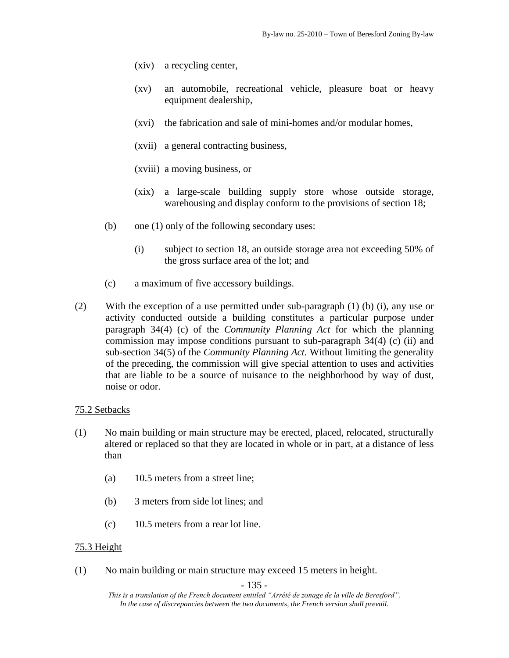- (xiv) a recycling center,
- (xv) an automobile, recreational vehicle, pleasure boat or heavy equipment dealership,
- (xvi) the fabrication and sale of mini-homes and/or modular homes,
- (xvii) a general contracting business,
- (xviii) a moving business, or
- (xix) a large-scale building supply store whose outside storage, warehousing and display conform to the provisions of section 18;
- (b) one  $(1)$  only of the following secondary uses:
	- (i) subject to section 18, an outside storage area not exceeding 50% of the gross surface area of the lot; and
- (c) a maximum of five accessory buildings.
- (2) With the exception of a use permitted under sub-paragraph (1) (b) (i), any use or activity conducted outside a building constitutes a particular purpose under paragraph 34(4) (c) of the *Community Planning Act* for which the planning commission may impose conditions pursuant to sub-paragraph 34(4) (c) (ii) and sub-section 34(5) of the *Community Planning Act.* Without limiting the generality of the preceding, the commission will give special attention to uses and activities that are liable to be a source of nuisance to the neighborhood by way of dust, noise or odor.

# 75.2 Setbacks

- (1) No main building or main structure may be erected, placed, relocated, structurally altered or replaced so that they are located in whole or in part, at a distance of less than
	- (a) 10.5 meters from a street line;
	- (b) 3 meters from side lot lines; and
	- (c) 10.5 meters from a rear lot line.

## 75.3 Height

(1) No main building or main structure may exceed 15 meters in height.

- 135 -

*This is a translation of the French document entitled "Arrêté de zonage de la ville de Beresford". In the case of discrepancies between the two documents, the French version shall prevail.*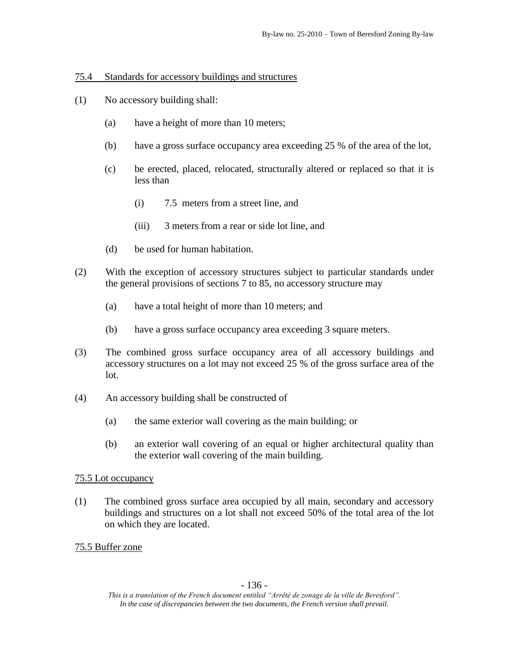75.4 Standards for accessory buildings and structures

- (1) No accessory building shall:
	- (a) have a height of more than 10 meters;
	- (b) have a gross surface occupancy area exceeding 25 % of the area of the lot,
	- (c) be erected, placed, relocated, structurally altered or replaced so that it is less than
		- (i) 7.5 meters from a street line, and
		- (iii) 3 meters from a rear or side lot line, and
	- (d) be used for human habitation.
- (2) With the exception of accessory structures subject to particular standards under the general provisions of sections 7 to 85, no accessory structure may
	- (a) have a total height of more than 10 meters; and
	- (b) have a gross surface occupancy area exceeding 3 square meters.
- (3) The combined gross surface occupancy area of all accessory buildings and accessory structures on a lot may not exceed 25 % of the gross surface area of the lot.
- (4) An accessory building shall be constructed of
	- (a) the same exterior wall covering as the main building; or
	- (b) an exterior wall covering of an equal or higher architectural quality than the exterior wall covering of the main building.

# 75.5 Lot occupancy

(1) The combined gross surface area occupied by all main, secondary and accessory buildings and structures on a lot shall not exceed 50% of the total area of the lot on which they are located.

# 75.5 Buffer zone

*This is a translation of the French document entitled "Arrêté de zonage de la ville de Beresford". In the case of discrepancies between the two documents, the French version shall prevail.*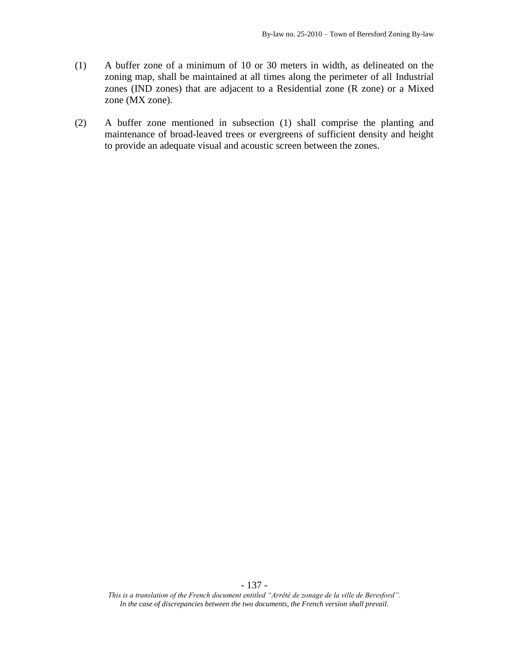- (1) A buffer zone of a minimum of 10 or 30 meters in width, as delineated on the zoning map, shall be maintained at all times along the perimeter of all Industrial zones (IND zones) that are adjacent to a Residential zone (R zone) or a Mixed zone (MX zone).
- (2) A buffer zone mentioned in subsection (1) shall comprise the planting and maintenance of broad-leaved trees or evergreens of sufficient density and height to provide an adequate visual and acoustic screen between the zones.

- 137 -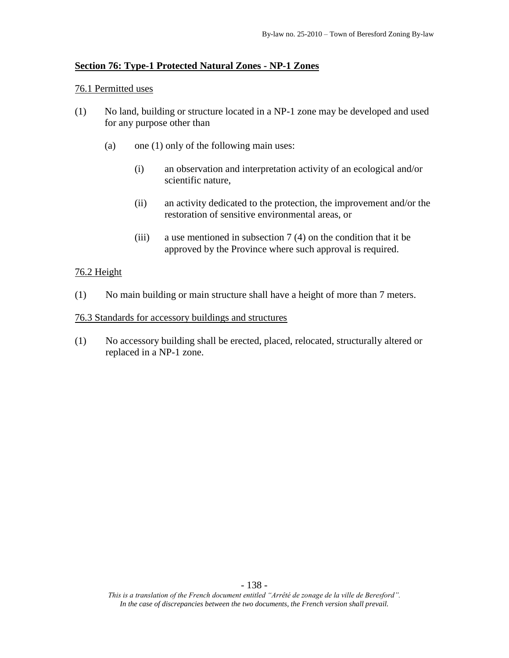# **Section 76: Type-1 Protected Natural Zones - NP-1 Zones**

### 76.1 Permitted uses

- (1) No land, building or structure located in a NP-1 zone may be developed and used for any purpose other than
	- (a) one (1) only of the following main uses:
		- (i) an observation and interpretation activity of an ecological and/or scientific nature,
		- (ii) an activity dedicated to the protection, the improvement and/or the restoration of sensitive environmental areas, or
		- (iii) a use mentioned in subsection  $7(4)$  on the condition that it be approved by the Province where such approval is required.

## 76.2 Height

(1) No main building or main structure shall have a height of more than 7 meters.

### 76.3 Standards for accessory buildings and structures

(1) No accessory building shall be erected, placed, relocated, structurally altered or replaced in a NP-1 zone.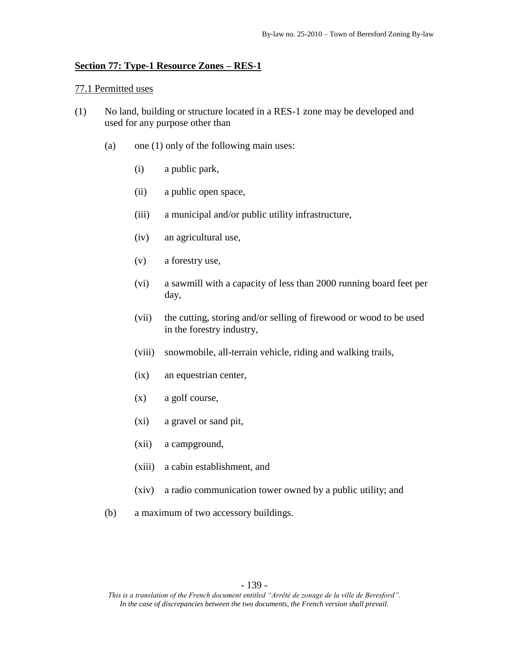### **Section 77: Type-1 Resource Zones – RES-1**

#### 77.1 Permitted uses

- (1) No land, building or structure located in a RES-1 zone may be developed and used for any purpose other than
	- (a) one (1) only of the following main uses:
		- (i) a public park,
		- (ii) a public open space,
		- (iii) a municipal and/or public utility infrastructure,
		- (iv) an agricultural use,
		- (v) a forestry use,
		- (vi) a sawmill with a capacity of less than 2000 running board feet per day,
		- (vii) the cutting, storing and/or selling of firewood or wood to be used in the forestry industry,
		- (viii) snowmobile, all-terrain vehicle, riding and walking trails,
		- (ix) an equestrian center,
		- (x) a golf course,
		- (xi) a gravel or sand pit,
		- (xii) a campground,
		- (xiii) a cabin establishment, and
		- (xiv) a radio communication tower owned by a public utility; and
	- (b) a maximum of two accessory buildings.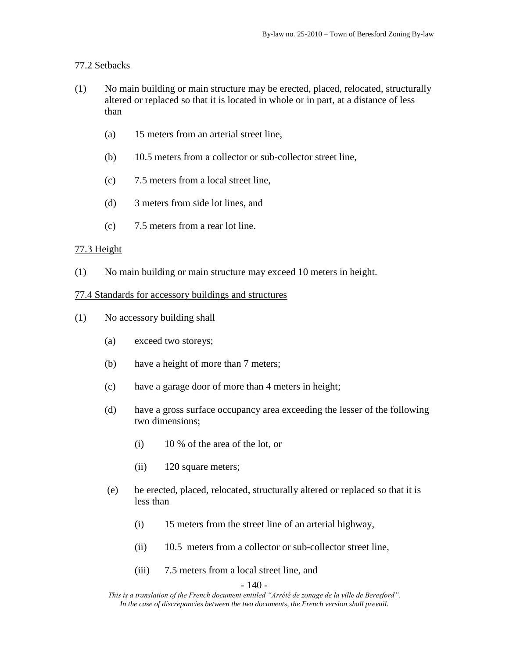# 77.2 Setbacks

- (1) No main building or main structure may be erected, placed, relocated, structurally altered or replaced so that it is located in whole or in part, at a distance of less than
	- (a) 15 meters from an arterial street line,
	- (b) 10.5 meters from a collector or sub-collector street line,
	- (c) 7.5 meters from a local street line,
	- (d) 3 meters from side lot lines, and
	- (c) 7.5 meters from a rear lot line.

## 77.3 Height

(1) No main building or main structure may exceed 10 meters in height.

### 77.4 Standards for accessory buildings and structures

- (1) No accessory building shall
	- (a) exceed two storeys;
	- (b) have a height of more than 7 meters;
	- (c) have a garage door of more than 4 meters in height;
	- (d) have a gross surface occupancy area exceeding the lesser of the following two dimensions;
		- (i) 10 % of the area of the lot, or
		- (ii) 120 square meters;
	- (e) be erected, placed, relocated, structurally altered or replaced so that it is less than
		- (i) 15 meters from the street line of an arterial highway,
		- (ii) 10.5 meters from a collector or sub-collector street line,
		- (iii) 7.5 meters from a local street line, and

#### - 140 -

*This is a translation of the French document entitled "Arrêté de zonage de la ville de Beresford". In the case of discrepancies between the two documents, the French version shall prevail.*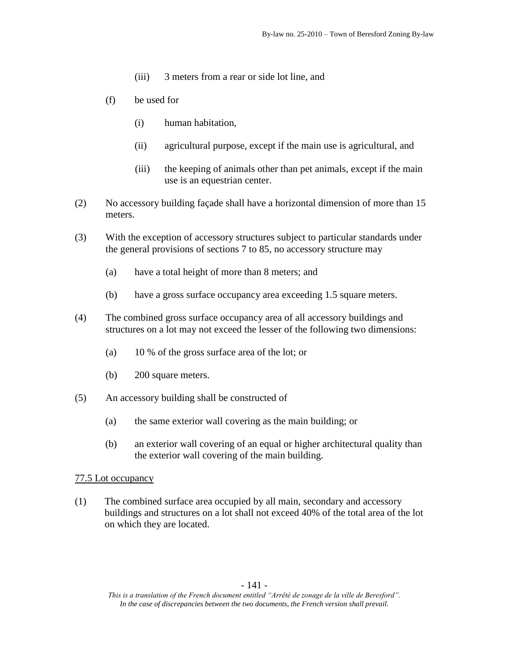- (iii) 3 meters from a rear or side lot line, and
- (f) be used for
	- (i) human habitation,
	- (ii) agricultural purpose, except if the main use is agricultural, and
	- (iii) the keeping of animals other than pet animals, except if the main use is an equestrian center.
- (2) No accessory building façade shall have a horizontal dimension of more than 15 meters.
- (3) With the exception of accessory structures subject to particular standards under the general provisions of sections 7 to 85, no accessory structure may
	- (a) have a total height of more than 8 meters; and
	- (b) have a gross surface occupancy area exceeding 1.5 square meters.
- (4) The combined gross surface occupancy area of all accessory buildings and structures on a lot may not exceed the lesser of the following two dimensions:
	- (a) 10 % of the gross surface area of the lot; or
	- (b) 200 square meters.
- (5) An accessory building shall be constructed of
	- (a) the same exterior wall covering as the main building; or
	- (b) an exterior wall covering of an equal or higher architectural quality than the exterior wall covering of the main building.

(1) The combined surface area occupied by all main, secondary and accessory buildings and structures on a lot shall not exceed 40% of the total area of the lot on which they are located.

*This is a translation of the French document entitled "Arrêté de zonage de la ville de Beresford". In the case of discrepancies between the two documents, the French version shall prevail.*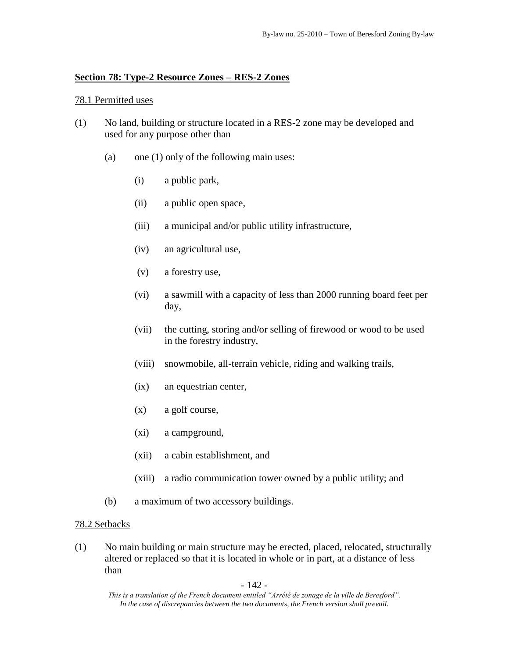# **Section 78: Type-2 Resource Zones – RES-2 Zones**

# 78.1 Permitted uses

- (1) No land, building or structure located in a RES-2 zone may be developed and used for any purpose other than
	- (a) one (1) only of the following main uses:
		- (i) a public park,
		- (ii) a public open space,
		- (iii) a municipal and/or public utility infrastructure,
		- (iv) an agricultural use,
		- (v) a forestry use,
		- (vi) a sawmill with a capacity of less than 2000 running board feet per day,
		- (vii) the cutting, storing and/or selling of firewood or wood to be used in the forestry industry,
		- (viii) snowmobile, all-terrain vehicle, riding and walking trails,
		- (ix) an equestrian center,
		- (x) a golf course,
		- (xi) a campground,
		- (xii) a cabin establishment, and
		- (xiii) a radio communication tower owned by a public utility; and
	- (b) a maximum of two accessory buildings.

# 78.2 Setbacks

(1) No main building or main structure may be erected, placed, relocated, structurally altered or replaced so that it is located in whole or in part, at a distance of less than

- 142 -

*This is a translation of the French document entitled "Arrêté de zonage de la ville de Beresford". In the case of discrepancies between the two documents, the French version shall prevail.*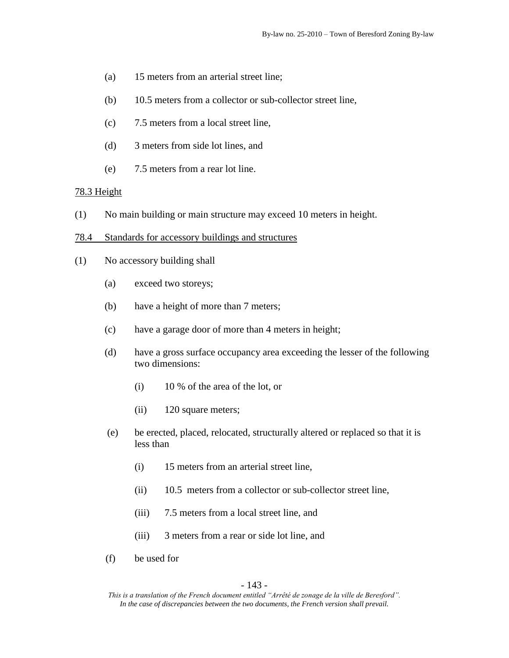- (a) 15 meters from an arterial street line;
- (b) 10.5 meters from a collector or sub-collector street line,
- (c) 7.5 meters from a local street line,
- (d) 3 meters from side lot lines, and
- (e) 7.5 meters from a rear lot line.

## 78.3 Height

- (1) No main building or main structure may exceed 10 meters in height.
- 78.4 Standards for accessory buildings and structures
- (1) No accessory building shall
	- (a) exceed two storeys;
	- (b) have a height of more than 7 meters;
	- (c) have a garage door of more than 4 meters in height;
	- (d) have a gross surface occupancy area exceeding the lesser of the following two dimensions:
		- (i) 10 % of the area of the lot, or
		- (ii) 120 square meters;
	- (e) be erected, placed, relocated, structurally altered or replaced so that it is less than
		- (i) 15 meters from an arterial street line,
		- (ii) 10.5 meters from a collector or sub-collector street line,
		- (iii) 7.5 meters from a local street line, and
		- (iii) 3 meters from a rear or side lot line, and
	- (f) be used for

#### - 143 -

*This is a translation of the French document entitled "Arrêté de zonage de la ville de Beresford". In the case of discrepancies between the two documents, the French version shall prevail.*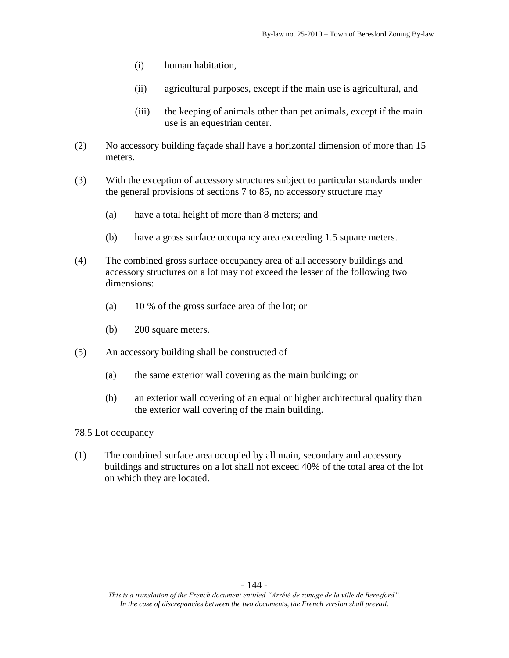- (i) human habitation,
- (ii) agricultural purposes, except if the main use is agricultural, and
- (iii) the keeping of animals other than pet animals, except if the main use is an equestrian center.
- (2) No accessory building façade shall have a horizontal dimension of more than 15 meters.
- (3) With the exception of accessory structures subject to particular standards under the general provisions of sections 7 to 85, no accessory structure may
	- (a) have a total height of more than 8 meters; and
	- (b) have a gross surface occupancy area exceeding 1.5 square meters.
- (4) The combined gross surface occupancy area of all accessory buildings and accessory structures on a lot may not exceed the lesser of the following two dimensions:
	- (a) 10 % of the gross surface area of the lot; or
	- (b) 200 square meters.
- (5) An accessory building shall be constructed of
	- (a) the same exterior wall covering as the main building; or
	- (b) an exterior wall covering of an equal or higher architectural quality than the exterior wall covering of the main building.

(1) The combined surface area occupied by all main, secondary and accessory buildings and structures on a lot shall not exceed 40% of the total area of the lot on which they are located.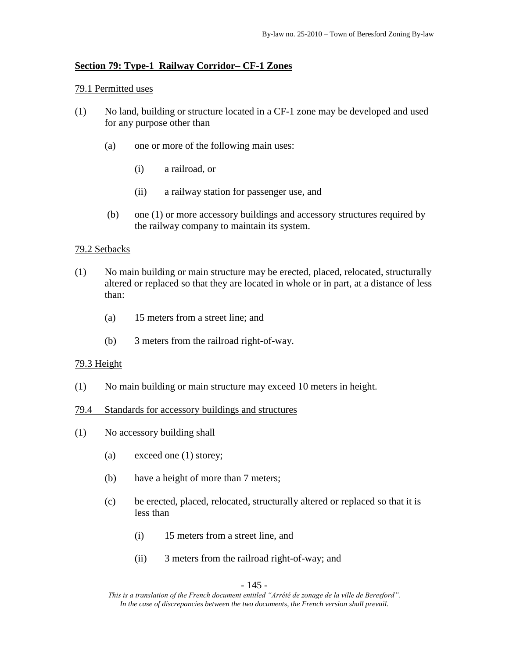## **Section 79: Type-1 Railway Corridor– CF-1 Zones**

### 79.1 Permitted uses

- (1) No land, building or structure located in a CF-1 zone may be developed and used for any purpose other than
	- (a) one or more of the following main uses:
		- (i) a railroad, or
		- (ii) a railway station for passenger use, and
	- (b) one (1) or more accessory buildings and accessory structures required by the railway company to maintain its system.

## 79.2 Setbacks

- (1) No main building or main structure may be erected, placed, relocated, structurally altered or replaced so that they are located in whole or in part, at a distance of less than:
	- (a) 15 meters from a street line; and
	- (b) 3 meters from the railroad right-of-way.

#### 79.3 Height

- (1) No main building or main structure may exceed 10 meters in height.
- 79.4 Standards for accessory buildings and structures
- (1) No accessory building shall
	- (a) exceed one (1) storey;
	- (b) have a height of more than 7 meters;
	- (c) be erected, placed, relocated, structurally altered or replaced so that it is less than
		- (i) 15 meters from a street line, and
		- (ii) 3 meters from the railroad right-of-way; and

#### - 145 -

*This is a translation of the French document entitled "Arrêté de zonage de la ville de Beresford". In the case of discrepancies between the two documents, the French version shall prevail.*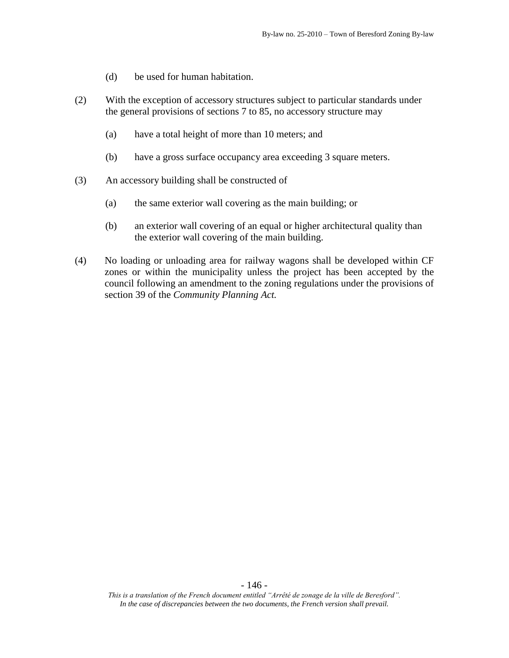- (d) be used for human habitation.
- (2) With the exception of accessory structures subject to particular standards under the general provisions of sections 7 to 85, no accessory structure may
	- (a) have a total height of more than 10 meters; and
	- (b) have a gross surface occupancy area exceeding 3 square meters.
- (3) An accessory building shall be constructed of
	- (a) the same exterior wall covering as the main building; or
	- (b) an exterior wall covering of an equal or higher architectural quality than the exterior wall covering of the main building.
- (4) No loading or unloading area for railway wagons shall be developed within CF zones or within the municipality unless the project has been accepted by the council following an amendment to the zoning regulations under the provisions of section 39 of the *Community Planning Act.*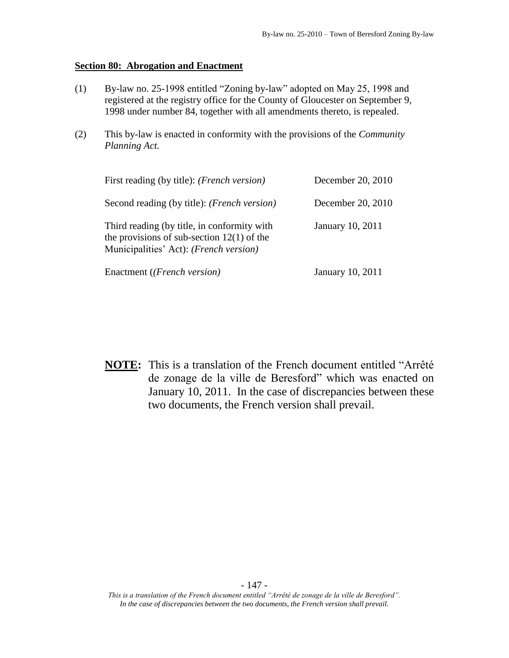#### **Section 80: Abrogation and Enactment**

- (1) By-law no. 25-1998 entitled "Zoning by-law" adopted on May 25, 1998 and registered at the registry office for the County of Gloucester on September 9, 1998 under number 84, together with all amendments thereto, is repealed.
- (2) This by-law is enacted in conformity with the provisions of the *Community Planning Act.*

| First reading (by title): ( <i>French version</i> )                                                                                   | December 20, 2010       |
|---------------------------------------------------------------------------------------------------------------------------------------|-------------------------|
| Second reading (by title): ( <i>French version</i> )                                                                                  | December 20, 2010       |
| Third reading (by title, in conformity with<br>the provisions of sub-section $12(1)$ of the<br>Municipalities' Act): (French version) | <b>January 10, 2011</b> |
| Enactment (( <i>French version</i> )                                                                                                  | <b>January 10, 2011</b> |

**NOTE:** This is a translation of the French document entitled "Arrêté de zonage de la ville de Beresford" which was enacted on January 10, 2011. In the case of discrepancies between these two documents, the French version shall prevail.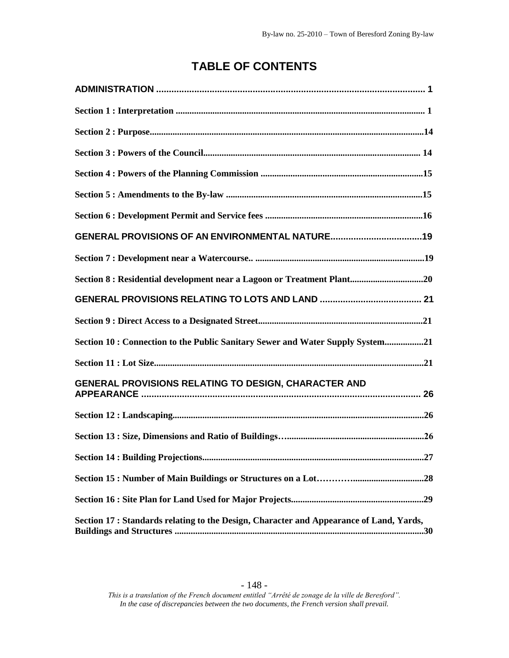# **TABLE OF CONTENTS**

| Section 8 : Residential development near a Lagoon or Treatment Plant20                  |
|-----------------------------------------------------------------------------------------|
|                                                                                         |
|                                                                                         |
| Section 10: Connection to the Public Sanitary Sewer and Water Supply System21           |
|                                                                                         |
| GENERAL PROVISIONS RELATING TO DESIGN, CHARACTER AND                                    |
|                                                                                         |
|                                                                                         |
| Section 14: Building Projections<br>.27                                                 |
|                                                                                         |
|                                                                                         |
| Section 17 : Standards relating to the Design, Character and Appearance of Land, Yards, |

## - 148 -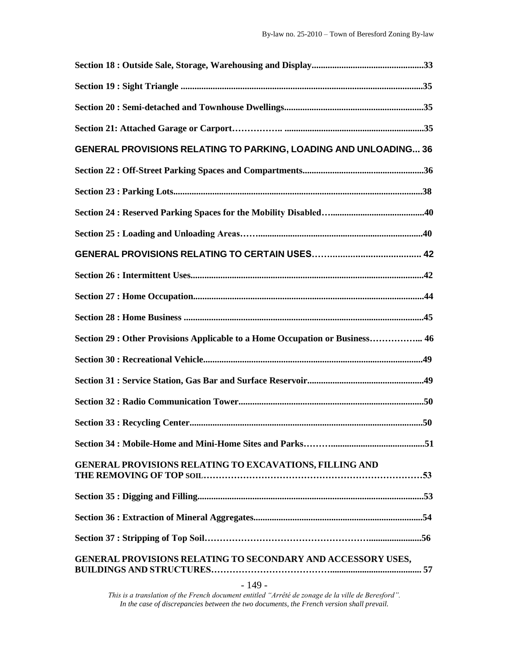| GENERAL PROVISIONS RELATING TO PARKING, LOADING AND UNLOADING 36             |
|------------------------------------------------------------------------------|
|                                                                              |
|                                                                              |
|                                                                              |
|                                                                              |
|                                                                              |
|                                                                              |
|                                                                              |
|                                                                              |
| Section 29 : Other Provisions Applicable to a Home Occupation or Business 46 |
|                                                                              |
|                                                                              |
|                                                                              |
|                                                                              |
|                                                                              |
| <b>GENERAL PROVISIONS RELATING TO EXCAVATIONS, FILLING AND</b>               |
|                                                                              |
|                                                                              |
|                                                                              |
| GENERAL PROVISIONS RELATING TO SECONDARY AND ACCESSORY USES,                 |

*This is a translation of the French document entitled "Arrêté de zonage de la ville de Beresford". In the case of discrepancies between the two documents, the French version shall prevail.*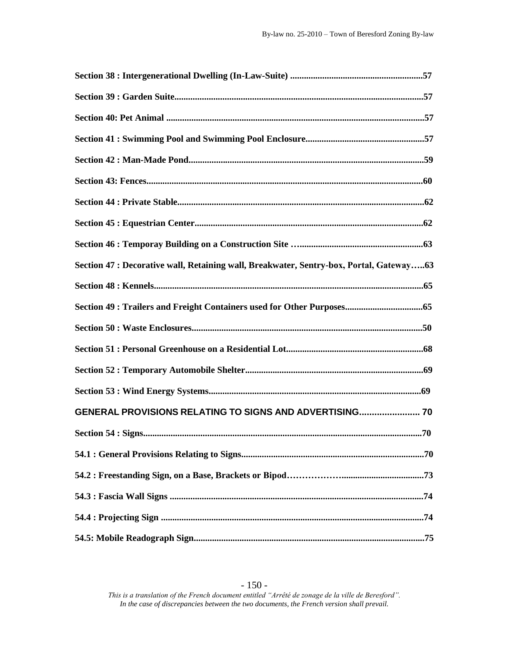| Section 47 : Decorative wall, Retaining wall, Breakwater, Sentry-box, Portal, Gateway63 |
|-----------------------------------------------------------------------------------------|
|                                                                                         |
|                                                                                         |
|                                                                                         |
|                                                                                         |
|                                                                                         |
|                                                                                         |
| GENERAL PROVISIONS RELATING TO SIGNS AND ADVERTISING 70                                 |
|                                                                                         |
|                                                                                         |
|                                                                                         |
|                                                                                         |
|                                                                                         |
|                                                                                         |

#### - 150 -